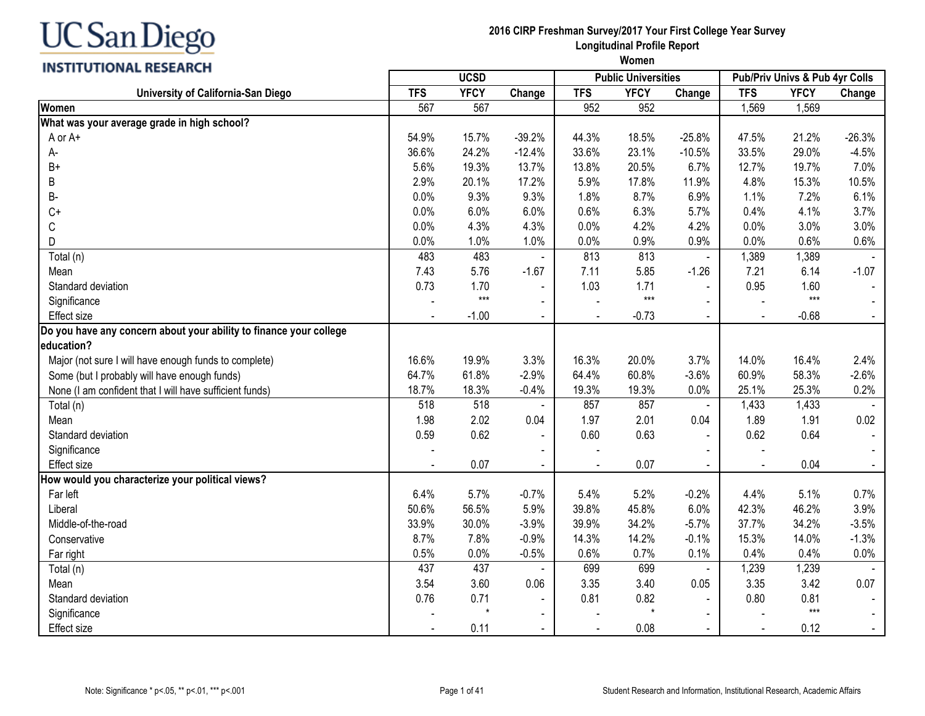#### **INSTITUTIONAL RESEARCH**

| <u>,,,,,,,,,,,,,,,,,,,,,</u>                                       | <b>UCSD</b> |             |                |                | <b>Public Universities</b> |                | Pub/Priv Univs & Pub 4yr Colls |             |          |
|--------------------------------------------------------------------|-------------|-------------|----------------|----------------|----------------------------|----------------|--------------------------------|-------------|----------|
| University of California-San Diego                                 | <b>TFS</b>  | <b>YFCY</b> | Change         | <b>TFS</b>     | <b>YFCY</b>                | Change         | <b>TFS</b>                     | <b>YFCY</b> | Change   |
| <b>Women</b>                                                       | 567         | 567         |                | 952            | 952                        |                | 1,569                          | 1,569       |          |
| What was your average grade in high school?                        |             |             |                |                |                            |                |                                |             |          |
| A or A+                                                            | 54.9%       | 15.7%       | $-39.2%$       | 44.3%          | 18.5%                      | $-25.8%$       | 47.5%                          | 21.2%       | $-26.3%$ |
| A-                                                                 | 36.6%       | 24.2%       | $-12.4%$       | 33.6%          | 23.1%                      | $-10.5%$       | 33.5%                          | 29.0%       | $-4.5%$  |
| $B+$                                                               | 5.6%        | 19.3%       | 13.7%          | 13.8%          | 20.5%                      | 6.7%           | 12.7%                          | 19.7%       | 7.0%     |
| B                                                                  | 2.9%        | 20.1%       | 17.2%          | 5.9%           | 17.8%                      | 11.9%          | 4.8%                           | 15.3%       | 10.5%    |
| В-                                                                 | 0.0%        | 9.3%        | 9.3%           | 1.8%           | 8.7%                       | 6.9%           | 1.1%                           | 7.2%        | 6.1%     |
| $C+$                                                               | 0.0%        | 6.0%        | 6.0%           | 0.6%           | 6.3%                       | 5.7%           | 0.4%                           | 4.1%        | 3.7%     |
| С                                                                  | 0.0%        | 4.3%        | 4.3%           | 0.0%           | 4.2%                       | 4.2%           | 0.0%                           | 3.0%        | 3.0%     |
| D                                                                  | 0.0%        | 1.0%        | 1.0%           | 0.0%           | 0.9%                       | 0.9%           | 0.0%                           | 0.6%        | 0.6%     |
| Total (n)                                                          | 483         | 483         | $\blacksquare$ | 813            | 813                        | $\blacksquare$ | 1,389                          | 1,389       |          |
| Mean                                                               | 7.43        | 5.76        | $-1.67$        | 7.11           | 5.85                       | $-1.26$        | 7.21                           | 6.14        | $-1.07$  |
| Standard deviation                                                 | 0.73        | 1.70        | $\blacksquare$ | 1.03           | 1.71                       | $\blacksquare$ | 0.95                           | 1.60        |          |
| Significance                                                       |             | $***$       | $\sim$         |                | $***$                      |                |                                | $***$       |          |
| <b>Effect size</b>                                                 |             | $-1.00$     | $\blacksquare$ |                | $-0.73$                    | $\blacksquare$ |                                | $-0.68$     | $\sim$   |
| Do you have any concern about your ability to finance your college |             |             |                |                |                            |                |                                |             |          |
| education?                                                         |             |             |                |                |                            |                |                                |             |          |
| Major (not sure I will have enough funds to complete)              | 16.6%       | 19.9%       | 3.3%           | 16.3%          | 20.0%                      | 3.7%           | 14.0%                          | 16.4%       | 2.4%     |
| Some (but I probably will have enough funds)                       | 64.7%       | 61.8%       | $-2.9%$        | 64.4%          | 60.8%                      | $-3.6%$        | 60.9%                          | 58.3%       | $-2.6%$  |
| None (I am confident that I will have sufficient funds)            | 18.7%       | 18.3%       | $-0.4%$        | 19.3%          | 19.3%                      | 0.0%           | 25.1%                          | 25.3%       | 0.2%     |
| Total (n)                                                          | 518         | 518         |                | 857            | 857                        | $\blacksquare$ | 1,433                          | 1,433       |          |
| Mean                                                               | 1.98        | 2.02        | 0.04           | 1.97           | 2.01                       | 0.04           | 1.89                           | 1.91        | 0.02     |
| Standard deviation                                                 | 0.59        | 0.62        |                | 0.60           | 0.63                       |                | 0.62                           | 0.64        |          |
| Significance                                                       |             |             |                |                |                            |                |                                |             |          |
| Effect size                                                        |             | 0.07        |                | $\blacksquare$ | 0.07                       |                |                                | 0.04        | $\sim$   |
| How would you characterize your political views?                   |             |             |                |                |                            |                |                                |             |          |
| Far left                                                           | 6.4%        | 5.7%        | $-0.7%$        | 5.4%           | 5.2%                       | $-0.2%$        | 4.4%                           | 5.1%        | 0.7%     |
| Liberal                                                            | 50.6%       | 56.5%       | 5.9%           | 39.8%          | 45.8%                      | 6.0%           | 42.3%                          | 46.2%       | 3.9%     |
| Middle-of-the-road                                                 | 33.9%       | 30.0%       | $-3.9%$        | 39.9%          | 34.2%                      | $-5.7%$        | 37.7%                          | 34.2%       | $-3.5%$  |
| Conservative                                                       | 8.7%        | 7.8%        | $-0.9%$        | 14.3%          | 14.2%                      | $-0.1%$        | 15.3%                          | 14.0%       | $-1.3%$  |
| Far right                                                          | 0.5%        | 0.0%        | $-0.5%$        | 0.6%           | 0.7%                       | 0.1%           | 0.4%                           | 0.4%        | 0.0%     |
| Total (n)                                                          | 437         | 437         |                | 699            | 699                        | $\blacksquare$ | 1,239                          | 1,239       |          |
| Mean                                                               | 3.54        | 3.60        | 0.06           | 3.35           | 3.40                       | 0.05           | 3.35                           | 3.42        | 0.07     |
| Standard deviation                                                 | 0.76        | 0.71        |                | 0.81           | 0.82                       |                | 0.80                           | 0.81        |          |
| Significance                                                       |             |             |                |                | $\star$                    |                |                                | $***$       |          |
| Effect size                                                        |             | 0.11        |                |                | 0.08                       |                |                                | 0.12        | $\sim$   |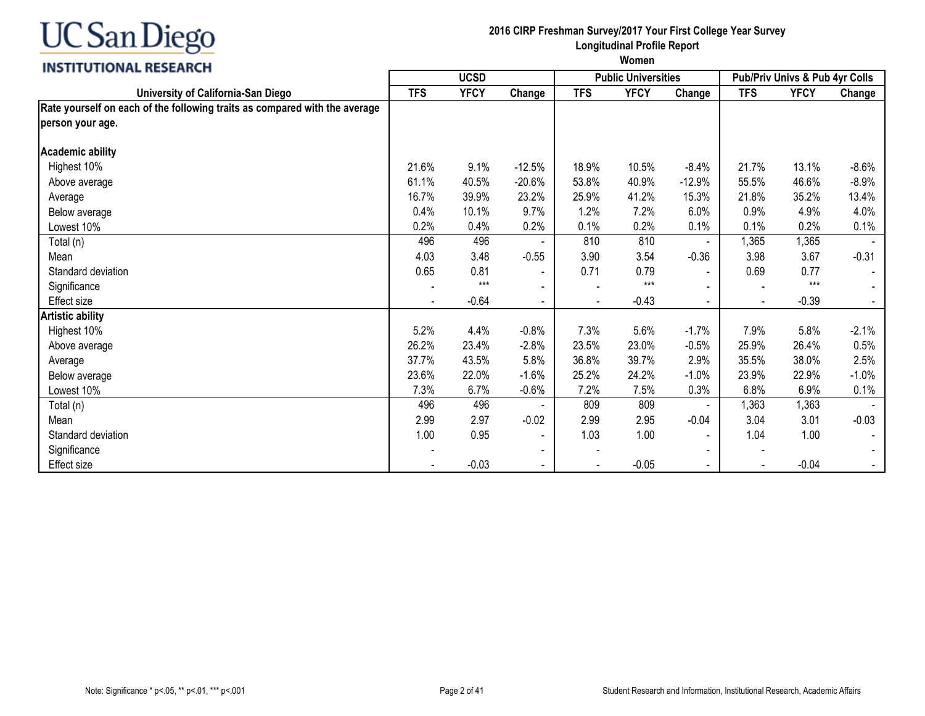

#### **2016 CIRP Freshman Survey/2017 Your First College Year Survey Longitudinal Profile Report**

| <b>INSTITUTIONAL RESEARCH</b>                                              | <b>UCSD</b> |             |                          |            | <b>Public Universities</b> |                          | Pub/Priv Univs & Pub 4yr Colls |             |         |
|----------------------------------------------------------------------------|-------------|-------------|--------------------------|------------|----------------------------|--------------------------|--------------------------------|-------------|---------|
| University of California-San Diego                                         | <b>TFS</b>  | <b>YFCY</b> | Change                   | <b>TFS</b> | <b>YFCY</b>                | Change                   | <b>TFS</b>                     | <b>YFCY</b> | Change  |
| Rate yourself on each of the following traits as compared with the average |             |             |                          |            |                            |                          |                                |             |         |
| person your age.                                                           |             |             |                          |            |                            |                          |                                |             |         |
| <b>Academic ability</b>                                                    |             |             |                          |            |                            |                          |                                |             |         |
| Highest 10%                                                                | 21.6%       | 9.1%        | $-12.5%$                 | 18.9%      | 10.5%                      | $-8.4%$                  | 21.7%                          | 13.1%       | $-8.6%$ |
| Above average                                                              | 61.1%       | 40.5%       | $-20.6%$                 | 53.8%      | 40.9%                      | $-12.9%$                 | 55.5%                          | 46.6%       | $-8.9%$ |
| Average                                                                    | 16.7%       | 39.9%       | 23.2%                    | 25.9%      | 41.2%                      | 15.3%                    | 21.8%                          | 35.2%       | 13.4%   |
| Below average                                                              | 0.4%        | 10.1%       | 9.7%                     | 1.2%       | 7.2%                       | 6.0%                     | 0.9%                           | 4.9%        | 4.0%    |
| Lowest 10%                                                                 | 0.2%        | 0.4%        | 0.2%                     | 0.1%       | 0.2%                       | 0.1%                     | 0.1%                           | 0.2%        | 0.1%    |
| Total (n)                                                                  | 496         | 496         |                          | 810        | 810                        |                          | 1,365                          | 1,365       |         |
| Mean                                                                       | 4.03        | 3.48        | $-0.55$                  | 3.90       | 3.54                       | $-0.36$                  | 3.98                           | 3.67        | $-0.31$ |
| Standard deviation                                                         | 0.65        | 0.81        |                          | 0.71       | 0.79                       | $\blacksquare$           | 0.69                           | 0.77        |         |
| Significance                                                               |             | $***$       |                          |            | $***$                      |                          |                                | $***$       |         |
| Effect size                                                                |             | $-0.64$     | $\blacksquare$           |            | $-0.43$                    | $\blacksquare$           |                                | $-0.39$     |         |
| <b>Artistic ability</b>                                                    |             |             |                          |            |                            |                          |                                |             |         |
| Highest 10%                                                                | 5.2%        | 4.4%        | $-0.8%$                  | 7.3%       | 5.6%                       | $-1.7%$                  | 7.9%                           | 5.8%        | $-2.1%$ |
| Above average                                                              | 26.2%       | 23.4%       | $-2.8%$                  | 23.5%      | 23.0%                      | $-0.5%$                  | 25.9%                          | 26.4%       | 0.5%    |
| Average                                                                    | 37.7%       | 43.5%       | 5.8%                     | 36.8%      | 39.7%                      | 2.9%                     | 35.5%                          | 38.0%       | 2.5%    |
| Below average                                                              | 23.6%       | 22.0%       | $-1.6%$                  | 25.2%      | 24.2%                      | $-1.0%$                  | 23.9%                          | 22.9%       | $-1.0%$ |
| Lowest 10%                                                                 | 7.3%        | 6.7%        | $-0.6%$                  | 7.2%       | 7.5%                       | 0.3%                     | 6.8%                           | 6.9%        | 0.1%    |
| Total (n)                                                                  | 496         | 496         |                          | 809        | 809                        |                          | 1,363                          | 1,363       |         |
| Mean                                                                       | 2.99        | 2.97        | $-0.02$                  | 2.99       | 2.95                       | $-0.04$                  | 3.04                           | 3.01        | $-0.03$ |
| Standard deviation                                                         | 1.00        | 0.95        | $\overline{\phantom{a}}$ | 1.03       | 1.00                       | $\overline{\phantom{a}}$ | 1.04                           | 1.00        |         |
| Significance                                                               |             |             |                          |            |                            |                          |                                |             |         |
| Effect size                                                                |             | $-0.03$     |                          |            | $-0.05$                    |                          |                                | $-0.04$     |         |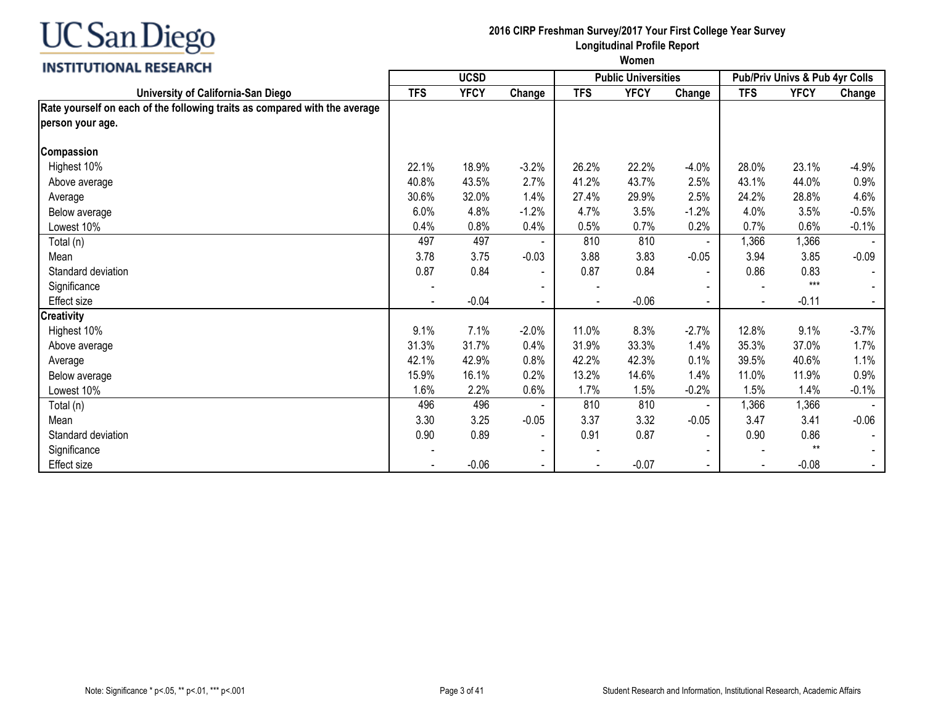

#### **2016 CIRP Freshman Survey/2017 Your First College Year Survey Longitudinal Profile Report**

|                                                                            |            | <b>UCSD</b> |                          |            | <b>Public Universities</b> |                | Pub/Priv Univs & Pub 4yr Colls |             |          |
|----------------------------------------------------------------------------|------------|-------------|--------------------------|------------|----------------------------|----------------|--------------------------------|-------------|----------|
| University of California-San Diego                                         | <b>TFS</b> | <b>YFCY</b> | Change                   | <b>TFS</b> | <b>YFCY</b>                | Change         | <b>TFS</b>                     | <b>YFCY</b> | Change   |
| Rate yourself on each of the following traits as compared with the average |            |             |                          |            |                            |                |                                |             |          |
| person your age.                                                           |            |             |                          |            |                            |                |                                |             |          |
| <b>Compassion</b>                                                          |            |             |                          |            |                            |                |                                |             |          |
| Highest 10%                                                                | 22.1%      | 18.9%       | $-3.2%$                  | 26.2%      | 22.2%                      | $-4.0%$        | 28.0%                          | 23.1%       | $-4.9%$  |
| Above average                                                              | 40.8%      | 43.5%       | 2.7%                     | 41.2%      | 43.7%                      | 2.5%           | 43.1%                          | 44.0%       | 0.9%     |
| Average                                                                    | 30.6%      | 32.0%       | 1.4%                     | 27.4%      | 29.9%                      | 2.5%           | 24.2%                          | 28.8%       | 4.6%     |
| Below average                                                              | 6.0%       | 4.8%        | $-1.2%$                  | 4.7%       | 3.5%                       | $-1.2%$        | 4.0%                           | 3.5%        | $-0.5%$  |
| Lowest 10%                                                                 | 0.4%       | 0.8%        | 0.4%                     | 0.5%       | 0.7%                       | 0.2%           | 0.7%                           | 0.6%        | $-0.1%$  |
| Total (n)                                                                  | 497        | 497         |                          | 810        | 810                        | $\blacksquare$ | 1,366                          | 1,366       |          |
| Mean                                                                       | 3.78       | 3.75        | $-0.03$                  | 3.88       | 3.83                       | $-0.05$        | 3.94                           | 3.85        | $-0.09$  |
| Standard deviation                                                         | 0.87       | 0.84        | $\overline{\phantom{a}}$ | 0.87       | 0.84                       | $\blacksquare$ | 0.86                           | 0.83        |          |
| Significance                                                               |            |             |                          |            |                            |                |                                | $***$       |          |
| Effect size                                                                |            | $-0.04$     |                          |            | $-0.06$                    | $\blacksquare$ |                                | $-0.11$     |          |
| <b>Creativity</b>                                                          |            |             |                          |            |                            |                |                                |             |          |
| Highest 10%                                                                | 9.1%       | 7.1%        | $-2.0%$                  | 11.0%      | 8.3%                       | $-2.7%$        | 12.8%                          | 9.1%        | $-3.7\%$ |
| Above average                                                              | 31.3%      | 31.7%       | 0.4%                     | 31.9%      | 33.3%                      | 1.4%           | 35.3%                          | 37.0%       | 1.7%     |
| Average                                                                    | 42.1%      | 42.9%       | 0.8%                     | 42.2%      | 42.3%                      | 0.1%           | 39.5%                          | 40.6%       | 1.1%     |
| Below average                                                              | 15.9%      | 16.1%       | 0.2%                     | 13.2%      | 14.6%                      | 1.4%           | 11.0%                          | 11.9%       | 0.9%     |
| Lowest 10%                                                                 | 1.6%       | 2.2%        | 0.6%                     | 1.7%       | 1.5%                       | $-0.2%$        | 1.5%                           | 1.4%        | $-0.1%$  |
| Total (n)                                                                  | 496        | 496         |                          | 810        | 810                        |                | 1,366                          | 1,366       |          |
| Mean                                                                       | 3.30       | 3.25        | $-0.05$                  | 3.37       | 3.32                       | $-0.05$        | 3.47                           | 3.41        | $-0.06$  |
| Standard deviation                                                         | 0.90       | 0.89        | $\overline{\phantom{a}}$ | 0.91       | 0.87                       | $\blacksquare$ | 0.90                           | 0.86        |          |
| Significance                                                               |            |             |                          |            |                            |                |                                | $**$        |          |
| Effect size                                                                |            | $-0.06$     |                          |            | $-0.07$                    | $\blacksquare$ |                                | $-0.08$     |          |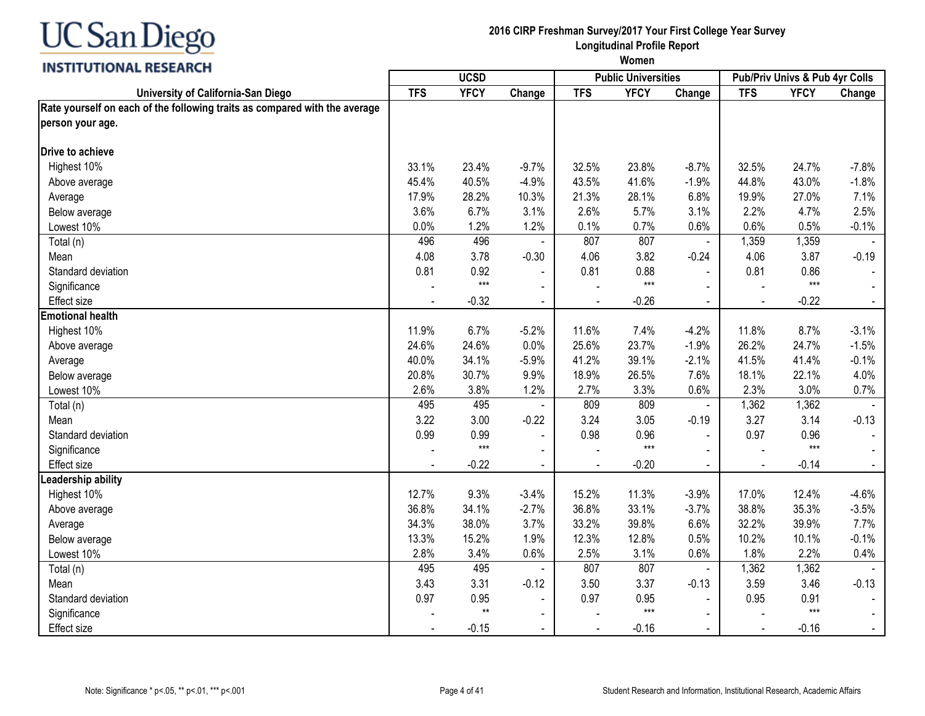

#### **2016 CIRP Freshman Survey/2017 Your First College Year Survey Longitudinal Profile Report**

|                                                                            |            | <b>UCSD</b>  |                          |                | <b>Public Universities</b> |                |                | Pub/Priv Univs & Pub 4yr Colls |                |
|----------------------------------------------------------------------------|------------|--------------|--------------------------|----------------|----------------------------|----------------|----------------|--------------------------------|----------------|
| University of California-San Diego                                         | <b>TFS</b> | <b>YFCY</b>  | Change                   | <b>TFS</b>     | <b>YFCY</b>                | Change         | <b>TFS</b>     | <b>YFCY</b>                    | Change         |
| Rate yourself on each of the following traits as compared with the average |            |              |                          |                |                            |                |                |                                |                |
| person your age.                                                           |            |              |                          |                |                            |                |                |                                |                |
| Drive to achieve                                                           |            |              |                          |                |                            |                |                |                                |                |
| Highest 10%                                                                | 33.1%      | 23.4%        | $-9.7%$                  | 32.5%          | 23.8%                      | $-8.7%$        | 32.5%          | 24.7%                          | $-7.8%$        |
| Above average                                                              | 45.4%      | 40.5%        | $-4.9%$                  | 43.5%          | 41.6%                      | $-1.9%$        | 44.8%          | 43.0%                          | $-1.8%$        |
| Average                                                                    | 17.9%      | 28.2%        | 10.3%                    | 21.3%          | 28.1%                      | 6.8%           | 19.9%          | 27.0%                          | 7.1%           |
| Below average                                                              | 3.6%       | 6.7%         | 3.1%                     | 2.6%           | 5.7%                       | 3.1%           | 2.2%           | 4.7%                           | 2.5%           |
| Lowest 10%                                                                 | 0.0%       | 1.2%         | 1.2%                     | 0.1%           | 0.7%                       | 0.6%           | 0.6%           | 0.5%                           | $-0.1%$        |
| Total (n)                                                                  | 496        | 496          | $\blacksquare$           | 807            | 807                        | $\blacksquare$ | 1,359          | 1,359                          |                |
| Mean                                                                       | 4.08       | 3.78         | $-0.30$                  | 4.06           | 3.82                       | $-0.24$        | 4.06           | 3.87                           | $-0.19$        |
| Standard deviation                                                         | 0.81       | 0.92         | $\mathbf{r}$             | 0.81           | 0.88                       | $\overline{a}$ | 0.81           | 0.86                           |                |
| Significance                                                               |            | $***$        | $\sim$                   |                | $***$                      |                |                | $***$                          |                |
| Effect size                                                                |            | $-0.32$      | $\blacksquare$           |                | $-0.26$                    | $\blacksquare$ | $\blacksquare$ | $-0.22$                        | $\blacksquare$ |
| <b>Emotional health</b>                                                    |            |              |                          |                |                            |                |                |                                |                |
| Highest 10%                                                                | 11.9%      | 6.7%         | $-5.2%$                  | 11.6%          | 7.4%                       | $-4.2%$        | 11.8%          | 8.7%                           | $-3.1%$        |
| Above average                                                              | 24.6%      | 24.6%        | 0.0%                     | 25.6%          | 23.7%                      | $-1.9%$        | 26.2%          | 24.7%                          | $-1.5%$        |
| Average                                                                    | 40.0%      | 34.1%        | $-5.9%$                  | 41.2%          | 39.1%                      | $-2.1%$        | 41.5%          | 41.4%                          | $-0.1%$        |
| Below average                                                              | 20.8%      | 30.7%        | 9.9%                     | 18.9%          | 26.5%                      | 7.6%           | 18.1%          | 22.1%                          | 4.0%           |
| Lowest 10%                                                                 | 2.6%       | 3.8%         | 1.2%                     | 2.7%           | 3.3%                       | 0.6%           | 2.3%           | 3.0%                           | 0.7%           |
| Total (n)                                                                  | 495        | 495          |                          | 809            | 809                        | $\blacksquare$ | 1,362          | 1,362                          |                |
| Mean                                                                       | 3.22       | 3.00         | $-0.22$                  | 3.24           | 3.05                       | $-0.19$        | 3.27           | 3.14                           | $-0.13$        |
| Standard deviation                                                         | 0.99       | 0.99         | $\blacksquare$           | 0.98           | 0.96                       |                | 0.97           | 0.96                           |                |
| Significance                                                               |            | $***$        | $\blacksquare$           |                | $***$                      |                | $\blacksquare$ | $***$                          |                |
| Effect size                                                                |            | $-0.22$      | $\sim$                   | $\blacksquare$ | $-0.20$                    | $\sim$         | $\blacksquare$ | $-0.14$                        | $\blacksquare$ |
| Leadership ability                                                         |            |              |                          |                |                            |                |                |                                |                |
| Highest 10%                                                                | 12.7%      | 9.3%         | $-3.4%$                  | 15.2%          | 11.3%                      | $-3.9%$        | 17.0%          | 12.4%                          | $-4.6%$        |
| Above average                                                              | 36.8%      | 34.1%        | $-2.7%$                  | 36.8%          | 33.1%                      | $-3.7%$        | 38.8%          | 35.3%                          | $-3.5%$        |
| Average                                                                    | 34.3%      | 38.0%        | 3.7%                     | 33.2%          | 39.8%                      | 6.6%           | 32.2%          | 39.9%                          | 7.7%           |
| Below average                                                              | 13.3%      | 15.2%        | 1.9%                     | 12.3%          | 12.8%                      | 0.5%           | 10.2%          | 10.1%                          | $-0.1%$        |
| Lowest 10%                                                                 | 2.8%       | 3.4%         | 0.6%                     | 2.5%           | 3.1%                       | 0.6%           | 1.8%           | 2.2%                           | 0.4%           |
| Total (n)                                                                  | 495        | 495          |                          | 807            | 807                        | $\blacksquare$ | 1,362          | 1,362                          |                |
| Mean                                                                       | 3.43       | 3.31         | $-0.12$                  | 3.50           | 3.37                       | $-0.13$        | 3.59           | 3.46                           | $-0.13$        |
| Standard deviation                                                         | 0.97       | 0.95         | $\blacksquare$           | 0.97           | 0.95                       | $\blacksquare$ | 0.95           | 0.91                           |                |
| Significance                                                               |            | $\star\star$ | $\overline{\phantom{a}}$ |                | $***$                      |                |                | $***$                          |                |
| Effect size                                                                |            | $-0.15$      | $\blacksquare$           | $\blacksquare$ | $-0.16$                    | $\sim$         | $\blacksquare$ | $-0.16$                        | $\blacksquare$ |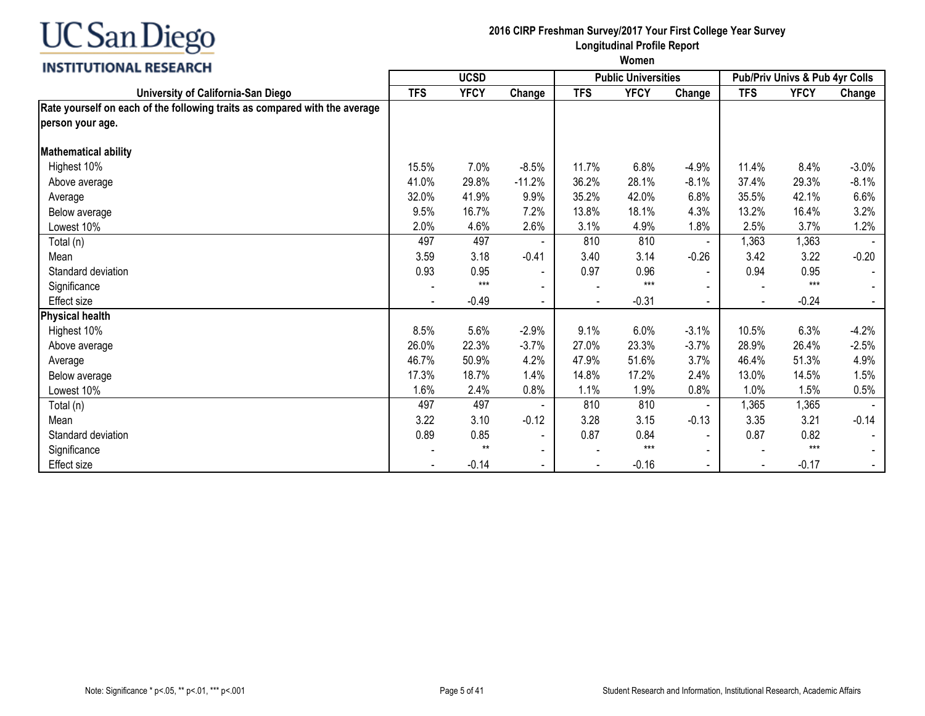

#### **2016 CIRP Freshman Survey/2017 Your First College Year Survey Longitudinal Profile Report**

| <b>INSTITUTIONAL RESEARCH</b>                                              | <b>UCSD</b> |             |                          |                | <b>Public Universities</b> |                | Pub/Priv Univs & Pub 4yr Colls |             |          |
|----------------------------------------------------------------------------|-------------|-------------|--------------------------|----------------|----------------------------|----------------|--------------------------------|-------------|----------|
| University of California-San Diego                                         | <b>TFS</b>  | <b>YFCY</b> | Change                   | <b>TFS</b>     | <b>YFCY</b>                | Change         | <b>TFS</b>                     | <b>YFCY</b> | Change   |
| Rate yourself on each of the following traits as compared with the average |             |             |                          |                |                            |                |                                |             |          |
| person your age.                                                           |             |             |                          |                |                            |                |                                |             |          |
| <b>Mathematical ability</b>                                                |             |             |                          |                |                            |                |                                |             |          |
| Highest 10%                                                                | 15.5%       | 7.0%        | $-8.5%$                  | 11.7%          | 6.8%                       | $-4.9%$        | 11.4%                          | 8.4%        | $-3.0\%$ |
| Above average                                                              | 41.0%       | 29.8%       | $-11.2%$                 | 36.2%          | 28.1%                      | $-8.1%$        | 37.4%                          | 29.3%       | $-8.1%$  |
| Average                                                                    | 32.0%       | 41.9%       | 9.9%                     | 35.2%          | 42.0%                      | 6.8%           | 35.5%                          | 42.1%       | 6.6%     |
| Below average                                                              | 9.5%        | 16.7%       | 7.2%                     | 13.8%          | 18.1%                      | 4.3%           | 13.2%                          | 16.4%       | 3.2%     |
| Lowest 10%                                                                 | 2.0%        | 4.6%        | 2.6%                     | 3.1%           | 4.9%                       | 1.8%           | 2.5%                           | 3.7%        | 1.2%     |
| Total (n)                                                                  | 497         | 497         |                          | 810            | 810                        |                | 1,363                          | 1,363       |          |
| Mean                                                                       | 3.59        | 3.18        | $-0.41$                  | 3.40           | 3.14                       | $-0.26$        | 3.42                           | 3.22        | $-0.20$  |
| Standard deviation                                                         | 0.93        | 0.95        | $\overline{\phantom{a}}$ | 0.97           | 0.96                       | $\blacksquare$ | 0.94                           | 0.95        |          |
| Significance                                                               |             | $***$       |                          |                | $***$                      |                |                                | $***$       |          |
| <b>Effect size</b>                                                         |             | $-0.49$     | $\blacksquare$           | $\blacksquare$ | $-0.31$                    | $\blacksquare$ |                                | $-0.24$     |          |
| <b>Physical health</b>                                                     |             |             |                          |                |                            |                |                                |             |          |
| Highest 10%                                                                | 8.5%        | 5.6%        | $-2.9%$                  | 9.1%           | 6.0%                       | $-3.1%$        | 10.5%                          | 6.3%        | $-4.2%$  |
| Above average                                                              | 26.0%       | 22.3%       | $-3.7%$                  | 27.0%          | 23.3%                      | $-3.7%$        | 28.9%                          | 26.4%       | $-2.5%$  |
| Average                                                                    | 46.7%       | 50.9%       | 4.2%                     | 47.9%          | 51.6%                      | 3.7%           | 46.4%                          | 51.3%       | 4.9%     |
| Below average                                                              | 17.3%       | 18.7%       | 1.4%                     | 14.8%          | 17.2%                      | 2.4%           | 13.0%                          | 14.5%       | 1.5%     |
| Lowest 10%                                                                 | 1.6%        | 2.4%        | 0.8%                     | 1.1%           | 1.9%                       | 0.8%           | 1.0%                           | 1.5%        | 0.5%     |
| Total (n)                                                                  | 497         | 497         |                          | 810            | 810                        | $\blacksquare$ | 1,365                          | 1,365       |          |
| Mean                                                                       | 3.22        | 3.10        | $-0.12$                  | 3.28           | 3.15                       | $-0.13$        | 3.35                           | 3.21        | $-0.14$  |
| Standard deviation                                                         | 0.89        | 0.85        | $\overline{\phantom{a}}$ | 0.87           | 0.84                       | $\blacksquare$ | 0.87                           | 0.82        |          |
| Significance                                                               |             | $**$        | $\blacksquare$           |                | $***$                      | $\blacksquare$ |                                | $***$       |          |
| Effect size                                                                |             | $-0.14$     |                          |                | $-0.16$                    | $\blacksquare$ |                                | $-0.17$     |          |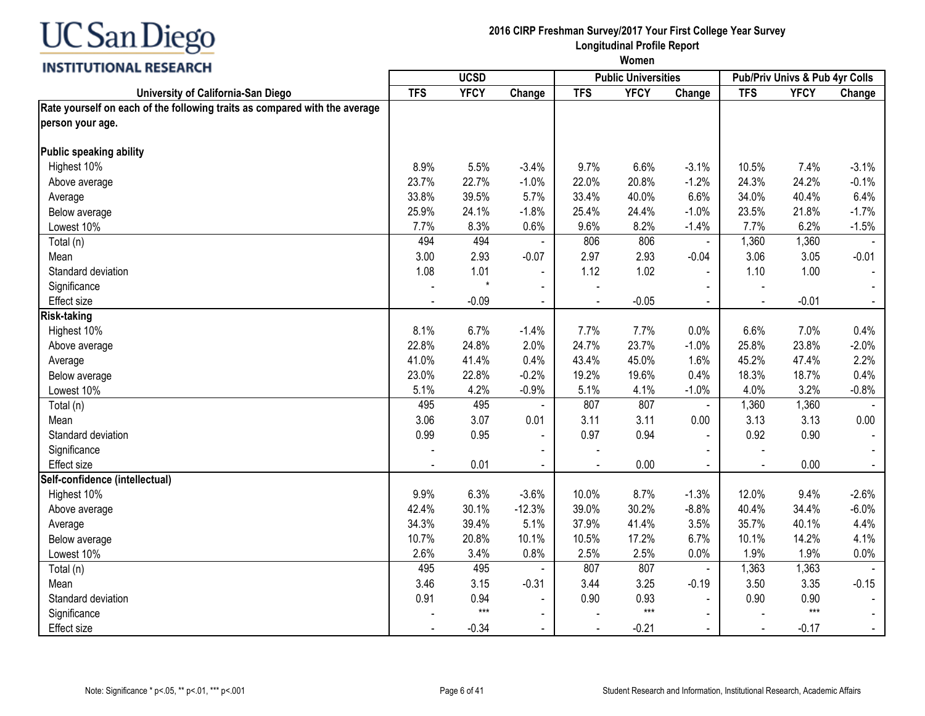

#### **2016 CIRP Freshman Survey/2017 Your First College Year Survey Longitudinal Profile Report**

| <b>INSTRUCTIONAL INSERING</b>                                              |            | <b>UCSD</b> |                |                | <b>Public Universities</b> |                |                | Pub/Priv Univs & Pub 4yr Colls |                |
|----------------------------------------------------------------------------|------------|-------------|----------------|----------------|----------------------------|----------------|----------------|--------------------------------|----------------|
| University of California-San Diego                                         | <b>TFS</b> | <b>YFCY</b> | Change         | <b>TFS</b>     | <b>YFCY</b>                | Change         | <b>TFS</b>     | <b>YFCY</b>                    | Change         |
| Rate yourself on each of the following traits as compared with the average |            |             |                |                |                            |                |                |                                |                |
| person your age.                                                           |            |             |                |                |                            |                |                |                                |                |
| Public speaking ability                                                    |            |             |                |                |                            |                |                |                                |                |
| Highest 10%                                                                | 8.9%       | 5.5%        | $-3.4%$        | 9.7%           | 6.6%                       | $-3.1%$        | 10.5%          | 7.4%                           | $-3.1%$        |
| Above average                                                              | 23.7%      | 22.7%       | $-1.0%$        | 22.0%          | 20.8%                      | $-1.2%$        | 24.3%          | 24.2%                          | $-0.1%$        |
| Average                                                                    | 33.8%      | 39.5%       | 5.7%           | 33.4%          | 40.0%                      | 6.6%           | 34.0%          | 40.4%                          | 6.4%           |
| Below average                                                              | 25.9%      | 24.1%       | $-1.8%$        | 25.4%          | 24.4%                      | $-1.0%$        | 23.5%          | 21.8%                          | $-1.7%$        |
| Lowest 10%                                                                 | 7.7%       | 8.3%        | 0.6%           | 9.6%           | 8.2%                       | $-1.4%$        | 7.7%           | 6.2%                           | $-1.5%$        |
| Total (n)                                                                  | 494        | 494         | $\blacksquare$ | 806            | 806                        | $\blacksquare$ | 1,360          | 1,360                          |                |
| Mean                                                                       | 3.00       | 2.93        | $-0.07$        | 2.97           | 2.93                       | $-0.04$        | 3.06           | 3.05                           | $-0.01$        |
| Standard deviation                                                         | 1.08       | 1.01        | $\blacksquare$ | 1.12           | 1.02                       | $\blacksquare$ | 1.10           | 1.00                           |                |
| Significance                                                               |            | $\star$     | $\blacksquare$ |                |                            |                | $\blacksquare$ |                                |                |
| <b>Effect size</b>                                                         |            | $-0.09$     | $\blacksquare$ |                | $-0.05$                    | $\blacksquare$ | $\blacksquare$ | $-0.01$                        | $\blacksquare$ |
| <b>Risk-taking</b>                                                         |            |             |                |                |                            |                |                |                                |                |
| Highest 10%                                                                | 8.1%       | 6.7%        | $-1.4%$        | 7.7%           | 7.7%                       | 0.0%           | 6.6%           | 7.0%                           | 0.4%           |
| Above average                                                              | 22.8%      | 24.8%       | 2.0%           | 24.7%          | 23.7%                      | $-1.0%$        | 25.8%          | 23.8%                          | $-2.0%$        |
| Average                                                                    | 41.0%      | 41.4%       | 0.4%           | 43.4%          | 45.0%                      | 1.6%           | 45.2%          | 47.4%                          | 2.2%           |
| Below average                                                              | 23.0%      | 22.8%       | $-0.2%$        | 19.2%          | 19.6%                      | 0.4%           | 18.3%          | 18.7%                          | 0.4%           |
| Lowest 10%                                                                 | 5.1%       | 4.2%        | $-0.9%$        | 5.1%           | 4.1%                       | $-1.0%$        | 4.0%           | 3.2%                           | $-0.8%$        |
| Total (n)                                                                  | 495        | 495         |                | 807            | 807                        | $\blacksquare$ | 1,360          | 1,360                          |                |
| Mean                                                                       | 3.06       | 3.07        | 0.01           | 3.11           | 3.11                       | 0.00           | 3.13           | 3.13                           | 0.00           |
| Standard deviation                                                         | 0.99       | 0.95        | $\blacksquare$ | 0.97           | 0.94                       |                | 0.92           | 0.90                           |                |
| Significance                                                               |            |             |                |                |                            |                |                |                                |                |
| Effect size                                                                |            | 0.01        | $\blacksquare$ | $\blacksquare$ | 0.00                       | $\blacksquare$ | $\blacksquare$ | 0.00                           | $\blacksquare$ |
| Self-confidence (intellectual)                                             |            |             |                |                |                            |                |                |                                |                |
| Highest 10%                                                                | 9.9%       | 6.3%        | $-3.6%$        | 10.0%          | 8.7%                       | $-1.3%$        | 12.0%          | 9.4%                           | $-2.6%$        |
| Above average                                                              | 42.4%      | 30.1%       | $-12.3%$       | 39.0%          | 30.2%                      | $-8.8%$        | 40.4%          | 34.4%                          | $-6.0%$        |
| Average                                                                    | 34.3%      | 39.4%       | 5.1%           | 37.9%          | 41.4%                      | 3.5%           | 35.7%          | 40.1%                          | 4.4%           |
| Below average                                                              | 10.7%      | 20.8%       | 10.1%          | 10.5%          | 17.2%                      | 6.7%           | 10.1%          | 14.2%                          | 4.1%           |
| Lowest 10%                                                                 | 2.6%       | 3.4%        | 0.8%           | 2.5%           | 2.5%                       | 0.0%           | 1.9%           | 1.9%                           | 0.0%           |
| Total (n)                                                                  | 495        | 495         |                | 807            | 807                        | $\blacksquare$ | 1,363          | 1,363                          |                |
| Mean                                                                       | 3.46       | 3.15        | $-0.31$        | 3.44           | 3.25                       | $-0.19$        | 3.50           | 3.35                           | $-0.15$        |
| Standard deviation                                                         | 0.91       | 0.94        | $\blacksquare$ | 0.90           | 0.93                       | $\blacksquare$ | 0.90           | 0.90                           |                |
| Significance                                                               |            | $***$       | $\blacksquare$ |                | $***$                      |                |                | $***$                          |                |
| Effect size                                                                |            | $-0.34$     | $\blacksquare$ | $\blacksquare$ | $-0.21$                    | $\blacksquare$ | $\blacksquare$ | $-0.17$                        | $\blacksquare$ |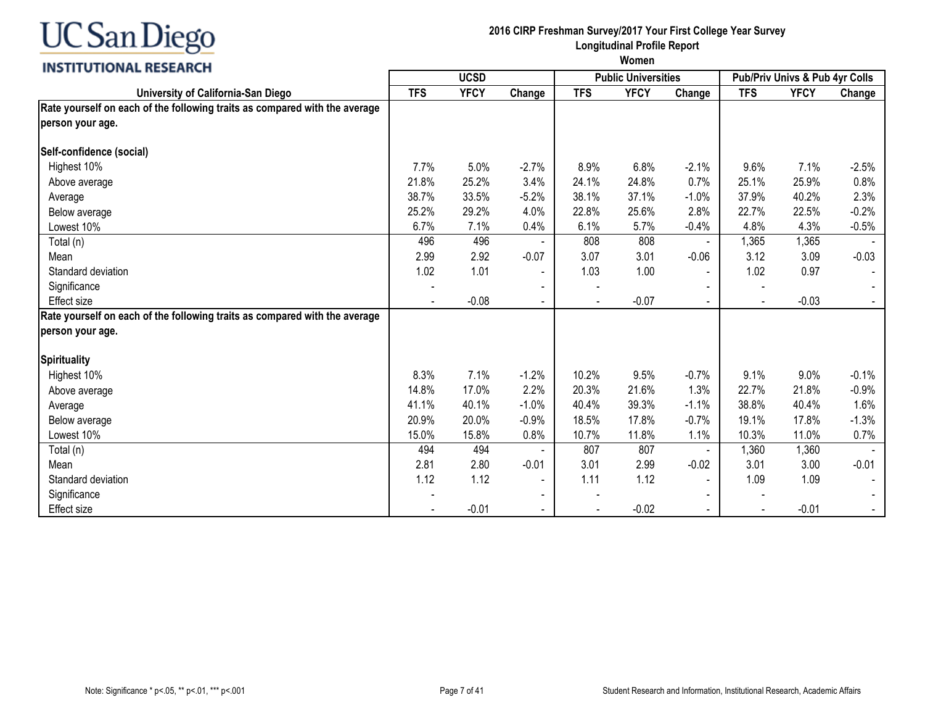

#### **2016 CIRP Freshman Survey/2017 Your First College Year Survey Longitudinal Profile Report**

|                                                                            |                | <b>UCSD</b> |                |            | <b>Public Universities</b> |                | <b>Pub/Priv Univs &amp; Pub 4yr Colls</b> |             |         |
|----------------------------------------------------------------------------|----------------|-------------|----------------|------------|----------------------------|----------------|-------------------------------------------|-------------|---------|
| University of California-San Diego                                         | <b>TFS</b>     | <b>YFCY</b> | Change         | <b>TFS</b> | <b>YFCY</b>                | Change         | <b>TFS</b>                                | <b>YFCY</b> | Change  |
| Rate yourself on each of the following traits as compared with the average |                |             |                |            |                            |                |                                           |             |         |
| person your age.                                                           |                |             |                |            |                            |                |                                           |             |         |
| Self-confidence (social)                                                   |                |             |                |            |                            |                |                                           |             |         |
| Highest 10%                                                                | 7.7%           | 5.0%        | $-2.7%$        | 8.9%       | 6.8%                       | $-2.1%$        | 9.6%                                      | 7.1%        | $-2.5%$ |
| Above average                                                              | 21.8%          | 25.2%       | 3.4%           | 24.1%      | 24.8%                      | 0.7%           | 25.1%                                     | 25.9%       | 0.8%    |
| Average                                                                    | 38.7%          | 33.5%       | $-5.2%$        | 38.1%      | 37.1%                      | $-1.0%$        | 37.9%                                     | 40.2%       | 2.3%    |
| Below average                                                              | 25.2%          | 29.2%       | 4.0%           | 22.8%      | 25.6%                      | 2.8%           | 22.7%                                     | 22.5%       | $-0.2%$ |
| Lowest 10%                                                                 | 6.7%           | 7.1%        | 0.4%           | 6.1%       | 5.7%                       | $-0.4%$        | 4.8%                                      | 4.3%        | $-0.5%$ |
| Total (n)                                                                  | 496            | 496         |                | 808        | 808                        | $\blacksquare$ | 1,365                                     | 1,365       |         |
| Mean                                                                       | 2.99           | 2.92        | $-0.07$        | 3.07       | 3.01                       | $-0.06$        | 3.12                                      | 3.09        | $-0.03$ |
| Standard deviation                                                         | 1.02           | 1.01        | $\blacksquare$ | 1.03       | 1.00                       | $\overline{a}$ | 1.02                                      | 0.97        |         |
| Significance                                                               |                |             |                |            |                            |                |                                           |             |         |
| <b>Effect size</b>                                                         | $\blacksquare$ | $-0.08$     | $\blacksquare$ |            | $-0.07$                    | $\Delta$       | $\blacksquare$                            | $-0.03$     |         |
| Rate yourself on each of the following traits as compared with the average |                |             |                |            |                            |                |                                           |             |         |
| person your age.                                                           |                |             |                |            |                            |                |                                           |             |         |
| <b>Spirituality</b>                                                        |                |             |                |            |                            |                |                                           |             |         |
| Highest 10%                                                                | 8.3%           | 7.1%        | $-1.2%$        | 10.2%      | 9.5%                       | $-0.7%$        | 9.1%                                      | 9.0%        | $-0.1%$ |
| Above average                                                              | 14.8%          | 17.0%       | 2.2%           | 20.3%      | 21.6%                      | 1.3%           | 22.7%                                     | 21.8%       | $-0.9%$ |
| Average                                                                    | 41.1%          | 40.1%       | $-1.0%$        | 40.4%      | 39.3%                      | $-1.1%$        | 38.8%                                     | 40.4%       | 1.6%    |
| Below average                                                              | 20.9%          | 20.0%       | $-0.9%$        | 18.5%      | 17.8%                      | $-0.7%$        | 19.1%                                     | 17.8%       | $-1.3%$ |
| Lowest 10%                                                                 | 15.0%          | 15.8%       | 0.8%           | 10.7%      | 11.8%                      | 1.1%           | 10.3%                                     | 11.0%       | 0.7%    |
| Total (n)                                                                  | 494            | 494         |                | 807        | 807                        | $\blacksquare$ | 1,360                                     | 1,360       |         |
| Mean                                                                       | 2.81           | 2.80        | $-0.01$        | 3.01       | 2.99                       | $-0.02$        | 3.01                                      | 3.00        | $-0.01$ |
| Standard deviation                                                         | 1.12           | 1.12        | $\blacksquare$ | 1.11       | 1.12                       | $\sim$         | 1.09                                      | 1.09        |         |
| Significance                                                               |                |             |                |            |                            |                |                                           |             |         |
| <b>Effect size</b>                                                         |                | $-0.01$     |                |            | $-0.02$                    |                |                                           | $-0.01$     |         |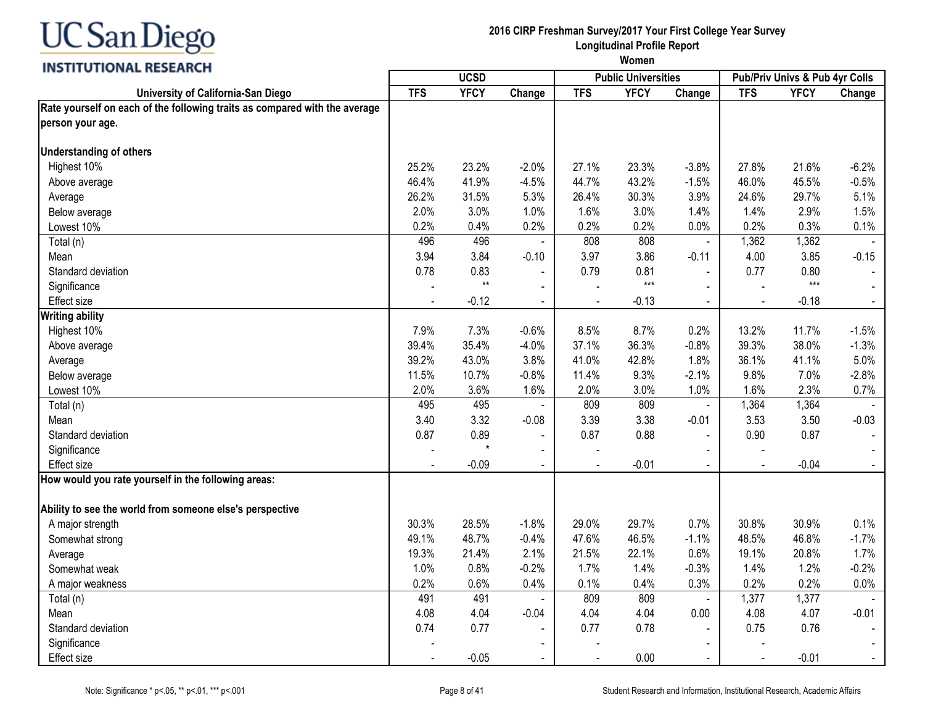

#### **2016 CIRP Freshman Survey/2017 Your First College Year Survey Longitudinal Profile Report**

| <b>INSTRUCTIONAL BESEARCH</b>                                                                  |            | <b>UCSD</b>  |                |                | <b>Public Universities</b> |                          |                | Pub/Priv Univs & Pub 4yr Colls |                |
|------------------------------------------------------------------------------------------------|------------|--------------|----------------|----------------|----------------------------|--------------------------|----------------|--------------------------------|----------------|
| University of California-San Diego                                                             | <b>TFS</b> | <b>YFCY</b>  | Change         | <b>TFS</b>     | <b>YFCY</b>                | Change                   | <b>TFS</b>     | <b>YFCY</b>                    | Change         |
| Rate yourself on each of the following traits as compared with the average<br>person your age. |            |              |                |                |                            |                          |                |                                |                |
| <b>Understanding of others</b>                                                                 |            |              |                |                |                            |                          |                |                                |                |
| Highest 10%                                                                                    | 25.2%      | 23.2%        | $-2.0%$        | 27.1%          | 23.3%                      | $-3.8%$                  | 27.8%          | 21.6%                          | $-6.2%$        |
| Above average                                                                                  | 46.4%      | 41.9%        | $-4.5%$        | 44.7%          | 43.2%                      | $-1.5%$                  | 46.0%          | 45.5%                          | $-0.5%$        |
| Average                                                                                        | 26.2%      | 31.5%        | 5.3%           | 26.4%          | 30.3%                      | 3.9%                     | 24.6%          | 29.7%                          | 5.1%           |
| Below average                                                                                  | 2.0%       | 3.0%         | 1.0%           | 1.6%           | 3.0%                       | 1.4%                     | 1.4%           | 2.9%                           | 1.5%           |
| Lowest 10%                                                                                     | 0.2%       | 0.4%         | 0.2%           | 0.2%           | 0.2%                       | 0.0%                     | 0.2%           | 0.3%                           | 0.1%           |
| Total (n)                                                                                      | 496        | 496          |                | 808            | 808                        | $\overline{\phantom{a}}$ | 1,362          | 1,362                          |                |
| Mean                                                                                           | 3.94       | 3.84         | $-0.10$        | 3.97           | 3.86                       | $-0.11$                  | 4.00           | 3.85                           | $-0.15$        |
| Standard deviation                                                                             | 0.78       | 0.83         |                | 0.79           | 0.81                       | $\blacksquare$           | 0.77           | 0.80                           |                |
| Significance                                                                                   |            | $\star\star$ |                |                | $***$                      |                          |                | $***$                          |                |
| Effect size                                                                                    |            | $-0.12$      | $\blacksquare$ |                | $-0.13$                    | $\blacksquare$           | $\blacksquare$ | $-0.18$                        | $\blacksquare$ |
| <b>Writing ability</b>                                                                         |            |              |                |                |                            |                          |                |                                |                |
| Highest 10%                                                                                    | 7.9%       | 7.3%         | $-0.6%$        | 8.5%           | 8.7%                       | 0.2%                     | 13.2%          | 11.7%                          | $-1.5%$        |
| Above average                                                                                  | 39.4%      | 35.4%        | $-4.0%$        | 37.1%          | 36.3%                      | $-0.8%$                  | 39.3%          | 38.0%                          | $-1.3%$        |
| Average                                                                                        | 39.2%      | 43.0%        | 3.8%           | 41.0%          | 42.8%                      | 1.8%                     | 36.1%          | 41.1%                          | 5.0%           |
| Below average                                                                                  | 11.5%      | 10.7%        | $-0.8%$        | 11.4%          | 9.3%                       | $-2.1%$                  | 9.8%           | 7.0%                           | $-2.8%$        |
| Lowest 10%                                                                                     | 2.0%       | 3.6%         | 1.6%           | 2.0%           | 3.0%                       | 1.0%                     | 1.6%           | 2.3%                           | 0.7%           |
| Total (n)                                                                                      | 495        | 495          |                | 809            | 809                        | $\blacksquare$           | 1,364          | 1,364                          |                |
| Mean                                                                                           | 3.40       | 3.32         | $-0.08$        | 3.39           | 3.38                       | $-0.01$                  | 3.53           | 3.50                           | $-0.03$        |
| Standard deviation                                                                             | 0.87       | 0.89         |                | 0.87           | 0.88                       | $\overline{a}$           | 0.90           | 0.87                           |                |
| Significance                                                                                   |            |              | $\sim$         |                |                            | $\sim$                   |                |                                |                |
| <b>Effect size</b>                                                                             |            | $-0.09$      | $\blacksquare$ |                | $-0.01$                    | $\blacksquare$           |                | $-0.04$                        |                |
| How would you rate yourself in the following areas:                                            |            |              |                |                |                            |                          |                |                                |                |
| Ability to see the world from someone else's perspective                                       |            |              |                |                |                            |                          |                |                                |                |
| A major strength                                                                               | 30.3%      | 28.5%        | $-1.8%$        | 29.0%          | 29.7%                      | 0.7%                     | 30.8%          | 30.9%                          | 0.1%           |
| Somewhat strong                                                                                | 49.1%      | 48.7%        | $-0.4%$        | 47.6%          | 46.5%                      | $-1.1%$                  | 48.5%          | 46.8%                          | $-1.7%$        |
| Average                                                                                        | 19.3%      | 21.4%        | 2.1%           | 21.5%          | 22.1%                      | 0.6%                     | 19.1%          | 20.8%                          | 1.7%           |
| Somewhat weak                                                                                  | 1.0%       | 0.8%         | $-0.2%$        | 1.7%           | 1.4%                       | $-0.3%$                  | 1.4%           | 1.2%                           | $-0.2%$        |
| A major weakness                                                                               | 0.2%       | 0.6%         | 0.4%           | 0.1%           | 0.4%                       | 0.3%                     | 0.2%           | 0.2%                           | 0.0%           |
| Total (n)                                                                                      | 491        | 491          |                | 809            | 809                        | $\blacksquare$           | 1,377          | 1,377                          |                |
| Mean                                                                                           | 4.08       | 4.04         | $-0.04$        | 4.04           | 4.04                       | 0.00                     | 4.08           | 4.07                           | $-0.01$        |
| Standard deviation                                                                             | 0.74       | 0.77         |                | 0.77           | 0.78                       | $\sim$                   | 0.75           | 0.76                           |                |
| Significance                                                                                   |            |              |                |                |                            |                          |                |                                |                |
| <b>Effect size</b>                                                                             |            | $-0.05$      | $\blacksquare$ | $\blacksquare$ | 0.00                       | $\blacksquare$           | $\blacksquare$ | $-0.01$                        | $\sim$         |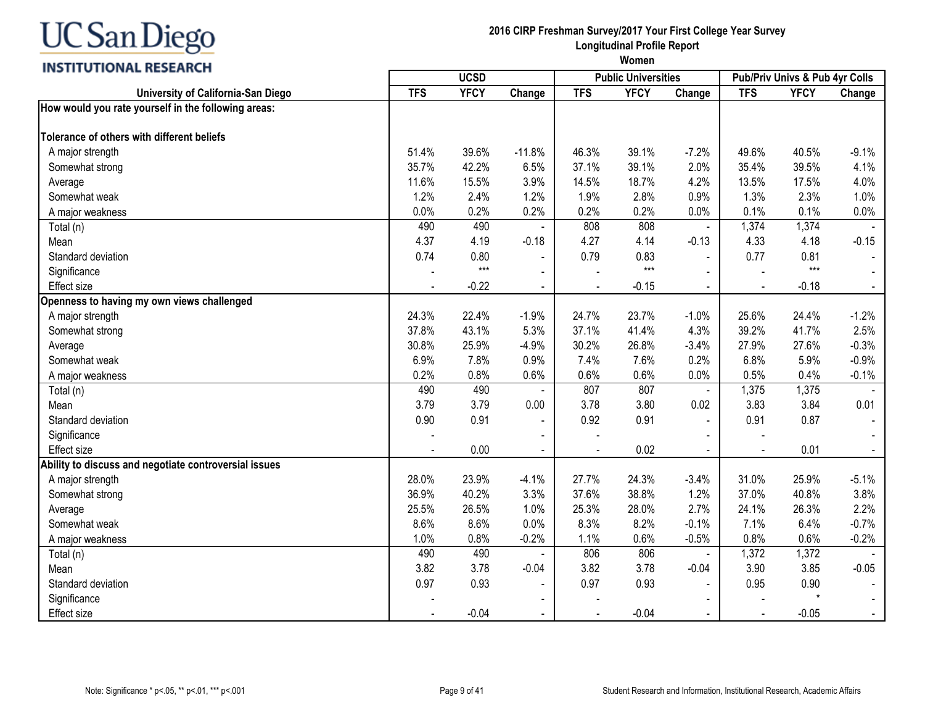#### **INSTITUTIONAL RESEARCH**

## **2016 CIRP Freshman Survey/2017 Your First College Year Survey Longitudinal Profile Report**

| "                                                     | <b>UCSD</b> |             |                |            | <b>Public Universities</b> |                | Pub/Priv Univs & Pub 4yr Colls |             |         |
|-------------------------------------------------------|-------------|-------------|----------------|------------|----------------------------|----------------|--------------------------------|-------------|---------|
| University of California-San Diego                    | <b>TFS</b>  | <b>YFCY</b> | Change         | <b>TFS</b> | <b>YFCY</b>                | Change         | <b>TFS</b>                     | <b>YFCY</b> | Change  |
| How would you rate yourself in the following areas:   |             |             |                |            |                            |                |                                |             |         |
| Tolerance of others with different beliefs            |             |             |                |            |                            |                |                                |             |         |
| A major strength                                      | 51.4%       | 39.6%       | $-11.8%$       | 46.3%      | 39.1%                      | $-7.2%$        | 49.6%                          | 40.5%       | $-9.1%$ |
| Somewhat strong                                       | 35.7%       | 42.2%       | 6.5%           | 37.1%      | 39.1%                      | 2.0%           | 35.4%                          | 39.5%       | 4.1%    |
| Average                                               | 11.6%       | 15.5%       | 3.9%           | 14.5%      | 18.7%                      | 4.2%           | 13.5%                          | 17.5%       | 4.0%    |
| Somewhat weak                                         | 1.2%        | 2.4%        | 1.2%           | 1.9%       | 2.8%                       | 0.9%           | 1.3%                           | 2.3%        | 1.0%    |
| A major weakness                                      | 0.0%        | 0.2%        | 0.2%           | 0.2%       | 0.2%                       | 0.0%           | 0.1%                           | 0.1%        | 0.0%    |
| Total (n)                                             | 490         | 490         |                | 808        | 808                        | $\blacksquare$ | 1,374                          | 1,374       |         |
| Mean                                                  | 4.37        | 4.19        | $-0.18$        | 4.27       | 4.14                       | $-0.13$        | 4.33                           | 4.18        | $-0.15$ |
| Standard deviation                                    | 0.74        | 0.80        |                | 0.79       | 0.83                       |                | 0.77                           | 0.81        |         |
| Significance                                          |             | $***$       |                |            | $***$                      |                |                                | $***$       |         |
| <b>Effect size</b>                                    |             | $-0.22$     |                |            | $-0.15$                    |                |                                | $-0.18$     |         |
| Openness to having my own views challenged            |             |             |                |            |                            |                |                                |             |         |
| A major strength                                      | 24.3%       | 22.4%       | $-1.9%$        | 24.7%      | 23.7%                      | $-1.0%$        | 25.6%                          | 24.4%       | $-1.2%$ |
| Somewhat strong                                       | 37.8%       | 43.1%       | 5.3%           | 37.1%      | 41.4%                      | 4.3%           | 39.2%                          | 41.7%       | 2.5%    |
| Average                                               | 30.8%       | 25.9%       | $-4.9%$        | 30.2%      | 26.8%                      | $-3.4%$        | 27.9%                          | 27.6%       | $-0.3%$ |
| Somewhat weak                                         | 6.9%        | 7.8%        | 0.9%           | 7.4%       | 7.6%                       | 0.2%           | 6.8%                           | 5.9%        | $-0.9%$ |
| A major weakness                                      | 0.2%        | 0.8%        | 0.6%           | 0.6%       | 0.6%                       | 0.0%           | 0.5%                           | 0.4%        | $-0.1%$ |
| Total (n)                                             | 490         | 490         |                | 807        | 807                        | $\blacksquare$ | 1,375                          | 1,375       |         |
| Mean                                                  | 3.79        | 3.79        | 0.00           | 3.78       | 3.80                       | 0.02           | 3.83                           | 3.84        | 0.01    |
| Standard deviation                                    | 0.90        | 0.91        | $\blacksquare$ | 0.92       | 0.91                       |                | 0.91                           | 0.87        |         |
| Significance                                          |             |             |                |            |                            |                |                                |             |         |
| <b>Effect size</b>                                    |             | 0.00        |                |            | 0.02                       | $\mathbf{r}$   |                                | 0.01        |         |
| Ability to discuss and negotiate controversial issues |             |             |                |            |                            |                |                                |             |         |
| A major strength                                      | 28.0%       | 23.9%       | $-4.1%$        | 27.7%      | 24.3%                      | $-3.4%$        | 31.0%                          | 25.9%       | $-5.1%$ |
| Somewhat strong                                       | 36.9%       | 40.2%       | 3.3%           | 37.6%      | 38.8%                      | 1.2%           | 37.0%                          | 40.8%       | 3.8%    |
| Average                                               | 25.5%       | 26.5%       | 1.0%           | 25.3%      | 28.0%                      | 2.7%           | 24.1%                          | 26.3%       | 2.2%    |
| Somewhat weak                                         | 8.6%        | 8.6%        | 0.0%           | 8.3%       | 8.2%                       | $-0.1%$        | 7.1%                           | 6.4%        | $-0.7%$ |
| A major weakness                                      | 1.0%        | 0.8%        | $-0.2%$        | 1.1%       | 0.6%                       | $-0.5%$        | 0.8%                           | 0.6%        | $-0.2%$ |
| Total (n)                                             | 490         | 490         |                | 806        | 806                        | $\blacksquare$ | 1,372                          | 1,372       |         |
| Mean                                                  | 3.82        | 3.78        | $-0.04$        | 3.82       | 3.78                       | $-0.04$        | 3.90                           | 3.85        | $-0.05$ |
| Standard deviation                                    | 0.97        | 0.93        | $\blacksquare$ | 0.97       | 0.93                       | $\mathbf{r}$   | 0.95                           | 0.90        |         |
| Significance                                          |             |             |                |            |                            |                |                                | $\star$     |         |
| <b>Effect size</b>                                    |             | $-0.04$     |                |            | $-0.04$                    |                |                                | $-0.05$     |         |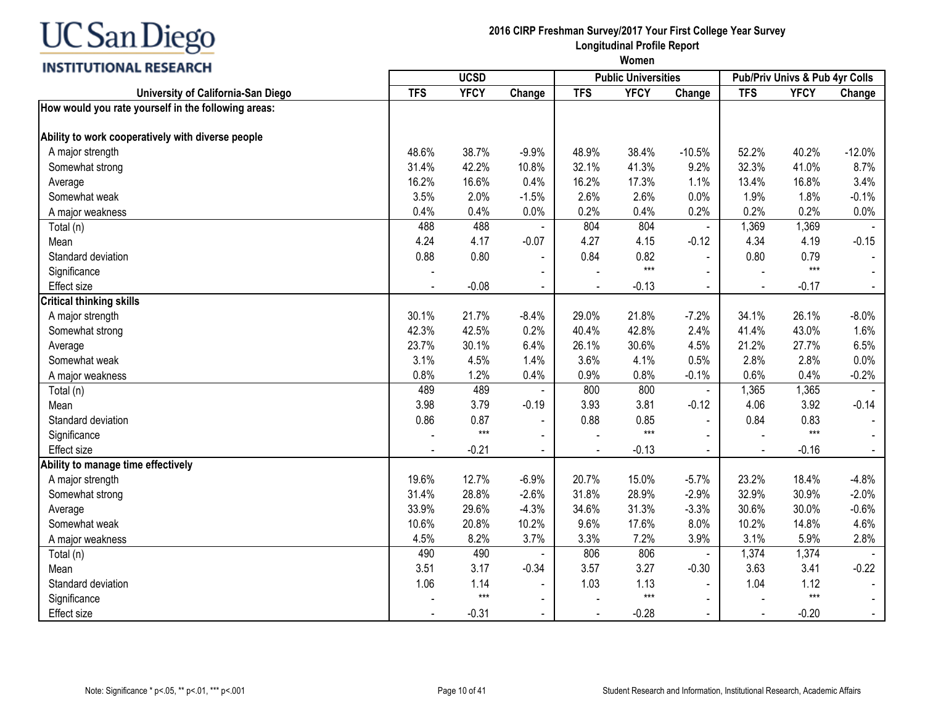## **INSTITUTIONAL RESEARCH**

## **2016 CIRP Freshman Survey/2017 Your First College Year Survey Longitudinal Profile Report**

**Women UCSD Public Universities Pub/Priv Univs & Pub 4yr Colls**

| <b>INSTERNATIONAL RESEARCH</b>                      |            | <b>UCSD</b> |                          |            | <b>Public Universities</b> |                | Pub/Priv Univs & Pub 4yr Colls |             |                  |
|-----------------------------------------------------|------------|-------------|--------------------------|------------|----------------------------|----------------|--------------------------------|-------------|------------------|
| University of California-San Diego                  | <b>TFS</b> | <b>YFCY</b> | Change                   | <b>TFS</b> | <b>YFCY</b>                | Change         | <b>TFS</b>                     | <b>YFCY</b> | Change           |
| How would you rate yourself in the following areas: |            |             |                          |            |                            |                |                                |             |                  |
| Ability to work cooperatively with diverse people   |            |             |                          |            |                            |                |                                |             |                  |
| A major strength                                    | 48.6%      | 38.7%       | $-9.9%$                  | 48.9%      | 38.4%                      | $-10.5%$       | 52.2%                          | 40.2%       | $-12.0%$         |
| Somewhat strong                                     | 31.4%      | 42.2%       | 10.8%                    | 32.1%      | 41.3%                      | 9.2%           | 32.3%                          | 41.0%       | 8.7%             |
| Average                                             | 16.2%      | 16.6%       | 0.4%                     | 16.2%      | 17.3%                      | 1.1%           | 13.4%                          | 16.8%       | 3.4%             |
| Somewhat weak                                       | 3.5%       | 2.0%        | $-1.5%$                  | 2.6%       | 2.6%                       | 0.0%           | 1.9%                           | 1.8%        | $-0.1%$          |
| A major weakness                                    | 0.4%       | 0.4%        | 0.0%                     | 0.2%       | 0.4%                       | 0.2%           | 0.2%                           | 0.2%        | 0.0%             |
| Total (n)                                           | 488        | 488         |                          | 804        | 804                        | $\blacksquare$ | 1,369                          | 1,369       |                  |
| Mean                                                | 4.24       | 4.17        | $-0.07$                  | 4.27       | 4.15                       | $-0.12$        | 4.34                           | 4.19        | $-0.15$          |
| Standard deviation                                  | 0.88       | 0.80        |                          | 0.84       | 0.82                       |                | 0.80                           | 0.79        |                  |
| Significance                                        |            |             | $\blacksquare$           |            | $***$                      |                |                                | $***$       |                  |
| <b>Effect size</b>                                  |            | $-0.08$     | $\blacksquare$           |            | $-0.13$                    |                |                                | $-0.17$     | $\omega_{\rm c}$ |
| <b>Critical thinking skills</b>                     |            |             |                          |            |                            |                |                                |             |                  |
| A major strength                                    | 30.1%      | 21.7%       | $-8.4%$                  | 29.0%      | 21.8%                      | $-7.2%$        | 34.1%                          | 26.1%       | $-8.0\%$         |
| Somewhat strong                                     | 42.3%      | 42.5%       | 0.2%                     | 40.4%      | 42.8%                      | 2.4%           | 41.4%                          | 43.0%       | 1.6%             |
| Average                                             | 23.7%      | 30.1%       | 6.4%                     | 26.1%      | 30.6%                      | 4.5%           | 21.2%                          | 27.7%       | 6.5%             |
| Somewhat weak                                       | 3.1%       | 4.5%        | 1.4%                     | 3.6%       | 4.1%                       | 0.5%           | 2.8%                           | 2.8%        | 0.0%             |
| A major weakness                                    | 0.8%       | 1.2%        | 0.4%                     | 0.9%       | 0.8%                       | $-0.1%$        | 0.6%                           | 0.4%        | $-0.2%$          |
| Total (n)                                           | 489        | 489         |                          | 800        | 800                        |                | 1,365                          | 1,365       |                  |
| Mean                                                | 3.98       | 3.79        | $-0.19$                  | 3.93       | 3.81                       | $-0.12$        | 4.06                           | 3.92        | $-0.14$          |
| Standard deviation                                  | 0.86       | 0.87        | $\overline{\phantom{a}}$ | 0.88       | 0.85                       | $\blacksquare$ | 0.84                           | 0.83        |                  |
| Significance                                        |            | $***$       | $\blacksquare$           |            | $***$                      |                |                                | $***$       |                  |
| <b>Effect size</b>                                  |            | $-0.21$     | $\blacksquare$           |            | $-0.13$                    | $\blacksquare$ |                                | $-0.16$     | $\omega_{\rm c}$ |
| Ability to manage time effectively                  |            |             |                          |            |                            |                |                                |             |                  |
| A major strength                                    | 19.6%      | 12.7%       | $-6.9%$                  | 20.7%      | 15.0%                      | $-5.7%$        | 23.2%                          | 18.4%       | $-4.8%$          |
| Somewhat strong                                     | 31.4%      | 28.8%       | $-2.6%$                  | 31.8%      | 28.9%                      | $-2.9%$        | 32.9%                          | 30.9%       | $-2.0%$          |
| Average                                             | 33.9%      | 29.6%       | $-4.3%$                  | 34.6%      | 31.3%                      | $-3.3%$        | 30.6%                          | 30.0%       | $-0.6%$          |
| Somewhat weak                                       | 10.6%      | 20.8%       | 10.2%                    | 9.6%       | 17.6%                      | 8.0%           | 10.2%                          | 14.8%       | 4.6%             |
| A major weakness                                    | 4.5%       | 8.2%        | 3.7%                     | 3.3%       | 7.2%                       | 3.9%           | 3.1%                           | 5.9%        | 2.8%             |
| Total (n)                                           | 490        | 490         |                          | 806        | 806                        |                | 1,374                          | 1,374       |                  |
| Mean                                                | 3.51       | 3.17        | $-0.34$                  | 3.57       | 3.27                       | $-0.30$        | 3.63                           | 3.41        | $-0.22$          |
| Standard deviation                                  | 1.06       | 1.14        | $\blacksquare$           | 1.03       | 1.13                       | $\blacksquare$ | 1.04                           | 1.12        |                  |
| Significance                                        |            | $***$       | $\blacksquare$           |            | $***$                      |                |                                | $***$       |                  |
| Effect size                                         |            | $-0.31$     |                          |            | $-0.28$                    |                |                                | $-0.20$     | $\blacksquare$   |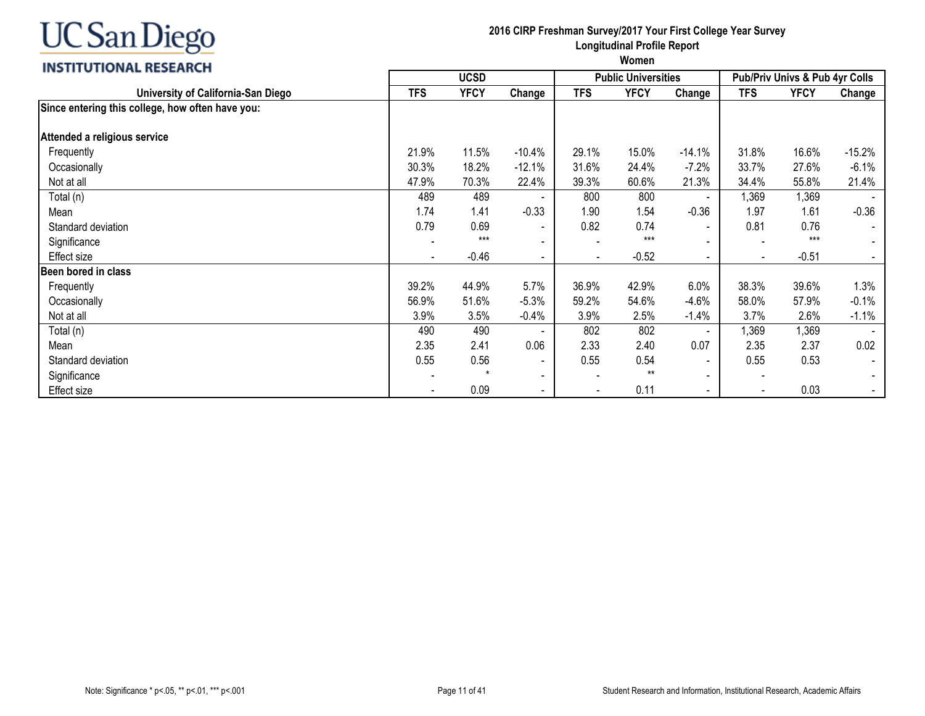#### **INSTITUTIONAL RESEARCH**

| <b>INSTITUTIONAL RESEARCH</b>                    | <b>UCSD</b> |             |                          |                          | <b>Public Universities</b> |                          | <b>Pub/Priv Univs &amp; Pub 4yr Colls</b> |             |                |  |
|--------------------------------------------------|-------------|-------------|--------------------------|--------------------------|----------------------------|--------------------------|-------------------------------------------|-------------|----------------|--|
| University of California-San Diego               | <b>TFS</b>  | <b>YFCY</b> | Change                   | <b>TFS</b>               | <b>YFCY</b>                | Change                   | <b>TFS</b>                                | <b>YFCY</b> | Change         |  |
| Since entering this college, how often have you: |             |             |                          |                          |                            |                          |                                           |             |                |  |
| Attended a religious service                     |             |             |                          |                          |                            |                          |                                           |             |                |  |
| Frequently                                       | 21.9%       | 11.5%       | $-10.4%$                 | 29.1%                    | 15.0%                      | $-14.1%$                 | 31.8%                                     | 16.6%       | $-15.2%$       |  |
| Occasionally                                     | 30.3%       | 18.2%       | $-12.1%$                 | 31.6%                    | 24.4%                      | $-7.2%$                  | 33.7%                                     | 27.6%       | $-6.1%$        |  |
| Not at all                                       | 47.9%       | 70.3%       | 22.4%                    | 39.3%                    | 60.6%                      | 21.3%                    | 34.4%                                     | 55.8%       | 21.4%          |  |
| Total (n)                                        | 489         | 489         |                          | 800                      | 800                        |                          | 1,369                                     | 1,369       |                |  |
| Mean                                             | 1.74        | 1.41        | $-0.33$                  | 1.90                     | 1.54                       | $-0.36$                  | 1.97                                      | 1.61        | $-0.36$        |  |
| Standard deviation                               | 0.79        | 0.69        | $\overline{\phantom{a}}$ | 0.82                     | 0.74                       | $\blacksquare$           | 0.81                                      | 0.76        |                |  |
| Significance                                     |             | $***$       | $\overline{\phantom{a}}$ |                          | $***$                      |                          |                                           | $***$       |                |  |
| Effect size                                      |             | $-0.46$     | $\overline{\phantom{a}}$ |                          | $-0.52$                    | $\blacksquare$           |                                           | $-0.51$     |                |  |
| Been bored in class                              |             |             |                          |                          |                            |                          |                                           |             |                |  |
| Frequently                                       | 39.2%       | 44.9%       | 5.7%                     | 36.9%                    | 42.9%                      | 6.0%                     | 38.3%                                     | 39.6%       | 1.3%           |  |
| Occasionally                                     | 56.9%       | 51.6%       | $-5.3%$                  | 59.2%                    | 54.6%                      | $-4.6%$                  | 58.0%                                     | 57.9%       | $-0.1%$        |  |
| Not at all                                       | 3.9%        | 3.5%        | $-0.4%$                  | 3.9%                     | 2.5%                       | $-1.4%$                  | 3.7%                                      | 2.6%        | $-1.1%$        |  |
| Total (n)                                        | 490         | 490         |                          | 802                      | 802                        | $\overline{\phantom{a}}$ | 1,369                                     | 1,369       |                |  |
| Mean                                             | 2.35        | 2.41        | 0.06                     | 2.33                     | 2.40                       | 0.07                     | 2.35                                      | 2.37        | 0.02           |  |
| Standard deviation                               | 0.55        | 0.56        |                          | 0.55                     | 0.54                       | $\overline{\phantom{a}}$ | 0.55                                      | 0.53        | $\blacksquare$ |  |
| Significance                                     |             |             | $\overline{\phantom{a}}$ | $\overline{\phantom{a}}$ | $***$                      | $\blacksquare$           | $\overline{\phantom{a}}$                  |             | $\blacksquare$ |  |
| Effect size                                      |             | 0.09        | $\sim$                   | $\overline{\phantom{a}}$ | 0.11                       | $\blacksquare$           | $\sim$                                    | 0.03        |                |  |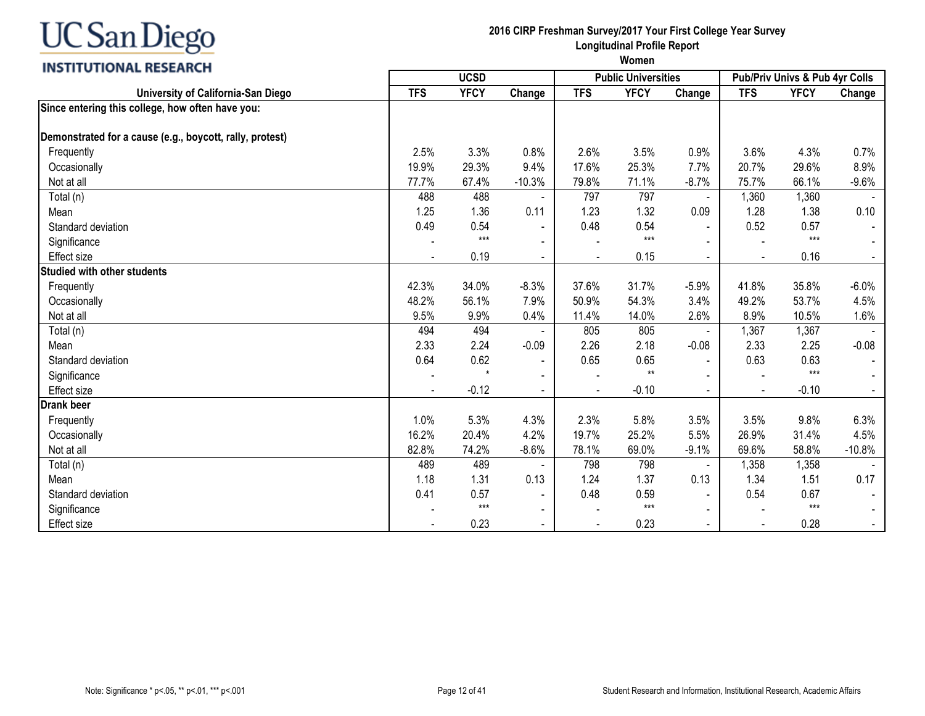#### **INSTITUTIONAL RESEARCH**

|                                                          | <b>UCSD</b> |                      |                          |                          | <b>Public Universities</b> |                          | <b>Pub/Priv Univs &amp; Pub 4yr Colls</b> |             |          |
|----------------------------------------------------------|-------------|----------------------|--------------------------|--------------------------|----------------------------|--------------------------|-------------------------------------------|-------------|----------|
| University of California-San Diego                       | <b>TFS</b>  | <b>YFCY</b>          | Change                   | <b>TFS</b>               | <b>YFCY</b>                | Change                   | <b>TFS</b>                                | <b>YFCY</b> | Change   |
| Since entering this college, how often have you:         |             |                      |                          |                          |                            |                          |                                           |             |          |
| Demonstrated for a cause (e.g., boycott, rally, protest) |             |                      |                          |                          |                            |                          |                                           |             |          |
| Frequently                                               | 2.5%        | 3.3%                 | 0.8%                     | 2.6%                     | 3.5%                       | 0.9%                     | 3.6%                                      | 4.3%        | 0.7%     |
| Occasionally                                             | 19.9%       | 29.3%                | 9.4%                     | 17.6%                    | 25.3%                      | 7.7%                     | 20.7%                                     | 29.6%       | 8.9%     |
| Not at all                                               | 77.7%       | 67.4%                | $-10.3%$                 | 79.8%                    | 71.1%                      | $-8.7%$                  | 75.7%                                     | 66.1%       | $-9.6%$  |
| Total (n)                                                | 488         | 488                  |                          | 797                      | 797                        | $\blacksquare$           | 1,360                                     | 1,360       |          |
| Mean                                                     | 1.25        | 1.36                 | 0.11                     | 1.23                     | 1.32                       | 0.09                     | 1.28                                      | 1.38        | 0.10     |
| Standard deviation                                       | 0.49        | 0.54                 | $\blacksquare$           | 0.48                     | 0.54                       | $\blacksquare$           | 0.52                                      | 0.57        |          |
| Significance                                             |             | $***$                |                          |                          | $***$                      |                          |                                           | $***$       |          |
| <b>Effect size</b>                                       |             | 0.19                 | $\blacksquare$           | $\overline{\phantom{a}}$ | 0.15                       | $\blacksquare$           | $\blacksquare$                            | 0.16        |          |
| <b>Studied with other students</b>                       |             |                      |                          |                          |                            |                          |                                           |             |          |
| Frequently                                               | 42.3%       | 34.0%                | $-8.3%$                  | 37.6%                    | 31.7%                      | $-5.9%$                  | 41.8%                                     | 35.8%       | $-6.0%$  |
| Occasionally                                             | 48.2%       | 56.1%                | 7.9%                     | 50.9%                    | 54.3%                      | 3.4%                     | 49.2%                                     | 53.7%       | 4.5%     |
| Not at all                                               | 9.5%        | 9.9%                 | 0.4%                     | 11.4%                    | 14.0%                      | 2.6%                     | 8.9%                                      | 10.5%       | 1.6%     |
| Total (n)                                                | 494         | 494                  |                          | 805                      | 805                        | $\overline{\phantom{a}}$ | 1,367                                     | 1,367       |          |
| Mean                                                     | 2.33        | 2.24                 | $-0.09$                  | 2.26                     | 2.18                       | $-0.08$                  | 2.33                                      | 2.25        | $-0.08$  |
| Standard deviation                                       | 0.64        | 0.62                 |                          | 0.65                     | 0.65                       |                          | 0.63                                      | 0.63        |          |
| Significance                                             |             | $\ddot{\phantom{0}}$ |                          |                          | $***$                      |                          |                                           | $***$       |          |
| <b>Effect size</b>                                       |             | $-0.12$              |                          |                          | $-0.10$                    |                          |                                           | $-0.10$     |          |
| <b>Drank beer</b>                                        |             |                      |                          |                          |                            |                          |                                           |             |          |
| Frequently                                               | 1.0%        | 5.3%                 | 4.3%                     | 2.3%                     | 5.8%                       | 3.5%                     | 3.5%                                      | 9.8%        | 6.3%     |
| Occasionally                                             | 16.2%       | 20.4%                | 4.2%                     | 19.7%                    | 25.2%                      | 5.5%                     | 26.9%                                     | 31.4%       | 4.5%     |
| Not at all                                               | 82.8%       | 74.2%                | $-8.6%$                  | 78.1%                    | 69.0%                      | $-9.1%$                  | 69.6%                                     | 58.8%       | $-10.8%$ |
| Total (n)                                                | 489         | 489                  |                          | 798                      | 798                        | $\overline{\phantom{a}}$ | 1,358                                     | 1,358       |          |
| Mean                                                     | 1.18        | 1.31                 | 0.13                     | 1.24                     | 1.37                       | 0.13                     | 1.34                                      | 1.51        | 0.17     |
| Standard deviation                                       | 0.41        | 0.57                 | $\overline{\phantom{a}}$ | 0.48                     | 0.59                       |                          | 0.54                                      | 0.67        |          |
| Significance                                             |             | $***$                | $\blacksquare$           |                          | $***$                      | $\blacksquare$           |                                           | $***$       |          |
| <b>Effect size</b>                                       |             | 0.23                 |                          |                          | 0.23                       |                          |                                           | 0.28        |          |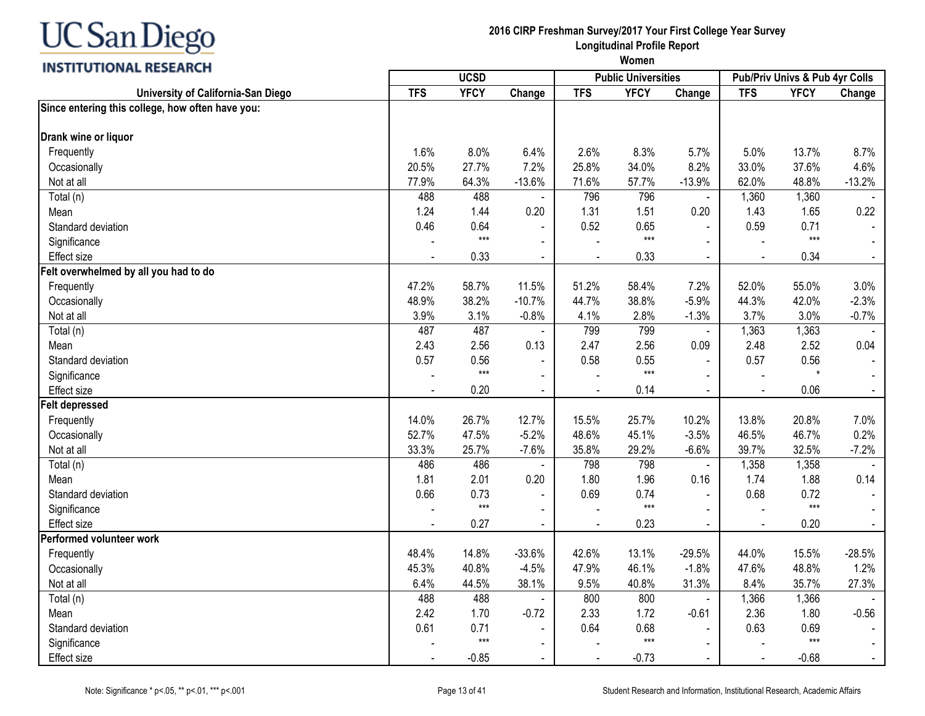## **INSTITUTIONAL RESEARCH**

| <b>INSTRUCTIONAL BESEARCH</b>                    |            | <b>UCSD</b> |                |                | <b>Public Universities</b> |                |            | Pub/Priv Univs & Pub 4yr Colls |                |
|--------------------------------------------------|------------|-------------|----------------|----------------|----------------------------|----------------|------------|--------------------------------|----------------|
| University of California-San Diego               | <b>TFS</b> | <b>YFCY</b> | Change         | <b>TFS</b>     | <b>YFCY</b>                | Change         | <b>TFS</b> | <b>YFCY</b>                    | Change         |
| Since entering this college, how often have you: |            |             |                |                |                            |                |            |                                |                |
| Drank wine or liquor                             |            |             |                |                |                            |                |            |                                |                |
| Frequently                                       | 1.6%       | 8.0%        | 6.4%           | 2.6%           | 8.3%                       | 5.7%           | 5.0%       | 13.7%                          | 8.7%           |
| Occasionally                                     | 20.5%      | 27.7%       | 7.2%           | 25.8%          | 34.0%                      | 8.2%           | 33.0%      | 37.6%                          | 4.6%           |
| Not at all                                       | 77.9%      | 64.3%       | $-13.6%$       | 71.6%          | 57.7%                      | $-13.9%$       | 62.0%      | 48.8%                          | $-13.2%$       |
| Total (n)                                        | 488        | 488         |                | 796            | 796                        |                | 1,360      | 1,360                          |                |
| Mean                                             | 1.24       | 1.44        | 0.20           | 1.31           | 1.51                       | 0.20           | 1.43       | 1.65                           | 0.22           |
| Standard deviation                               | 0.46       | 0.64        |                | 0.52           | 0.65                       |                | 0.59       | 0.71                           |                |
| Significance                                     |            | $***$       | $\blacksquare$ |                | $***$                      |                |            | $***$                          | $\blacksquare$ |
| <b>Effect size</b>                               |            | 0.33        | $\sim$         | $\blacksquare$ | 0.33                       | $\blacksquare$ | $\sim$     | 0.34                           | $\sim$         |
| Felt overwhelmed by all you had to do            |            |             |                |                |                            |                |            |                                |                |
| Frequently                                       | 47.2%      | 58.7%       | 11.5%          | 51.2%          | 58.4%                      | 7.2%           | 52.0%      | 55.0%                          | 3.0%           |
| Occasionally                                     | 48.9%      | 38.2%       | $-10.7%$       | 44.7%          | 38.8%                      | $-5.9%$        | 44.3%      | 42.0%                          | $-2.3%$        |
| Not at all                                       | 3.9%       | 3.1%        | $-0.8%$        | 4.1%           | 2.8%                       | $-1.3%$        | 3.7%       | 3.0%                           | $-0.7%$        |
| Total (n)                                        | 487        | 487         |                | 799            | 799                        | $\sim$         | 1,363      | 1,363                          |                |
| Mean                                             | 2.43       | 2.56        | 0.13           | 2.47           | 2.56                       | 0.09           | 2.48       | 2.52                           | 0.04           |
| Standard deviation                               | 0.57       | 0.56        | $\blacksquare$ | 0.58           | 0.55                       |                | 0.57       | 0.56                           |                |
| Significance                                     |            | $***$       | $\sim$         |                | $***$                      |                |            | $\star$                        | $\blacksquare$ |
| Effect size                                      |            | 0.20        | $\blacksquare$ |                | 0.14                       | $\blacksquare$ | $\sim$     | 0.06                           | $\sim$         |
| <b>Felt depressed</b>                            |            |             |                |                |                            |                |            |                                |                |
| Frequently                                       | 14.0%      | 26.7%       | 12.7%          | 15.5%          | 25.7%                      | 10.2%          | 13.8%      | 20.8%                          | 7.0%           |
| Occasionally                                     | 52.7%      | 47.5%       | $-5.2%$        | 48.6%          | 45.1%                      | $-3.5%$        | 46.5%      | 46.7%                          | 0.2%           |
| Not at all                                       | 33.3%      | 25.7%       | $-7.6%$        | 35.8%          | 29.2%                      | $-6.6%$        | 39.7%      | 32.5%                          | $-7.2%$        |
| Total (n)                                        | 486        | 486         |                | 798            | 798                        | $\blacksquare$ | 1,358      | 1,358                          |                |
| Mean                                             | 1.81       | 2.01        | 0.20           | 1.80           | 1.96                       | 0.16           | 1.74       | 1.88                           | 0.14           |
| Standard deviation                               | 0.66       | 0.73        | $\blacksquare$ | 0.69           | 0.74                       |                | 0.68       | 0.72                           |                |
| Significance                                     |            | $***$       | $\blacksquare$ |                | $***$                      |                |            | $***$                          |                |
| <b>Effect size</b>                               |            | 0.27        |                |                | 0.23                       | $\blacksquare$ |            | 0.20                           |                |
| Performed volunteer work                         |            |             |                |                |                            |                |            |                                |                |
| Frequently                                       | 48.4%      | 14.8%       | $-33.6%$       | 42.6%          | 13.1%                      | $-29.5%$       | 44.0%      | 15.5%                          | $-28.5%$       |
| Occasionally                                     | 45.3%      | 40.8%       | $-4.5%$        | 47.9%          | 46.1%                      | $-1.8%$        | 47.6%      | 48.8%                          | 1.2%           |
| Not at all                                       | 6.4%       | 44.5%       | 38.1%          | 9.5%           | 40.8%                      | 31.3%          | 8.4%       | 35.7%                          | 27.3%          |
| Total (n)                                        | 488        | 488         | $\blacksquare$ | 800            | 800                        | $\blacksquare$ | 1,366      | 1,366                          |                |
| Mean                                             | 2.42       | 1.70        | $-0.72$        | 2.33           | 1.72                       | $-0.61$        | 2.36       | 1.80                           | $-0.56$        |
| Standard deviation                               | 0.61       | 0.71        | $\blacksquare$ | 0.64           | 0.68                       |                | 0.63       | 0.69                           |                |
| Significance                                     |            | $***$       | $\blacksquare$ |                | $***$                      |                |            | $***$                          |                |
| Effect size                                      |            | $-0.85$     | $\sim$         |                | $-0.73$                    | $\blacksquare$ |            | $-0.68$                        |                |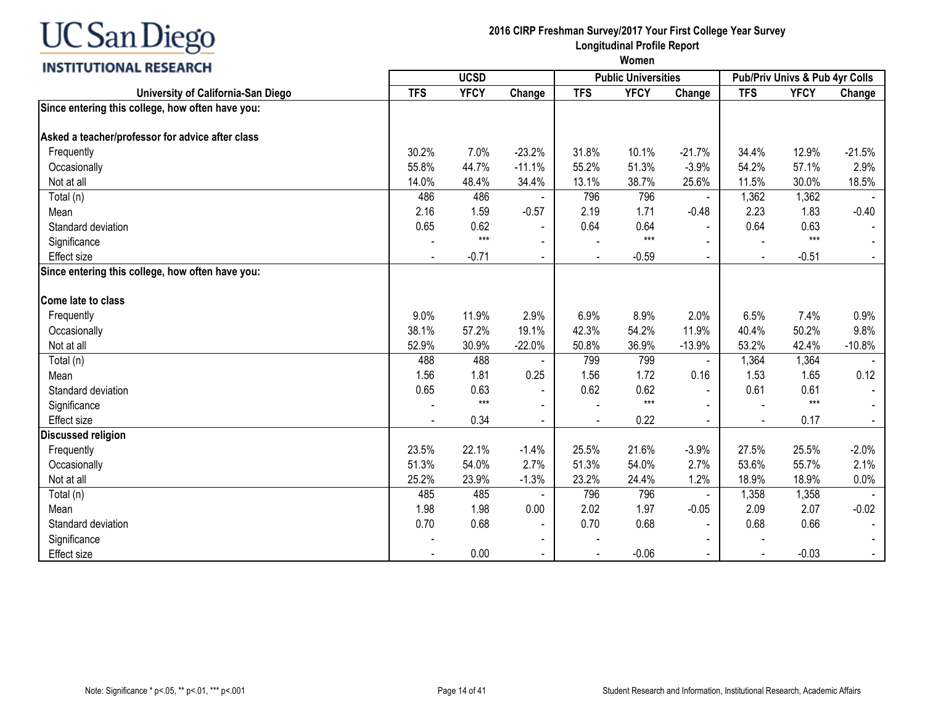#### **INSTITUTIONAL RESEARCH**

| <b>TFS</b><br><b>YFCY</b><br><b>TFS</b><br><b>YFCY</b><br>University of California-San Diego<br>Change<br><b>TFS</b><br><b>YFCY</b><br>Change<br>Since entering this college, how often have you: | Change<br>$-21.5%$<br>2.9% |
|---------------------------------------------------------------------------------------------------------------------------------------------------------------------------------------------------|----------------------------|
|                                                                                                                                                                                                   |                            |
|                                                                                                                                                                                                   |                            |
| Asked a teacher/professor for advice after class                                                                                                                                                  |                            |
| 30.2%<br>7.0%<br>$-23.2%$<br>10.1%<br>$-21.7%$<br>34.4%<br>12.9%<br>Frequently<br>31.8%                                                                                                           |                            |
| 44.7%<br>$-11.1%$<br>51.3%<br>54.2%<br>55.8%<br>55.2%<br>$-3.9%$<br>57.1%<br>Occasionally                                                                                                         |                            |
| 14.0%<br>34.4%<br>30.0%<br>Not at all<br>48.4%<br>13.1%<br>38.7%<br>25.6%<br>11.5%                                                                                                                | 18.5%                      |
| 1,362<br>486<br>486<br>796<br>796<br>1,362<br>Total (n)                                                                                                                                           |                            |
| 2.16<br>2.19<br>1.71<br>2.23<br>1.59<br>$-0.57$<br>$-0.48$<br>1.83<br>Mean                                                                                                                        | $-0.40$                    |
| 0.62<br>0.65<br>0.64<br>0.64<br>0.64<br>0.63<br>Standard deviation                                                                                                                                |                            |
| $***$<br>$***$<br>$***$<br>Significance                                                                                                                                                           |                            |
| $-0.71$<br>$-0.59$<br>$-0.51$<br><b>Effect size</b><br>$\mathbf{r}$<br>$\sim$<br>$\blacksquare$<br>$\blacksquare$                                                                                 |                            |
| Since entering this college, how often have you:                                                                                                                                                  |                            |
| <b>Come late to class</b>                                                                                                                                                                         |                            |
| Frequently<br>9.0%<br>11.9%<br>2.9%<br>6.9%<br>8.9%<br>2.0%<br>6.5%<br>7.4%                                                                                                                       | 0.9%                       |
| 50.2%<br>38.1%<br>57.2%<br>19.1%<br>42.3%<br>54.2%<br>11.9%<br>40.4%<br>Occasionally                                                                                                              | 9.8%                       |
| 53.2%<br>Not at all<br>52.9%<br>30.9%<br>$-22.0%$<br>50.8%<br>36.9%<br>$-13.9%$<br>42.4%                                                                                                          | $-10.8%$                   |
| 488<br>488<br>799<br>1,364<br>1,364<br>799                                                                                                                                                        |                            |
| Total (n)<br>$\overline{\phantom{a}}$<br>1.81<br>0.25<br>1.56<br>1.72<br>1.53<br>Mean<br>1.56<br>0.16<br>1.65                                                                                     | 0.12                       |
| 0.65<br>0.63<br>0.62<br>0.62<br>0.61<br>Standard deviation<br>0.61                                                                                                                                |                            |
| $***$<br>$***$<br>$***$<br>Significance                                                                                                                                                           |                            |
| 0.34<br>0.22<br>0.17<br><b>Effect size</b><br>$\blacksquare$<br>$\blacksquare$<br>$\blacksquare$<br>$\sim$                                                                                        | $\blacksquare$             |
| <b>Discussed religion</b>                                                                                                                                                                         |                            |
| 22.1%<br>$-1.4%$<br>21.6%<br>27.5%<br>23.5%<br>25.5%<br>$-3.9%$<br>25.5%<br>Frequently                                                                                                            | $-2.0%$                    |
| 51.3%<br>54.0%<br>2.7%<br>54.0%<br>2.7%<br>53.6%<br>55.7%<br>51.3%<br>Occasionally                                                                                                                | 2.1%                       |
| Not at all<br>25.2%<br>23.9%<br>$-1.3%$<br>23.2%<br>24.4%<br>1.2%<br>18.9%<br>18.9%                                                                                                               | 0.0%                       |
| 485<br>485<br>796<br>796<br>1,358<br>1,358<br>Total (n)                                                                                                                                           |                            |
| 1.98<br>2.02<br>$-0.05$<br>1.98<br>0.00<br>1.97<br>2.09<br>2.07<br>Mean                                                                                                                           | $-0.02$                    |
| 0.68<br>0.70<br>0.68<br>0.70<br>0.68<br>0.66<br>Standard deviation<br>$\sim$                                                                                                                      |                            |
| Significance<br>$\sim$                                                                                                                                                                            |                            |
| 0.00<br>$-0.06$<br><b>Effect size</b><br>$-0.03$<br>$\blacksquare$                                                                                                                                |                            |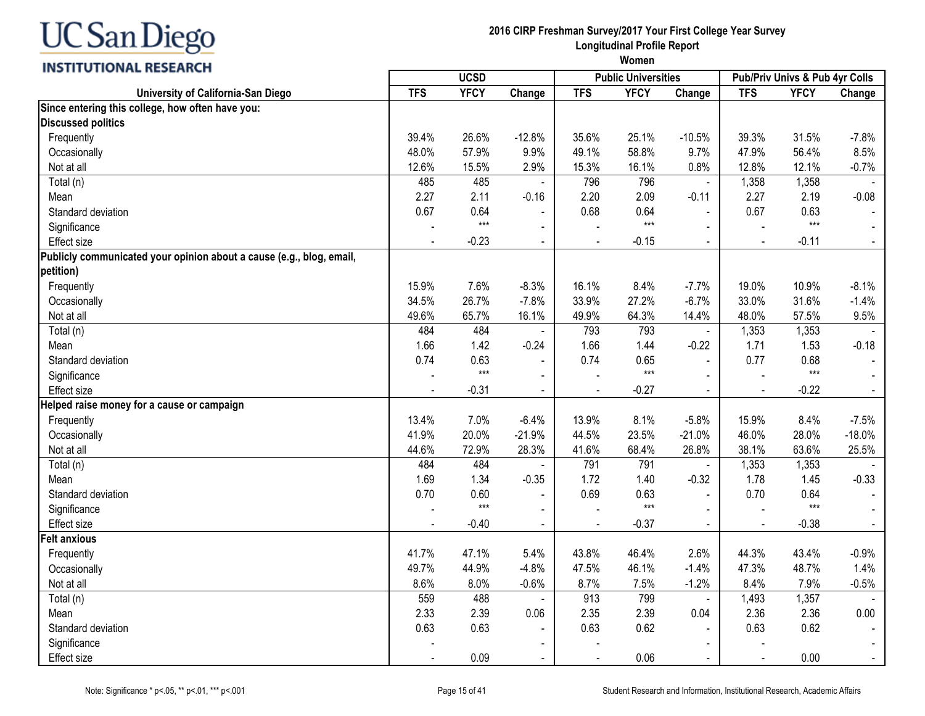| <b>INSTITUTIONAL RESEARCH</b>                                        |                |             |                          |                |                            |                |                |                                |          |
|----------------------------------------------------------------------|----------------|-------------|--------------------------|----------------|----------------------------|----------------|----------------|--------------------------------|----------|
|                                                                      |                | <b>UCSD</b> |                          |                | <b>Public Universities</b> |                |                | Pub/Priv Univs & Pub 4yr Colls |          |
| University of California-San Diego                                   | <b>TFS</b>     | <b>YFCY</b> | Change                   | <b>TFS</b>     | <b>YFCY</b>                | Change         | <b>TFS</b>     | <b>YFCY</b>                    | Change   |
| Since entering this college, how often have you:                     |                |             |                          |                |                            |                |                |                                |          |
| <b>Discussed politics</b>                                            |                |             |                          |                |                            |                |                |                                |          |
| Frequently                                                           | 39.4%          | 26.6%       | $-12.8%$                 | 35.6%          | 25.1%                      | $-10.5%$       | 39.3%          | 31.5%                          | $-7.8%$  |
| Occasionally                                                         | 48.0%          | 57.9%       | 9.9%                     | 49.1%          | 58.8%                      | 9.7%           | 47.9%          | 56.4%                          | 8.5%     |
| Not at all                                                           | 12.6%          | 15.5%       | 2.9%                     | 15.3%          | 16.1%                      | 0.8%           | 12.8%          | 12.1%                          | $-0.7%$  |
| Total (n)                                                            | 485            | 485         | $\blacksquare$           | 796            | 796                        |                | 1,358          | 1,358                          |          |
| Mean                                                                 | 2.27           | 2.11        | $-0.16$                  | 2.20           | 2.09                       | $-0.11$        | 2.27           | 2.19                           | $-0.08$  |
| Standard deviation                                                   | 0.67           | 0.64        |                          | 0.68           | 0.64                       |                | 0.67           | 0.63                           |          |
| Significance                                                         |                | $***$       |                          |                | $***$                      |                |                | $***$                          |          |
| <b>Effect size</b>                                                   |                | $-0.23$     | $\blacksquare$           |                | $-0.15$                    | $\sim$         | $\overline{a}$ | $-0.11$                        | $\sim$   |
| Publicly communicated your opinion about a cause (e.g., blog, email, |                |             |                          |                |                            |                |                |                                |          |
| petition)                                                            |                |             |                          |                |                            |                |                |                                |          |
| Frequently                                                           | 15.9%          | 7.6%        | $-8.3%$                  | 16.1%          | 8.4%                       | $-7.7%$        | 19.0%          | 10.9%                          | $-8.1%$  |
| Occasionally                                                         | 34.5%          | 26.7%       | $-7.8%$                  | 33.9%          | 27.2%                      | $-6.7%$        | 33.0%          | 31.6%                          | $-1.4%$  |
| Not at all                                                           | 49.6%          | 65.7%       | 16.1%                    | 49.9%          | 64.3%                      | 14.4%          | 48.0%          | 57.5%                          | 9.5%     |
| Total (n)                                                            | 484            | 484         | $\blacksquare$           | 793            | 793                        |                | 1,353          | 1,353                          |          |
| Mean                                                                 | 1.66           | 1.42        | $-0.24$                  | 1.66           | 1.44                       | $-0.22$        | 1.71           | 1.53                           | $-0.18$  |
| Standard deviation                                                   | 0.74           | 0.63        | $\overline{\phantom{a}}$ | 0.74           | 0.65                       |                | 0.77           | 0.68                           |          |
| Significance                                                         |                | $***$       |                          |                | $***$                      |                |                | $***$                          |          |
| <b>Effect size</b>                                                   |                | $-0.31$     | $\blacksquare$           |                | $-0.27$                    |                | $\overline{a}$ | $-0.22$                        |          |
| Helped raise money for a cause or campaign                           |                |             |                          |                |                            |                |                |                                |          |
| Frequently                                                           | 13.4%          | 7.0%        | $-6.4%$                  | 13.9%          | 8.1%                       | $-5.8%$        | 15.9%          | 8.4%                           | $-7.5%$  |
| Occasionally                                                         | 41.9%          | 20.0%       | $-21.9%$                 | 44.5%          | 23.5%                      | $-21.0%$       | 46.0%          | 28.0%                          | $-18.0%$ |
| Not at all                                                           | 44.6%          | 72.9%       | 28.3%                    | 41.6%          | 68.4%                      | 26.8%          | 38.1%          | 63.6%                          | 25.5%    |
| Total (n)                                                            | 484            | 484         |                          | 791            | 791                        |                | 1,353          | 1,353                          |          |
| Mean                                                                 | 1.69           | 1.34        | $-0.35$                  | 1.72           | 1.40                       | $-0.32$        | 1.78           | 1.45                           | $-0.33$  |
| Standard deviation                                                   | 0.70           | 0.60        |                          | 0.69           | 0.63                       |                | 0.70           | 0.64                           |          |
| Significance                                                         |                | $***$       |                          |                | $***$                      |                |                | $***$                          |          |
| <b>Effect size</b>                                                   | $\blacksquare$ | $-0.40$     | $\blacksquare$           | $\blacksquare$ | $-0.37$                    | $\blacksquare$ | $\blacksquare$ | $-0.38$                        | $\sim$   |
| <b>Felt anxious</b>                                                  |                |             |                          |                |                            |                |                |                                |          |
| Frequently                                                           | 41.7%          | 47.1%       | 5.4%                     | 43.8%          | 46.4%                      | 2.6%           | 44.3%          | 43.4%                          | $-0.9%$  |
| Occasionally                                                         | 49.7%          | 44.9%       | $-4.8%$                  | 47.5%          | 46.1%                      | $-1.4%$        | 47.3%          | 48.7%                          | 1.4%     |
| Not at all                                                           | 8.6%           | 8.0%        | $-0.6%$                  | 8.7%           | 7.5%                       | $-1.2%$        | 8.4%           | 7.9%                           | $-0.5%$  |
| Total (n)                                                            | 559            | 488         |                          | 913            | 799                        |                | 1,493          | 1,357                          |          |
| Mean                                                                 | 2.33           | 2.39        | 0.06                     | 2.35           | 2.39                       | 0.04           | 2.36           | 2.36                           | 0.00     |
| Standard deviation                                                   | 0.63           | 0.63        | $\blacksquare$           | 0.63           | 0.62                       |                | 0.63           | 0.62                           |          |
| Significance                                                         |                |             | $\overline{\phantom{a}}$ |                |                            |                |                |                                |          |
| Effect size                                                          |                | 0.09        | $\blacksquare$           |                | 0.06                       |                | $\overline{a}$ | 0.00                           |          |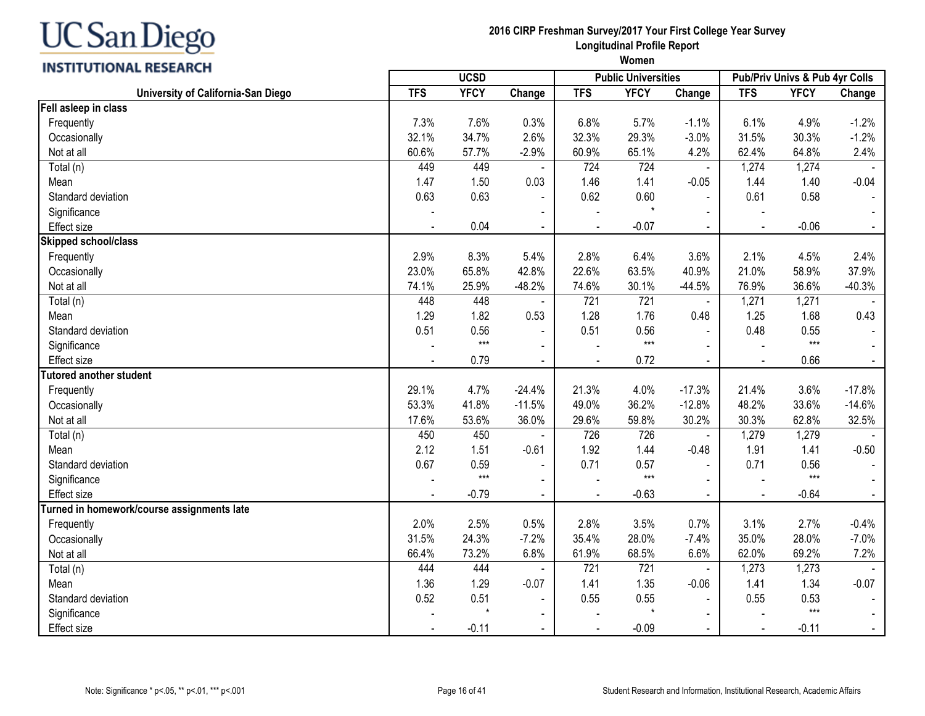| C San Diego |  |
|-------------|--|
|-------------|--|

| <b>INSTITUTIONAL RESEARCH</b>              | <i>vvornen</i> |             |                |                          |                            |                |            |                                |                |
|--------------------------------------------|----------------|-------------|----------------|--------------------------|----------------------------|----------------|------------|--------------------------------|----------------|
|                                            |                | <b>UCSD</b> |                |                          | <b>Public Universities</b> |                |            | Pub/Priv Univs & Pub 4yr Colls |                |
| University of California-San Diego         | <b>TFS</b>     | <b>YFCY</b> | Change         | <b>TFS</b>               | <b>YFCY</b>                | Change         | <b>TFS</b> | <b>YFCY</b>                    | Change         |
| Fell asleep in class                       |                |             |                |                          |                            |                |            |                                |                |
| Frequently                                 | 7.3%           | 7.6%        | 0.3%           | 6.8%                     | 5.7%                       | $-1.1%$        | 6.1%       | 4.9%                           | $-1.2%$        |
| Occasionally                               | 32.1%          | 34.7%       | 2.6%           | 32.3%                    | 29.3%                      | $-3.0%$        | 31.5%      | 30.3%                          | $-1.2%$        |
| Not at all                                 | 60.6%          | 57.7%       | $-2.9%$        | 60.9%                    | 65.1%                      | 4.2%           | 62.4%      | 64.8%                          | 2.4%           |
| Total (n)                                  | 449            | 449         |                | 724                      | 724                        | $\mathbf{r}$   | 1,274      | 1,274                          |                |
| Mean                                       | 1.47           | 1.50        | 0.03           | 1.46                     | 1.41                       | $-0.05$        | 1.44       | 1.40                           | $-0.04$        |
| Standard deviation                         | 0.63           | 0.63        | $\blacksquare$ | 0.62                     | 0.60                       | $\mathbf{r}$   | 0.61       | 0.58                           |                |
| Significance                               |                |             |                |                          |                            |                |            |                                |                |
| <b>Effect size</b>                         |                | 0.04        |                | $\sim$                   | $-0.07$                    |                |            | $-0.06$                        | $\sim$         |
| <b>Skipped school/class</b>                |                |             |                |                          |                            |                |            |                                |                |
| Frequently                                 | 2.9%           | 8.3%        | 5.4%           | 2.8%                     | 6.4%                       | 3.6%           | 2.1%       | 4.5%                           | 2.4%           |
| Occasionally                               | 23.0%          | 65.8%       | 42.8%          | 22.6%                    | 63.5%                      | 40.9%          | 21.0%      | 58.9%                          | 37.9%          |
| Not at all                                 | 74.1%          | 25.9%       | $-48.2%$       | 74.6%                    | 30.1%                      | $-44.5%$       | 76.9%      | 36.6%                          | $-40.3%$       |
| Total (n)                                  | 448            | 448         |                | 721                      | 721                        |                | 1,271      | 1,271                          |                |
| Mean                                       | 1.29           | 1.82        | 0.53           | 1.28                     | 1.76                       | 0.48           | 1.25       | 1.68                           | 0.43           |
| Standard deviation                         | 0.51           | 0.56        |                | 0.51                     | 0.56                       |                | 0.48       | 0.55                           |                |
| Significance                               |                | $***$       |                |                          | $***$                      |                |            | $***$                          |                |
| <b>Effect size</b>                         |                | 0.79        | $\mathbf{r}$   | $\overline{a}$           | 0.72                       | $\mathbf{r}$   |            | 0.66                           | $\sim$         |
| <b>Tutored another student</b>             |                |             |                |                          |                            |                |            |                                |                |
| Frequently                                 | 29.1%          | 4.7%        | $-24.4%$       | 21.3%                    | 4.0%                       | $-17.3%$       | 21.4%      | 3.6%                           | $-17.8%$       |
| Occasionally                               | 53.3%          | 41.8%       | $-11.5%$       | 49.0%                    | 36.2%                      | $-12.8%$       | 48.2%      | 33.6%                          | $-14.6%$       |
| Not at all                                 | 17.6%          | 53.6%       | 36.0%          | 29.6%                    | 59.8%                      | 30.2%          | 30.3%      | 62.8%                          | 32.5%          |
| Total (n)                                  | 450            | 450         |                | 726                      | 726                        | $\blacksquare$ | 1,279      | 1,279                          |                |
| Mean                                       | 2.12           | 1.51        | $-0.61$        | 1.92                     | 1.44                       | $-0.48$        | 1.91       | 1.41                           | $-0.50$        |
| Standard deviation                         | 0.67           | 0.59        | $\blacksquare$ | 0.71                     | 0.57                       | $\blacksquare$ | 0.71       | 0.56                           |                |
| Significance                               |                | $***$       | $\blacksquare$ |                          | $***$                      | $\blacksquare$ |            | $***$                          | $\sim$         |
| <b>Effect</b> size                         |                | $-0.79$     | $\blacksquare$ | $\overline{\phantom{a}}$ | $-0.63$                    | $\sim$         |            | $-0.64$                        | $\sim$         |
| Turned in homework/course assignments late |                |             |                |                          |                            |                |            |                                |                |
| Frequently                                 | 2.0%           | 2.5%        | 0.5%           | 2.8%                     | 3.5%                       | 0.7%           | 3.1%       | 2.7%                           | $-0.4%$        |
| Occasionally                               | 31.5%          | 24.3%       | $-7.2%$        | 35.4%                    | 28.0%                      | $-7.4%$        | 35.0%      | 28.0%                          | $-7.0%$        |
| Not at all                                 | 66.4%          | 73.2%       | 6.8%           | 61.9%                    | 68.5%                      | 6.6%           | 62.0%      | 69.2%                          | 7.2%           |
| Total (n)                                  | 444            | 444         |                | 721                      | 721                        |                | 1,273      | 1,273                          |                |
| Mean                                       | 1.36           | 1.29        | $-0.07$        | 1.41                     | 1.35                       | $-0.06$        | 1.41       | 1.34                           | $-0.07$        |
| Standard deviation                         | 0.52           | 0.51        | $\sim$         | 0.55                     | 0.55                       | ÷              | 0.55       | 0.53                           |                |
| Significance                               |                | $\star$     | $\overline{a}$ |                          |                            | $\blacksquare$ |            | $***$                          |                |
| Effect size                                |                | $-0.11$     |                |                          | $-0.09$                    |                |            | $-0.11$                        | $\blacksquare$ |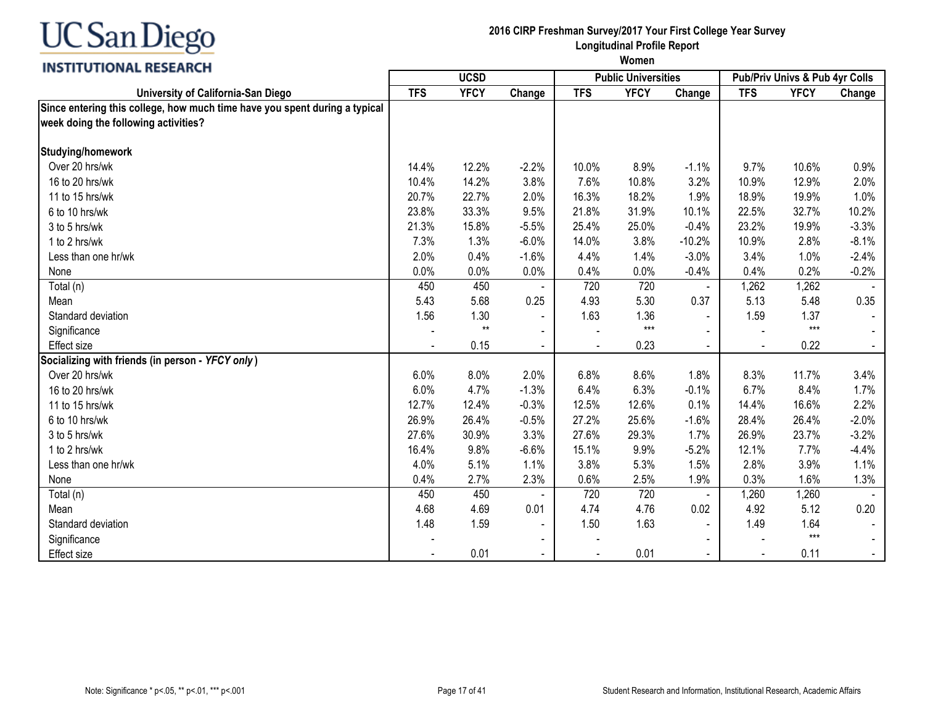

**2016 CIRP Freshman Survey/2017 Your First College Year Survey Longitudinal Profile Report**

| ,,,,,,,,,,,,,,,,,,,,,,,,,                                                  |            | <b>UCSD</b><br><b>Public Universities</b> |                          |            |             |                        | Pub/Priv Univs & Pub 4yr Colls |             |         |  |
|----------------------------------------------------------------------------|------------|-------------------------------------------|--------------------------|------------|-------------|------------------------|--------------------------------|-------------|---------|--|
| University of California-San Diego                                         | <b>TFS</b> | <b>YFCY</b>                               | Change                   | <b>TFS</b> | <b>YFCY</b> | Change                 | <b>TFS</b>                     | <b>YFCY</b> | Change  |  |
| Since entering this college, how much time have you spent during a typical |            |                                           |                          |            |             |                        |                                |             |         |  |
| week doing the following activities?                                       |            |                                           |                          |            |             |                        |                                |             |         |  |
| Studying/homework                                                          |            |                                           |                          |            |             |                        |                                |             |         |  |
| Over 20 hrs/wk                                                             | 14.4%      | 12.2%                                     | $-2.2%$                  | 10.0%      | 8.9%        | $-1.1%$                | 9.7%                           | 10.6%       | 0.9%    |  |
| 16 to 20 hrs/wk                                                            | 10.4%      | 14.2%                                     | 3.8%                     | 7.6%       | 10.8%       | 3.2%                   | 10.9%                          | 12.9%       | 2.0%    |  |
| 11 to 15 hrs/wk                                                            | 20.7%      | 22.7%                                     | 2.0%                     | 16.3%      | 18.2%       | 1.9%                   | 18.9%                          | 19.9%       | 1.0%    |  |
| 6 to 10 hrs/wk                                                             | 23.8%      | 33.3%                                     | 9.5%                     | 21.8%      | 31.9%       | 10.1%                  | 22.5%                          | 32.7%       | 10.2%   |  |
| 3 to 5 hrs/wk                                                              | 21.3%      | 15.8%                                     | $-5.5%$                  | 25.4%      | 25.0%       | $-0.4%$                | 23.2%                          | 19.9%       | $-3.3%$ |  |
| 1 to 2 hrs/wk                                                              | 7.3%       | 1.3%                                      | $-6.0%$                  | 14.0%      | 3.8%        | $-10.2%$               | 10.9%                          | 2.8%        | $-8.1%$ |  |
| Less than one hr/wk                                                        | 2.0%       | 0.4%                                      | $-1.6%$                  | 4.4%       | 1.4%        | $-3.0%$                | 3.4%                           | 1.0%        | $-2.4%$ |  |
| None                                                                       | 0.0%       | 0.0%                                      | 0.0%                     | 0.4%       | 0.0%        | $-0.4%$                | 0.4%                           | 0.2%        | $-0.2%$ |  |
| Total (n)                                                                  | 450        | 450                                       |                          | 720        | 720         |                        | 1,262                          | 1,262       |         |  |
| Mean                                                                       | 5.43       | 5.68                                      | 0.25                     | 4.93       | 5.30        | $\blacksquare$<br>0.37 | 5.13                           | 5.48        | 0.35    |  |
| Standard deviation                                                         | 1.56       | 1.30                                      |                          | 1.63       | 1.36        |                        | 1.59                           | 1.37        |         |  |
|                                                                            |            | $**$                                      | $\blacksquare$           |            | $***$       |                        |                                | $***$       |         |  |
| Significance<br>Effect size                                                |            | 0.15                                      | $\blacksquare$           |            | 0.23        |                        |                                | 0.22        |         |  |
|                                                                            |            |                                           | $\blacksquare$           |            |             |                        | $\blacksquare$                 |             |         |  |
| Socializing with friends (in person - YFCY only)                           |            |                                           |                          |            |             |                        |                                |             |         |  |
| Over 20 hrs/wk                                                             | 6.0%       | 8.0%                                      | 2.0%                     | 6.8%       | 8.6%        | 1.8%                   | 8.3%                           | 11.7%       | 3.4%    |  |
| 16 to 20 hrs/wk                                                            | 6.0%       | 4.7%                                      | $-1.3%$                  | 6.4%       | 6.3%        | $-0.1%$                | 6.7%                           | 8.4%        | 1.7%    |  |
| 11 to 15 hrs/wk                                                            | 12.7%      | 12.4%                                     | $-0.3%$                  | 12.5%      | 12.6%       | 0.1%                   | 14.4%                          | 16.6%       | 2.2%    |  |
| 6 to 10 hrs/wk                                                             | 26.9%      | 26.4%                                     | $-0.5%$                  | 27.2%      | 25.6%       | $-1.6%$                | 28.4%                          | 26.4%       | $-2.0%$ |  |
| 3 to 5 hrs/wk                                                              | 27.6%      | 30.9%                                     | 3.3%                     | 27.6%      | 29.3%       | 1.7%                   | 26.9%                          | 23.7%       | $-3.2%$ |  |
| 1 to 2 hrs/wk                                                              | 16.4%      | 9.8%                                      | $-6.6%$                  | 15.1%      | 9.9%        | $-5.2%$                | 12.1%                          | 7.7%        | $-4.4%$ |  |
| Less than one hr/wk                                                        | 4.0%       | 5.1%                                      | 1.1%                     | 3.8%       | 5.3%        | 1.5%                   | 2.8%                           | 3.9%        | 1.1%    |  |
| None                                                                       | 0.4%       | 2.7%                                      | 2.3%                     | 0.6%       | 2.5%        | 1.9%                   | 0.3%                           | 1.6%        | 1.3%    |  |
| Total (n)                                                                  | 450        | 450                                       |                          | 720        | 720         | $\blacksquare$         | 1,260                          | 1,260       |         |  |
| Mean                                                                       | 4.68       | 4.69                                      | 0.01                     | 4.74       | 4.76        | 0.02                   | 4.92                           | 5.12        | 0.20    |  |
| Standard deviation                                                         | 1.48       | 1.59                                      | $\overline{\phantom{a}}$ | 1.50       | 1.63        | $\blacksquare$         | 1.49                           | 1.64        |         |  |
| Significance                                                               |            |                                           |                          |            |             |                        |                                | $***$       |         |  |
| <b>Effect size</b>                                                         |            | 0.01                                      | $\blacksquare$           |            | 0.01        | $\sim$                 | $\blacksquare$                 | 0.11        |         |  |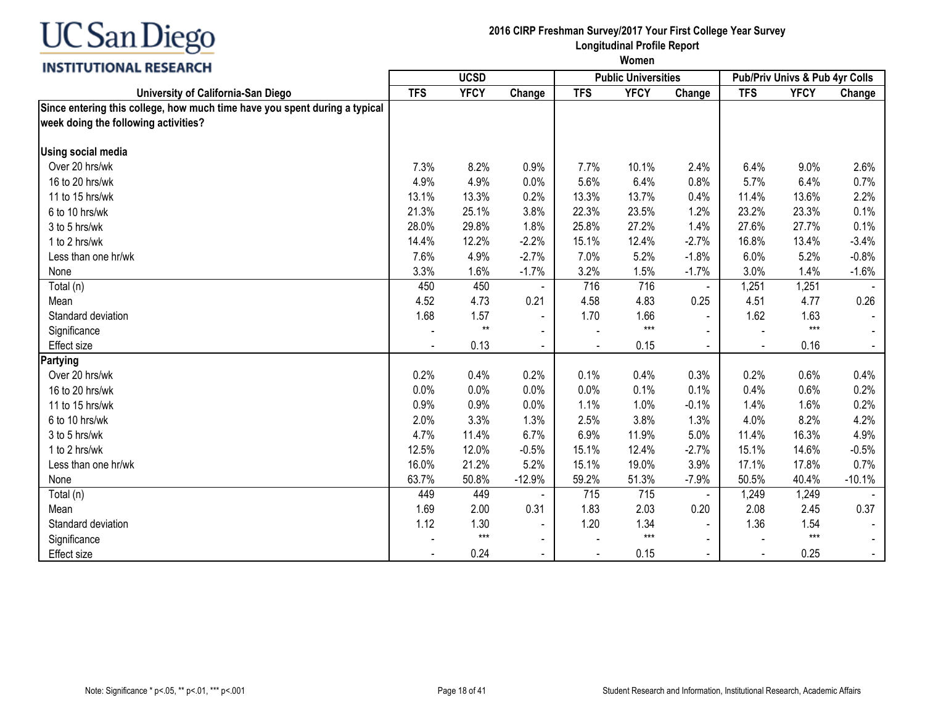

#### INCTITUTIONAL DECEADEL

#### **2016 CIRP Freshman Survey/2017 Your First College Year Survey Longitudinal Profile Report**

| <b>INSITIVITUME RESEARCH</b>                                                                                       | <b>UCSD</b> |             |                |                | <b>Public Universities</b> |                | <b>Pub/Priv Univs &amp; Pub 4yr Colls</b> |             |          |
|--------------------------------------------------------------------------------------------------------------------|-------------|-------------|----------------|----------------|----------------------------|----------------|-------------------------------------------|-------------|----------|
| University of California-San Diego                                                                                 | <b>TFS</b>  | <b>YFCY</b> | Change         | <b>TFS</b>     | <b>YFCY</b>                | Change         | <b>TFS</b>                                | <b>YFCY</b> | Change   |
| Since entering this college, how much time have you spent during a typical<br>week doing the following activities? |             |             |                |                |                            |                |                                           |             |          |
| <b>Using social media</b>                                                                                          |             |             |                |                |                            |                |                                           |             |          |
| Over 20 hrs/wk                                                                                                     | 7.3%        | 8.2%        | 0.9%           | 7.7%           | 10.1%                      | 2.4%           | 6.4%                                      | 9.0%        | 2.6%     |
| 16 to 20 hrs/wk                                                                                                    | 4.9%        | 4.9%        | 0.0%           | 5.6%           | 6.4%                       | 0.8%           | 5.7%                                      | 6.4%        | 0.7%     |
| 11 to 15 hrs/wk                                                                                                    | 13.1%       | 13.3%       | 0.2%           | 13.3%          | 13.7%                      | 0.4%           | 11.4%                                     | 13.6%       | 2.2%     |
| 6 to 10 hrs/wk                                                                                                     | 21.3%       | 25.1%       | 3.8%           | 22.3%          | 23.5%                      | 1.2%           | 23.2%                                     | 23.3%       | 0.1%     |
| 3 to 5 hrs/wk                                                                                                      | 28.0%       | 29.8%       | 1.8%           | 25.8%          | 27.2%                      | 1.4%           | 27.6%                                     | 27.7%       | 0.1%     |
| 1 to 2 hrs/wk                                                                                                      | 14.4%       | 12.2%       | $-2.2%$        | 15.1%          | 12.4%                      | $-2.7%$        | 16.8%                                     | 13.4%       | $-3.4%$  |
| Less than one hr/wk                                                                                                | 7.6%        | 4.9%        | $-2.7%$        | 7.0%           | 5.2%                       | $-1.8%$        | 6.0%                                      | 5.2%        | $-0.8%$  |
| None                                                                                                               | 3.3%        | 1.6%        | $-1.7%$        | 3.2%           | 1.5%                       | $-1.7%$        | 3.0%                                      | 1.4%        | $-1.6%$  |
| Total (n)                                                                                                          | 450         | 450         |                | 716            | 716                        | $\blacksquare$ | 1,251                                     | 1,251       |          |
| Mean                                                                                                               | 4.52        | 4.73        | 0.21           | 4.58           | 4.83                       | 0.25           | 4.51                                      | 4.77        | 0.26     |
| Standard deviation                                                                                                 | 1.68        | 1.57        | $\blacksquare$ | 1.70           | 1.66                       | $\sim$         | 1.62                                      | 1.63        |          |
| Significance                                                                                                       |             | $**$        |                |                | $***$                      |                |                                           | $***$       |          |
| <b>Effect size</b>                                                                                                 |             | 0.13        |                |                | 0.15                       |                | $\blacksquare$                            | 0.16        |          |
| Partying                                                                                                           |             |             |                |                |                            |                |                                           |             |          |
| Over 20 hrs/wk                                                                                                     | 0.2%        | 0.4%        | 0.2%           | 0.1%           | 0.4%                       | 0.3%           | 0.2%                                      | 0.6%        | 0.4%     |
| 16 to 20 hrs/wk                                                                                                    | 0.0%        | 0.0%        | 0.0%           | 0.0%           | 0.1%                       | 0.1%           | 0.4%                                      | 0.6%        | 0.2%     |
| 11 to 15 hrs/wk                                                                                                    | 0.9%        | 0.9%        | 0.0%           | 1.1%           | 1.0%                       | $-0.1%$        | 1.4%                                      | 1.6%        | 0.2%     |
| 6 to 10 hrs/wk                                                                                                     | 2.0%        | 3.3%        | 1.3%           | 2.5%           | 3.8%                       | 1.3%           | 4.0%                                      | 8.2%        | 4.2%     |
| 3 to 5 hrs/wk                                                                                                      | 4.7%        | 11.4%       | 6.7%           | 6.9%           | 11.9%                      | 5.0%           | 11.4%                                     | 16.3%       | 4.9%     |
| 1 to 2 hrs/wk                                                                                                      | 12.5%       | 12.0%       | $-0.5%$        | 15.1%          | 12.4%                      | $-2.7%$        | 15.1%                                     | 14.6%       | $-0.5%$  |
| Less than one hr/wk                                                                                                | 16.0%       | 21.2%       | 5.2%           | 15.1%          | 19.0%                      | 3.9%           | 17.1%                                     | 17.8%       | 0.7%     |
| None                                                                                                               | 63.7%       | 50.8%       | $-12.9%$       | 59.2%          | 51.3%                      | $-7.9%$        | 50.5%                                     | 40.4%       | $-10.1%$ |
| Total (n)                                                                                                          | 449         | 449         |                | 715            | 715                        | $\blacksquare$ | 1,249                                     | 1,249       |          |
| Mean                                                                                                               | 1.69        | 2.00        | 0.31           | 1.83           | 2.03                       | 0.20           | 2.08                                      | 2.45        | 0.37     |
| Standard deviation                                                                                                 | 1.12        | 1.30        | $\blacksquare$ | 1.20           | 1.34                       | $\blacksquare$ | 1.36                                      | 1.54        |          |
| Significance                                                                                                       |             | $***$       | $\blacksquare$ |                | $***$                      |                |                                           | $***$       |          |
| <b>Effect size</b>                                                                                                 |             | 0.24        | $\blacksquare$ | $\blacksquare$ | 0.15                       |                | $\blacksquare$                            | 0.25        |          |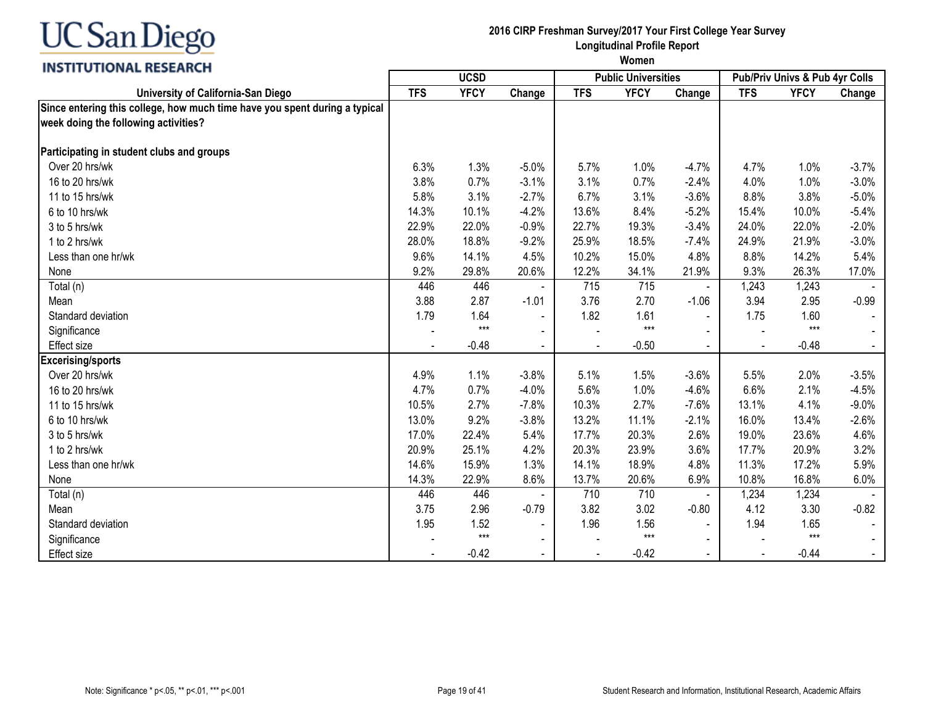

**2016 CIRP Freshman Survey/2017 Your First College Year Survey Longitudinal Profile Report**

| <b>INSTITUTIONAL BESEARCH</b>                                                                                      |            | <b>UCSD</b> |                | <b>Public Universities</b> |             |                | <b>Pub/Priv Univs &amp; Pub 4yr Colls</b> |             |         |
|--------------------------------------------------------------------------------------------------------------------|------------|-------------|----------------|----------------------------|-------------|----------------|-------------------------------------------|-------------|---------|
| University of California-San Diego                                                                                 | <b>TFS</b> | <b>YFCY</b> | Change         | <b>TFS</b>                 | <b>YFCY</b> | Change         | <b>TFS</b>                                | <b>YFCY</b> | Change  |
| Since entering this college, how much time have you spent during a typical<br>week doing the following activities? |            |             |                |                            |             |                |                                           |             |         |
| Participating in student clubs and groups                                                                          |            |             |                |                            |             |                |                                           |             |         |
| Over 20 hrs/wk                                                                                                     | 6.3%       | 1.3%        | $-5.0%$        | 5.7%                       | 1.0%        | $-4.7%$        | 4.7%                                      | 1.0%        | $-3.7%$ |
| 16 to 20 hrs/wk                                                                                                    | 3.8%       | 0.7%        | $-3.1%$        | 3.1%                       | 0.7%        | $-2.4%$        | 4.0%                                      | 1.0%        | $-3.0%$ |
| 11 to 15 hrs/wk                                                                                                    | 5.8%       | 3.1%        | $-2.7%$        | 6.7%                       | 3.1%        | $-3.6%$        | 8.8%                                      | 3.8%        | $-5.0%$ |
| 6 to 10 hrs/wk                                                                                                     | 14.3%      | 10.1%       | $-4.2%$        | 13.6%                      | 8.4%        | $-5.2%$        | 15.4%                                     | 10.0%       | $-5.4%$ |
| 3 to 5 hrs/wk                                                                                                      | 22.9%      | 22.0%       | $-0.9%$        | 22.7%                      | 19.3%       | $-3.4%$        | 24.0%                                     | 22.0%       | $-2.0%$ |
| 1 to 2 hrs/wk                                                                                                      | 28.0%      | 18.8%       | $-9.2%$        | 25.9%                      | 18.5%       | $-7.4%$        | 24.9%                                     | 21.9%       | $-3.0%$ |
| Less than one hr/wk                                                                                                | 9.6%       | 14.1%       | 4.5%           | 10.2%                      | 15.0%       | 4.8%           | 8.8%                                      | 14.2%       | 5.4%    |
| None                                                                                                               | 9.2%       | 29.8%       | 20.6%          | 12.2%                      | 34.1%       | 21.9%          | 9.3%                                      | 26.3%       | 17.0%   |
| Total (n)                                                                                                          | 446        | 446         |                | 715                        | 715         | $\blacksquare$ | 1,243                                     | 1,243       |         |
| Mean                                                                                                               | 3.88       | 2.87        | $-1.01$        | 3.76                       | 2.70        | $-1.06$        | 3.94                                      | 2.95        | $-0.99$ |
| Standard deviation                                                                                                 | 1.79       | 1.64        | $\blacksquare$ | 1.82                       | 1.61        | $\sim$         | 1.75                                      | 1.60        |         |
| Significance                                                                                                       |            | $***$       |                |                            | $***$       |                |                                           | $***$       |         |
| <b>Effect size</b>                                                                                                 |            | $-0.48$     |                |                            | $-0.50$     |                | $\sim$                                    | $-0.48$     |         |
| <b>Excerising/sports</b>                                                                                           |            |             |                |                            |             |                |                                           |             |         |
| Over 20 hrs/wk                                                                                                     | 4.9%       | 1.1%        | $-3.8%$        | 5.1%                       | 1.5%        | $-3.6%$        | 5.5%                                      | 2.0%        | $-3.5%$ |
| 16 to 20 hrs/wk                                                                                                    | 4.7%       | 0.7%        | $-4.0%$        | 5.6%                       | 1.0%        | $-4.6%$        | 6.6%                                      | 2.1%        | $-4.5%$ |
| 11 to 15 hrs/wk                                                                                                    | 10.5%      | 2.7%        | $-7.8%$        | 10.3%                      | 2.7%        | $-7.6%$        | 13.1%                                     | 4.1%        | $-9.0%$ |
| 6 to 10 hrs/wk                                                                                                     | 13.0%      | 9.2%        | $-3.8%$        | 13.2%                      | 11.1%       | $-2.1%$        | 16.0%                                     | 13.4%       | $-2.6%$ |
| 3 to 5 hrs/wk                                                                                                      | 17.0%      | 22.4%       | 5.4%           | 17.7%                      | 20.3%       | 2.6%           | 19.0%                                     | 23.6%       | 4.6%    |
| 1 to 2 hrs/wk                                                                                                      | 20.9%      | 25.1%       | 4.2%           | 20.3%                      | 23.9%       | 3.6%           | 17.7%                                     | 20.9%       | 3.2%    |
| Less than one hr/wk                                                                                                | 14.6%      | 15.9%       | 1.3%           | 14.1%                      | 18.9%       | 4.8%           | 11.3%                                     | 17.2%       | 5.9%    |
| None                                                                                                               | 14.3%      | 22.9%       | 8.6%           | 13.7%                      | 20.6%       | 6.9%           | 10.8%                                     | 16.8%       | 6.0%    |
| Total (n)                                                                                                          | 446        | 446         |                | 710                        | 710         | $\blacksquare$ | 1,234                                     | 1,234       |         |
| Mean                                                                                                               | 3.75       | 2.96        | $-0.79$        | 3.82                       | 3.02        | $-0.80$        | 4.12                                      | 3.30        | $-0.82$ |
| Standard deviation                                                                                                 | 1.95       | 1.52        | $\blacksquare$ | 1.96                       | 1.56        |                | 1.94                                      | 1.65        |         |
| Significance                                                                                                       |            | $***$       |                |                            | $***$       |                |                                           | $***$       |         |
| <b>Effect size</b>                                                                                                 |            | $-0.42$     |                | $\blacksquare$             | $-0.42$     |                | $\blacksquare$                            | $-0.44$     |         |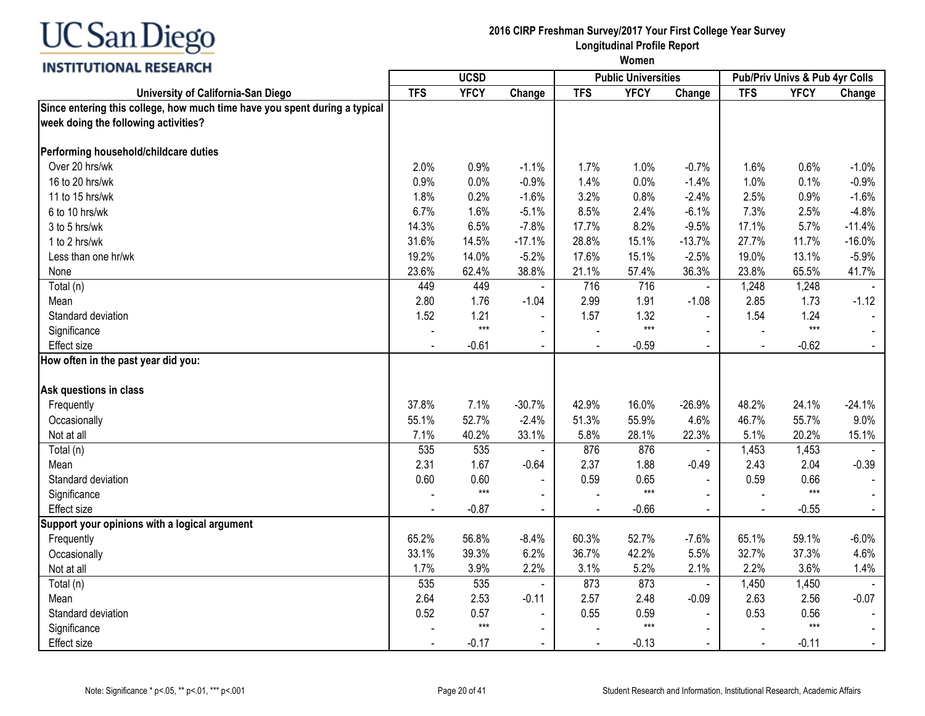

#### INCTITUTIONAL DECEADEL

**2016 CIRP Freshman Survey/2017 Your First College Year Survey Longitudinal Profile Report**

| <b>TFS</b><br><b>YFCY</b><br><b>TFS</b><br><b>YFCY</b><br><b>YFCY</b><br>Change<br><b>TFS</b><br>University of California-San Diego<br>Change<br>Since entering this college, how much time have you spent during a typical<br>week doing the following activities?<br>Performing household/childcare duties<br>Over 20 hrs/wk<br>2.0%<br>0.9%<br>$-1.1%$<br>1.7%<br>1.0%<br>$-0.7%$<br>1.6%<br>0.6%<br>16 to 20 hrs/wk<br>0.9%<br>0.0%<br>$-0.9%$<br>1.4%<br>0.0%<br>1.0%<br>0.1%<br>$-1.4%$<br>2.5%<br>11 to 15 hrs/wk<br>1.8%<br>0.2%<br>$-1.6%$<br>3.2%<br>0.8%<br>$-2.4%$<br>0.9%<br>7.3%<br>6.7%<br>1.6%<br>$-5.1%$<br>8.5%<br>2.4%<br>$-6.1%$<br>2.5%<br>6 to 10 hrs/wk<br>14.3%<br>6.5%<br>8.2%<br>17.1%<br>5.7%<br>3 to 5 hrs/wk<br>$-7.8%$<br>17.7%<br>$-9.5%$<br>31.6%<br>14.5%<br>$-17.1%$<br>28.8%<br>15.1%<br>$-13.7%$<br>27.7%<br>11.7%<br>1 to 2 hrs/wk<br>19.2%<br>14.0%<br>$-5.2%$<br>15.1%<br>19.0%<br>13.1%<br>17.6%<br>$-2.5%$<br>Less than one hr/wk<br>36.3%<br>23.6%<br>62.4%<br>38.8%<br>21.1%<br>57.4%<br>23.8%<br>65.5%<br>None<br>716<br>449<br>449<br>716<br>1,248<br>1,248<br>Total (n)<br>$\overline{a}$<br>$\blacksquare$<br>2.85<br>2.80<br>1.76<br>2.99<br>1.91<br>Mean<br>$-1.04$<br>$-1.08$<br>1.73<br>1.21<br>Standard deviation<br>1.52<br>1.57<br>1.32<br>1.54<br>1.24<br>$\sim$<br>$***$<br>$***$<br>$***$<br>Significance<br>$\blacksquare$<br>$-0.62$<br>Effect size<br>$-0.61$<br>$-0.59$<br>$\blacksquare$<br>$\blacksquare$<br>$\blacksquare$<br>How often in the past year did you:<br>Ask questions in class<br>37.8%<br>7.1%<br>$-30.7%$<br>42.9%<br>16.0%<br>$-26.9%$<br>48.2%<br>24.1%<br>Frequently<br>52.7%<br>$-2.4%$<br>55.9%<br>46.7%<br>55.7%<br>55.1%<br>51.3%<br>4.6%<br>Occasionally<br>5.1%<br>7.1%<br>40.2%<br>33.1%<br>5.8%<br>28.1%<br>22.3%<br>20.2%<br>Not at all |           |     |     |     |     |                |       |       | Pub/Priv Univs & Pub 4yr Colls |
|------------------------------------------------------------------------------------------------------------------------------------------------------------------------------------------------------------------------------------------------------------------------------------------------------------------------------------------------------------------------------------------------------------------------------------------------------------------------------------------------------------------------------------------------------------------------------------------------------------------------------------------------------------------------------------------------------------------------------------------------------------------------------------------------------------------------------------------------------------------------------------------------------------------------------------------------------------------------------------------------------------------------------------------------------------------------------------------------------------------------------------------------------------------------------------------------------------------------------------------------------------------------------------------------------------------------------------------------------------------------------------------------------------------------------------------------------------------------------------------------------------------------------------------------------------------------------------------------------------------------------------------------------------------------------------------------------------------------------------------------------------------------------------------------------------------------------------|-----------|-----|-----|-----|-----|----------------|-------|-------|--------------------------------|
|                                                                                                                                                                                                                                                                                                                                                                                                                                                                                                                                                                                                                                                                                                                                                                                                                                                                                                                                                                                                                                                                                                                                                                                                                                                                                                                                                                                                                                                                                                                                                                                                                                                                                                                                                                                                                                    |           |     |     |     |     |                |       |       | Change                         |
|                                                                                                                                                                                                                                                                                                                                                                                                                                                                                                                                                                                                                                                                                                                                                                                                                                                                                                                                                                                                                                                                                                                                                                                                                                                                                                                                                                                                                                                                                                                                                                                                                                                                                                                                                                                                                                    |           |     |     |     |     |                |       |       |                                |
|                                                                                                                                                                                                                                                                                                                                                                                                                                                                                                                                                                                                                                                                                                                                                                                                                                                                                                                                                                                                                                                                                                                                                                                                                                                                                                                                                                                                                                                                                                                                                                                                                                                                                                                                                                                                                                    |           |     |     |     |     |                |       |       |                                |
|                                                                                                                                                                                                                                                                                                                                                                                                                                                                                                                                                                                                                                                                                                                                                                                                                                                                                                                                                                                                                                                                                                                                                                                                                                                                                                                                                                                                                                                                                                                                                                                                                                                                                                                                                                                                                                    |           |     |     |     |     |                |       |       | $-1.0%$                        |
|                                                                                                                                                                                                                                                                                                                                                                                                                                                                                                                                                                                                                                                                                                                                                                                                                                                                                                                                                                                                                                                                                                                                                                                                                                                                                                                                                                                                                                                                                                                                                                                                                                                                                                                                                                                                                                    |           |     |     |     |     |                |       |       | $-0.9%$                        |
|                                                                                                                                                                                                                                                                                                                                                                                                                                                                                                                                                                                                                                                                                                                                                                                                                                                                                                                                                                                                                                                                                                                                                                                                                                                                                                                                                                                                                                                                                                                                                                                                                                                                                                                                                                                                                                    |           |     |     |     |     |                |       |       | $-1.6%$                        |
|                                                                                                                                                                                                                                                                                                                                                                                                                                                                                                                                                                                                                                                                                                                                                                                                                                                                                                                                                                                                                                                                                                                                                                                                                                                                                                                                                                                                                                                                                                                                                                                                                                                                                                                                                                                                                                    |           |     |     |     |     |                |       |       | $-4.8%$                        |
|                                                                                                                                                                                                                                                                                                                                                                                                                                                                                                                                                                                                                                                                                                                                                                                                                                                                                                                                                                                                                                                                                                                                                                                                                                                                                                                                                                                                                                                                                                                                                                                                                                                                                                                                                                                                                                    |           |     |     |     |     |                |       |       | $-11.4%$                       |
|                                                                                                                                                                                                                                                                                                                                                                                                                                                                                                                                                                                                                                                                                                                                                                                                                                                                                                                                                                                                                                                                                                                                                                                                                                                                                                                                                                                                                                                                                                                                                                                                                                                                                                                                                                                                                                    |           |     |     |     |     |                |       |       | $-16.0%$                       |
|                                                                                                                                                                                                                                                                                                                                                                                                                                                                                                                                                                                                                                                                                                                                                                                                                                                                                                                                                                                                                                                                                                                                                                                                                                                                                                                                                                                                                                                                                                                                                                                                                                                                                                                                                                                                                                    |           |     |     |     |     |                |       |       | $-5.9%$                        |
|                                                                                                                                                                                                                                                                                                                                                                                                                                                                                                                                                                                                                                                                                                                                                                                                                                                                                                                                                                                                                                                                                                                                                                                                                                                                                                                                                                                                                                                                                                                                                                                                                                                                                                                                                                                                                                    |           |     |     |     |     |                |       |       | 41.7%                          |
|                                                                                                                                                                                                                                                                                                                                                                                                                                                                                                                                                                                                                                                                                                                                                                                                                                                                                                                                                                                                                                                                                                                                                                                                                                                                                                                                                                                                                                                                                                                                                                                                                                                                                                                                                                                                                                    |           |     |     |     |     |                |       |       |                                |
|                                                                                                                                                                                                                                                                                                                                                                                                                                                                                                                                                                                                                                                                                                                                                                                                                                                                                                                                                                                                                                                                                                                                                                                                                                                                                                                                                                                                                                                                                                                                                                                                                                                                                                                                                                                                                                    |           |     |     |     |     |                |       |       | $-1.12$                        |
|                                                                                                                                                                                                                                                                                                                                                                                                                                                                                                                                                                                                                                                                                                                                                                                                                                                                                                                                                                                                                                                                                                                                                                                                                                                                                                                                                                                                                                                                                                                                                                                                                                                                                                                                                                                                                                    |           |     |     |     |     |                |       |       |                                |
|                                                                                                                                                                                                                                                                                                                                                                                                                                                                                                                                                                                                                                                                                                                                                                                                                                                                                                                                                                                                                                                                                                                                                                                                                                                                                                                                                                                                                                                                                                                                                                                                                                                                                                                                                                                                                                    |           |     |     |     |     |                |       |       |                                |
|                                                                                                                                                                                                                                                                                                                                                                                                                                                                                                                                                                                                                                                                                                                                                                                                                                                                                                                                                                                                                                                                                                                                                                                                                                                                                                                                                                                                                                                                                                                                                                                                                                                                                                                                                                                                                                    |           |     |     |     |     |                |       |       |                                |
|                                                                                                                                                                                                                                                                                                                                                                                                                                                                                                                                                                                                                                                                                                                                                                                                                                                                                                                                                                                                                                                                                                                                                                                                                                                                                                                                                                                                                                                                                                                                                                                                                                                                                                                                                                                                                                    |           |     |     |     |     |                |       |       |                                |
|                                                                                                                                                                                                                                                                                                                                                                                                                                                                                                                                                                                                                                                                                                                                                                                                                                                                                                                                                                                                                                                                                                                                                                                                                                                                                                                                                                                                                                                                                                                                                                                                                                                                                                                                                                                                                                    |           |     |     |     |     |                |       |       |                                |
|                                                                                                                                                                                                                                                                                                                                                                                                                                                                                                                                                                                                                                                                                                                                                                                                                                                                                                                                                                                                                                                                                                                                                                                                                                                                                                                                                                                                                                                                                                                                                                                                                                                                                                                                                                                                                                    |           |     |     |     |     |                |       |       | $-24.1%$                       |
|                                                                                                                                                                                                                                                                                                                                                                                                                                                                                                                                                                                                                                                                                                                                                                                                                                                                                                                                                                                                                                                                                                                                                                                                                                                                                                                                                                                                                                                                                                                                                                                                                                                                                                                                                                                                                                    |           |     |     |     |     |                |       |       | 9.0%                           |
|                                                                                                                                                                                                                                                                                                                                                                                                                                                                                                                                                                                                                                                                                                                                                                                                                                                                                                                                                                                                                                                                                                                                                                                                                                                                                                                                                                                                                                                                                                                                                                                                                                                                                                                                                                                                                                    |           |     |     |     |     |                |       |       | 15.1%                          |
|                                                                                                                                                                                                                                                                                                                                                                                                                                                                                                                                                                                                                                                                                                                                                                                                                                                                                                                                                                                                                                                                                                                                                                                                                                                                                                                                                                                                                                                                                                                                                                                                                                                                                                                                                                                                                                    | Total (n) | 535 | 535 | 876 | 876 | $\blacksquare$ | 1,453 | 1,453 |                                |
| 2.43<br>2.31<br>1.67<br>2.37<br>1.88<br>2.04<br>Mean<br>$-0.64$<br>$-0.49$                                                                                                                                                                                                                                                                                                                                                                                                                                                                                                                                                                                                                                                                                                                                                                                                                                                                                                                                                                                                                                                                                                                                                                                                                                                                                                                                                                                                                                                                                                                                                                                                                                                                                                                                                         |           |     |     |     |     |                |       |       | $-0.39$                        |
| Standard deviation<br>0.60<br>0.60<br>0.59<br>0.65<br>0.59<br>0.66<br>$\sim$<br>$\blacksquare$                                                                                                                                                                                                                                                                                                                                                                                                                                                                                                                                                                                                                                                                                                                                                                                                                                                                                                                                                                                                                                                                                                                                                                                                                                                                                                                                                                                                                                                                                                                                                                                                                                                                                                                                     |           |     |     |     |     |                |       |       |                                |
| $***$<br>$***$<br>$***$<br>Significance<br>$\blacksquare$<br>$\blacksquare$                                                                                                                                                                                                                                                                                                                                                                                                                                                                                                                                                                                                                                                                                                                                                                                                                                                                                                                                                                                                                                                                                                                                                                                                                                                                                                                                                                                                                                                                                                                                                                                                                                                                                                                                                        |           |     |     |     |     |                |       |       |                                |
| $-0.87$<br>$-0.66$<br>$-0.55$<br>Effect size<br>$\Delta$<br>$\overline{a}$                                                                                                                                                                                                                                                                                                                                                                                                                                                                                                                                                                                                                                                                                                                                                                                                                                                                                                                                                                                                                                                                                                                                                                                                                                                                                                                                                                                                                                                                                                                                                                                                                                                                                                                                                         |           |     |     |     |     |                |       |       |                                |
| Support your opinions with a logical argument                                                                                                                                                                                                                                                                                                                                                                                                                                                                                                                                                                                                                                                                                                                                                                                                                                                                                                                                                                                                                                                                                                                                                                                                                                                                                                                                                                                                                                                                                                                                                                                                                                                                                                                                                                                      |           |     |     |     |     |                |       |       |                                |
| 65.2%<br>56.8%<br>60.3%<br>$-7.6%$<br>Frequently<br>$-8.4%$<br>52.7%<br>65.1%<br>59.1%                                                                                                                                                                                                                                                                                                                                                                                                                                                                                                                                                                                                                                                                                                                                                                                                                                                                                                                                                                                                                                                                                                                                                                                                                                                                                                                                                                                                                                                                                                                                                                                                                                                                                                                                             |           |     |     |     |     |                |       |       | $-6.0%$                        |
| 33.1%<br>39.3%<br>6.2%<br>42.2%<br>32.7%<br>36.7%<br>5.5%<br>37.3%<br>Occasionally                                                                                                                                                                                                                                                                                                                                                                                                                                                                                                                                                                                                                                                                                                                                                                                                                                                                                                                                                                                                                                                                                                                                                                                                                                                                                                                                                                                                                                                                                                                                                                                                                                                                                                                                                 |           |     |     |     |     |                |       |       | 4.6%                           |
| 3.9%<br>2.2%<br>5.2%<br>2.1%<br>2.2%<br>3.6%<br>Not at all<br>1.7%<br>3.1%                                                                                                                                                                                                                                                                                                                                                                                                                                                                                                                                                                                                                                                                                                                                                                                                                                                                                                                                                                                                                                                                                                                                                                                                                                                                                                                                                                                                                                                                                                                                                                                                                                                                                                                                                         |           |     |     |     |     |                |       |       | 1.4%                           |
| 535<br>873<br>873<br>535<br>1,450<br>1,450<br>Total (n)<br>$\blacksquare$                                                                                                                                                                                                                                                                                                                                                                                                                                                                                                                                                                                                                                                                                                                                                                                                                                                                                                                                                                                                                                                                                                                                                                                                                                                                                                                                                                                                                                                                                                                                                                                                                                                                                                                                                          |           |     |     |     |     |                |       |       |                                |
| 2.64<br>2.53<br>2.57<br>2.48<br>2.63<br>2.56<br>$-0.11$<br>$-0.09$<br>Mean                                                                                                                                                                                                                                                                                                                                                                                                                                                                                                                                                                                                                                                                                                                                                                                                                                                                                                                                                                                                                                                                                                                                                                                                                                                                                                                                                                                                                                                                                                                                                                                                                                                                                                                                                         |           |     |     |     |     |                |       |       | $-0.07$                        |
| 0.52<br>0.57<br>0.56<br>0.55<br>0.59<br>0.53<br>Standard deviation<br>$\sim$<br>$\blacksquare$                                                                                                                                                                                                                                                                                                                                                                                                                                                                                                                                                                                                                                                                                                                                                                                                                                                                                                                                                                                                                                                                                                                                                                                                                                                                                                                                                                                                                                                                                                                                                                                                                                                                                                                                     |           |     |     |     |     |                |       |       |                                |
| $***$<br>$***$<br>$***$<br>Significance<br>$\blacksquare$<br>$\blacksquare$                                                                                                                                                                                                                                                                                                                                                                                                                                                                                                                                                                                                                                                                                                                                                                                                                                                                                                                                                                                                                                                                                                                                                                                                                                                                                                                                                                                                                                                                                                                                                                                                                                                                                                                                                        |           |     |     |     |     |                |       |       |                                |
| $-0.17$<br>$-0.13$<br>$-0.11$<br>Effect size                                                                                                                                                                                                                                                                                                                                                                                                                                                                                                                                                                                                                                                                                                                                                                                                                                                                                                                                                                                                                                                                                                                                                                                                                                                                                                                                                                                                                                                                                                                                                                                                                                                                                                                                                                                       |           |     |     |     |     |                |       |       |                                |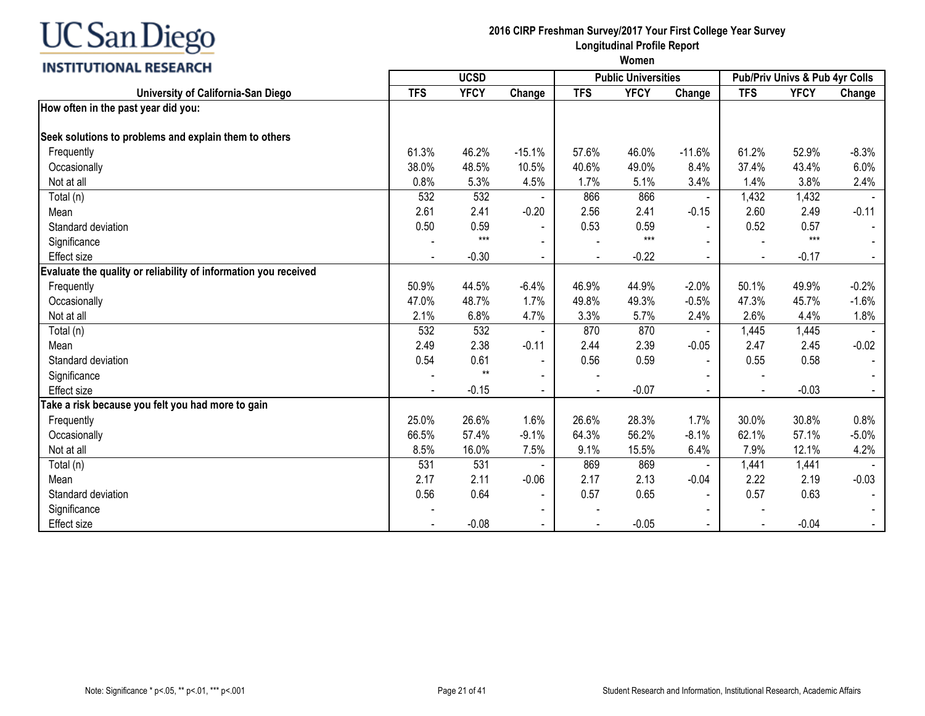#### **INSTITUTIONAL RESEARCH**

## **2016 CIRP Freshman Survey/2017 Your First College Year Survey Longitudinal Profile Report**

|                                                                 |            | <b>UCSD</b> |                |            | <b>Public Universities</b> |                |                | Pub/Priv Univs & Pub 4yr Colls |         |
|-----------------------------------------------------------------|------------|-------------|----------------|------------|----------------------------|----------------|----------------|--------------------------------|---------|
| University of California-San Diego                              | <b>TFS</b> | <b>YFCY</b> | Change         | <b>TFS</b> | <b>YFCY</b>                | Change         | <b>TFS</b>     | <b>YFCY</b>                    | Change  |
| How often in the past year did you:                             |            |             |                |            |                            |                |                |                                |         |
|                                                                 |            |             |                |            |                            |                |                |                                |         |
| Seek solutions to problems and explain them to others           |            |             |                |            |                            |                |                |                                |         |
| Frequently                                                      | 61.3%      | 46.2%       | $-15.1%$       | 57.6%      | 46.0%                      | $-11.6%$       | 61.2%          | 52.9%                          | $-8.3%$ |
| Occasionally                                                    | 38.0%      | 48.5%       | 10.5%          | 40.6%      | 49.0%                      | 8.4%           | 37.4%          | 43.4%                          | 6.0%    |
| Not at all                                                      | 0.8%       | 5.3%        | 4.5%           | 1.7%       | 5.1%                       | 3.4%           | 1.4%           | 3.8%                           | 2.4%    |
| Total (n)                                                       | 532        | 532         |                | 866        | 866                        | $\blacksquare$ | 1,432          | 1,432                          |         |
| Mean                                                            | 2.61       | 2.41        | $-0.20$        | 2.56       | 2.41                       | $-0.15$        | 2.60           | 2.49                           | $-0.11$ |
| Standard deviation                                              | 0.50       | 0.59        |                | 0.53       | 0.59                       |                | 0.52           | 0.57                           |         |
| Significance                                                    |            | $***$       |                |            | $***$                      |                |                | $***$                          |         |
| <b>Effect size</b>                                              |            | $-0.30$     |                |            | $-0.22$                    |                | $\blacksquare$ | $-0.17$                        |         |
| Evaluate the quality or reliability of information you received |            |             |                |            |                            |                |                |                                |         |
| Frequently                                                      | 50.9%      | 44.5%       | $-6.4%$        | 46.9%      | 44.9%                      | $-2.0%$        | 50.1%          | 49.9%                          | $-0.2%$ |
| Occasionally                                                    | 47.0%      | 48.7%       | 1.7%           | 49.8%      | 49.3%                      | $-0.5%$        | 47.3%          | 45.7%                          | $-1.6%$ |
| Not at all                                                      | 2.1%       | 6.8%        | 4.7%           | 3.3%       | 5.7%                       | 2.4%           | 2.6%           | 4.4%                           | 1.8%    |
| Total (n)                                                       | 532        | 532         |                | 870        | 870                        |                | 1,445          | 1,445                          |         |
| Mean                                                            | 2.49       | 2.38        | $-0.11$        | 2.44       | 2.39                       | $-0.05$        | 2.47           | 2.45                           | $-0.02$ |
| Standard deviation                                              | 0.54       | 0.61        | $\blacksquare$ | 0.56       | 0.59                       | $\blacksquare$ | 0.55           | 0.58                           |         |
| Significance                                                    |            | $**$        | $\blacksquare$ |            |                            |                |                |                                |         |
| <b>Effect size</b>                                              |            | $-0.15$     |                |            | $-0.07$                    |                |                | $-0.03$                        |         |
| Take a risk because you felt you had more to gain               |            |             |                |            |                            |                |                |                                |         |
| Frequently                                                      | 25.0%      | 26.6%       | 1.6%           | 26.6%      | 28.3%                      | 1.7%           | 30.0%          | 30.8%                          | 0.8%    |
| Occasionally                                                    | 66.5%      | 57.4%       | $-9.1%$        | 64.3%      | 56.2%                      | $-8.1%$        | 62.1%          | 57.1%                          | $-5.0%$ |
| Not at all                                                      | 8.5%       | 16.0%       | 7.5%           | 9.1%       | 15.5%                      | 6.4%           | 7.9%           | 12.1%                          | 4.2%    |
| Total (n)                                                       | 531        | 531         |                | 869        | 869                        |                | 1,441          | 1,441                          |         |
| Mean                                                            | 2.17       | 2.11        | $-0.06$        | 2.17       | 2.13                       | $-0.04$        | 2.22           | 2.19                           | $-0.03$ |
| Standard deviation                                              | 0.56       | 0.64        | $\blacksquare$ | 0.57       | 0.65                       |                | 0.57           | 0.63                           |         |
| Significance                                                    |            |             |                |            |                            |                |                |                                |         |
| <b>Effect size</b>                                              |            | $-0.08$     | $\blacksquare$ |            | $-0.05$                    | $\sim$         |                | $-0.04$                        |         |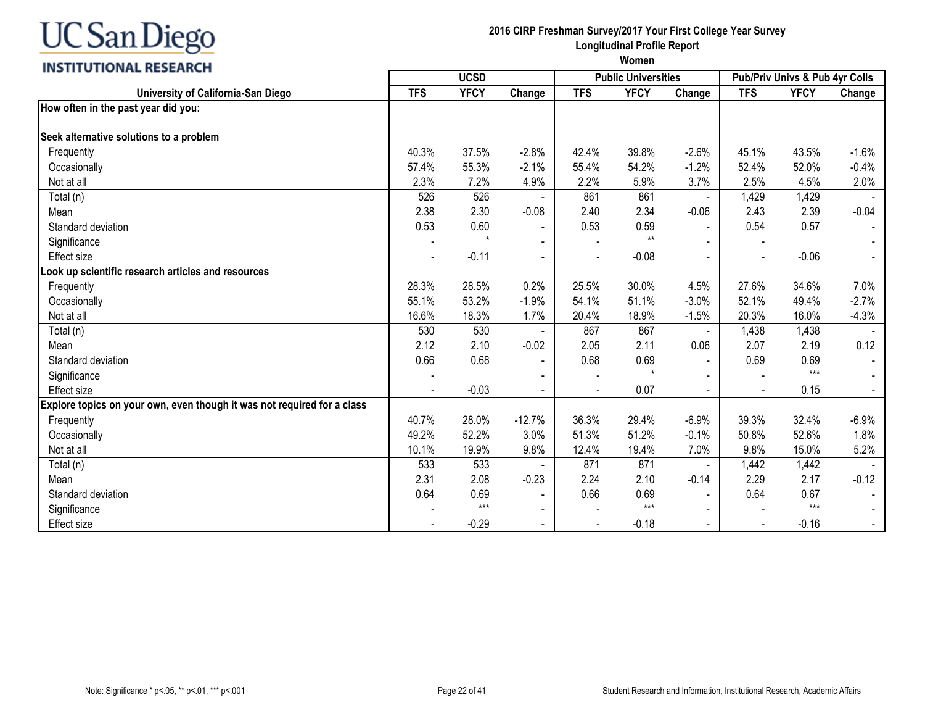## INCTITUTIONAL DECEADELL

| <b>INSITIVIIVINAL RESEARCH</b>                                          |            | <b>UCSD</b> |                          |            | <b>Public Universities</b> |                          |            | Pub/Priv Univs & Pub 4yr Colls |         |
|-------------------------------------------------------------------------|------------|-------------|--------------------------|------------|----------------------------|--------------------------|------------|--------------------------------|---------|
| University of California-San Diego                                      | <b>TFS</b> | <b>YFCY</b> | Change                   | <b>TFS</b> | <b>YFCY</b>                | Change                   | <b>TFS</b> | <b>YFCY</b>                    | Change  |
| How often in the past year did you:                                     |            |             |                          |            |                            |                          |            |                                |         |
| Seek alternative solutions to a problem                                 |            |             |                          |            |                            |                          |            |                                |         |
| Frequently                                                              | 40.3%      | 37.5%       | $-2.8%$                  | 42.4%      | 39.8%                      | $-2.6%$                  | 45.1%      | 43.5%                          | $-1.6%$ |
| Occasionally                                                            | 57.4%      | 55.3%       | $-2.1%$                  | 55.4%      | 54.2%                      | $-1.2%$                  | 52.4%      | 52.0%                          | $-0.4%$ |
| Not at all                                                              | 2.3%       | 7.2%        | 4.9%                     | 2.2%       | 5.9%                       | 3.7%                     | 2.5%       | 4.5%                           | 2.0%    |
| Total (n)                                                               | 526        | 526         |                          | 861        | 861                        |                          | 1,429      | 1,429                          |         |
| Mean                                                                    | 2.38       | 2.30        | $-0.08$                  | 2.40       | 2.34                       | $-0.06$                  | 2.43       | 2.39                           | $-0.04$ |
| Standard deviation                                                      | 0.53       | 0.60        | $\blacksquare$           | 0.53       | 0.59                       |                          | 0.54       | 0.57                           |         |
| Significance                                                            |            |             | $\overline{\phantom{a}}$ |            | $**$                       |                          |            |                                |         |
| <b>Effect</b> size                                                      |            | $-0.11$     | $\blacksquare$           |            | $-0.08$                    | $\sim$                   | $\sim$     | $-0.06$                        | $\sim$  |
| Look up scientific research articles and resources                      |            |             |                          |            |                            |                          |            |                                |         |
| Frequently                                                              | 28.3%      | 28.5%       | 0.2%                     | 25.5%      | 30.0%                      | 4.5%                     | 27.6%      | 34.6%                          | 7.0%    |
| Occasionally                                                            | 55.1%      | 53.2%       | $-1.9%$                  | 54.1%      | 51.1%                      | $-3.0%$                  | 52.1%      | 49.4%                          | $-2.7%$ |
| Not at all                                                              | 16.6%      | 18.3%       | 1.7%                     | 20.4%      | 18.9%                      | $-1.5%$                  | 20.3%      | 16.0%                          | $-4.3%$ |
| Total (n)                                                               | 530        | 530         |                          | 867        | 867                        | $\overline{\phantom{a}}$ | 1,438      | 1,438                          |         |
| Mean                                                                    | 2.12       | 2.10        | $-0.02$                  | 2.05       | 2.11                       | 0.06                     | 2.07       | 2.19                           | 0.12    |
| Standard deviation                                                      | 0.66       | 0.68        | $\blacksquare$           | 0.68       | 0.69                       |                          | 0.69       | 0.69                           |         |
| Significance                                                            |            |             |                          |            | $\star$                    |                          |            | $***$                          |         |
| Effect size                                                             |            | $-0.03$     | $\blacksquare$           |            | 0.07                       |                          |            | 0.15                           |         |
| Explore topics on your own, even though it was not required for a class |            |             |                          |            |                            |                          |            |                                |         |
| Frequently                                                              | 40.7%      | 28.0%       | $-12.7%$                 | 36.3%      | 29.4%                      | $-6.9%$                  | 39.3%      | 32.4%                          | $-6.9%$ |
| Occasionally                                                            | 49.2%      | 52.2%       | 3.0%                     | 51.3%      | 51.2%                      | $-0.1%$                  | 50.8%      | 52.6%                          | 1.8%    |
| Not at all                                                              | 10.1%      | 19.9%       | 9.8%                     | 12.4%      | 19.4%                      | 7.0%                     | 9.8%       | 15.0%                          | 5.2%    |
| Total (n)                                                               | 533        | 533         |                          | 871        | 871                        | $\overline{\phantom{a}}$ | 1,442      | 1,442                          |         |
| Mean                                                                    | 2.31       | 2.08        | $-0.23$                  | 2.24       | 2.10                       | $-0.14$                  | 2.29       | 2.17                           | $-0.12$ |
| Standard deviation                                                      | 0.64       | 0.69        | $\overline{\phantom{a}}$ | 0.66       | 0.69                       |                          | 0.64       | 0.67                           |         |
| Significance                                                            |            | $***$       | $\blacksquare$           |            | $***$                      |                          |            | $***$                          |         |
| <b>Effect size</b>                                                      |            | $-0.29$     | $\blacksquare$           |            | $-0.18$                    | $\blacksquare$           |            | $-0.16$                        |         |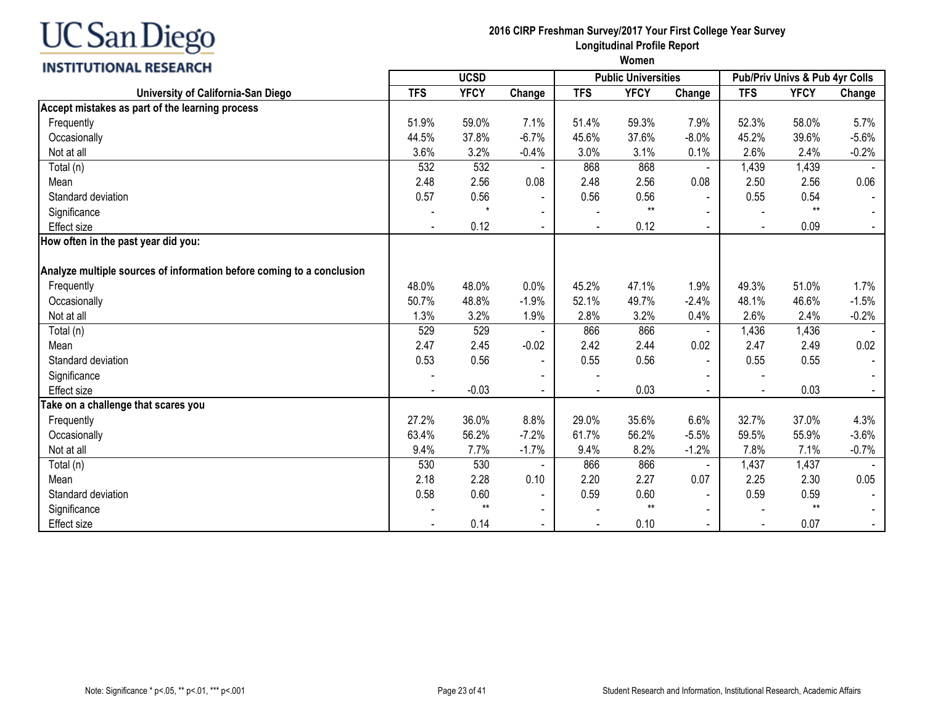| <b>INSTITUTIONAL RESEARCH</b>                                         |                          |             |                          |                |                            |                |                |                                |                |
|-----------------------------------------------------------------------|--------------------------|-------------|--------------------------|----------------|----------------------------|----------------|----------------|--------------------------------|----------------|
|                                                                       |                          | <b>UCSD</b> |                          |                | <b>Public Universities</b> |                |                | Pub/Priv Univs & Pub 4yr Colls |                |
| University of California-San Diego                                    | <b>TFS</b>               | <b>YFCY</b> | Change                   | <b>TFS</b>     | <b>YFCY</b>                | Change         | <b>TFS</b>     | <b>YFCY</b>                    | Change         |
| Accept mistakes as part of the learning process                       |                          |             |                          |                |                            |                |                |                                |                |
| Frequently                                                            | 51.9%                    | 59.0%       | 7.1%                     | 51.4%          | 59.3%                      | 7.9%           | 52.3%          | 58.0%                          | 5.7%           |
| Occasionally                                                          | 44.5%                    | 37.8%       | $-6.7%$                  | 45.6%          | 37.6%                      | $-8.0%$        | 45.2%          | 39.6%                          | $-5.6%$        |
| Not at all                                                            | 3.6%                     | 3.2%        | $-0.4%$                  | 3.0%           | 3.1%                       | 0.1%           | 2.6%           | 2.4%                           | $-0.2%$        |
| Total (n)                                                             | 532                      | 532         |                          | 868            | 868                        | $\blacksquare$ | 1,439          | 1,439                          |                |
| Mean                                                                  | 2.48                     | 2.56        | 0.08                     | 2.48           | 2.56                       | 0.08           | 2.50           | 2.56                           | 0.06           |
| Standard deviation                                                    | 0.57                     | 0.56        | $\blacksquare$           | 0.56           | 0.56                       | $\sim$         | 0.55           | 0.54                           |                |
| Significance                                                          |                          |             | $\overline{\phantom{a}}$ |                | $**$                       |                |                | $**$                           |                |
| <b>Effect size</b>                                                    | $\overline{\phantom{a}}$ | 0.12        | $\blacksquare$           | $\blacksquare$ | 0.12                       | $\sim$         | $\blacksquare$ | 0.09                           | $\sim$         |
| How often in the past year did you:                                   |                          |             |                          |                |                            |                |                |                                |                |
|                                                                       |                          |             |                          |                |                            |                |                |                                |                |
| Analyze multiple sources of information before coming to a conclusion |                          |             |                          |                |                            |                |                |                                |                |
| Frequently                                                            | 48.0%                    | 48.0%       | 0.0%                     | 45.2%          | 47.1%                      | 1.9%           | 49.3%          | 51.0%                          | 1.7%           |
| Occasionally                                                          | 50.7%                    | 48.8%       | $-1.9%$                  | 52.1%          | 49.7%                      | $-2.4%$        | 48.1%          | 46.6%                          | $-1.5%$        |
| Not at all                                                            | 1.3%                     | 3.2%        | 1.9%                     | 2.8%           | 3.2%                       | 0.4%           | 2.6%           | 2.4%                           | $-0.2%$        |
| Total (n)                                                             | 529                      | 529         |                          | 866            | 866                        |                | 1,436          | 1,436                          |                |
| Mean                                                                  | 2.47                     | 2.45        | $-0.02$                  | 2.42           | 2.44                       | 0.02           | 2.47           | 2.49                           | 0.02           |
| Standard deviation                                                    | 0.53                     | 0.56        | $\blacksquare$           | 0.55           | 0.56                       |                | 0.55           | 0.55                           |                |
| Significance                                                          |                          |             |                          |                |                            |                |                |                                |                |
| <b>Effect</b> size                                                    | $\blacksquare$           | $-0.03$     | $\blacksquare$           |                | 0.03                       | $\sim$         | $\blacksquare$ | 0.03                           | $\sim$         |
| Take on a challenge that scares you                                   |                          |             |                          |                |                            |                |                |                                |                |
| Frequently                                                            | 27.2%                    | 36.0%       | 8.8%                     | 29.0%          | 35.6%                      | 6.6%           | 32.7%          | 37.0%                          | 4.3%           |
| Occasionally                                                          | 63.4%                    | 56.2%       | $-7.2%$                  | 61.7%          | 56.2%                      | $-5.5%$        | 59.5%          | 55.9%                          | $-3.6%$        |
| Not at all                                                            | 9.4%                     | 7.7%        | $-1.7%$                  | 9.4%           | 8.2%                       | $-1.2%$        | 7.8%           | 7.1%                           | $-0.7%$        |
| Total (n)                                                             | 530                      | 530         |                          | 866            | 866                        | $\blacksquare$ | 1,437          | 1,437                          |                |
| Mean                                                                  | 2.18                     | 2.28        | 0.10                     | 2.20           | 2.27                       | 0.07           | 2.25           | 2.30                           | 0.05           |
| Standard deviation                                                    | 0.58                     | 0.60        | $\blacksquare$           | 0.59           | 0.60                       | $\blacksquare$ | 0.59           | 0.59                           |                |
| Significance                                                          |                          | $**$        | $\blacksquare$           |                | $**$                       |                |                | $**$                           |                |
| <b>Effect size</b>                                                    |                          | 0.14        | $\blacksquare$           |                | 0.10                       | $\blacksquare$ |                | 0.07                           | $\blacksquare$ |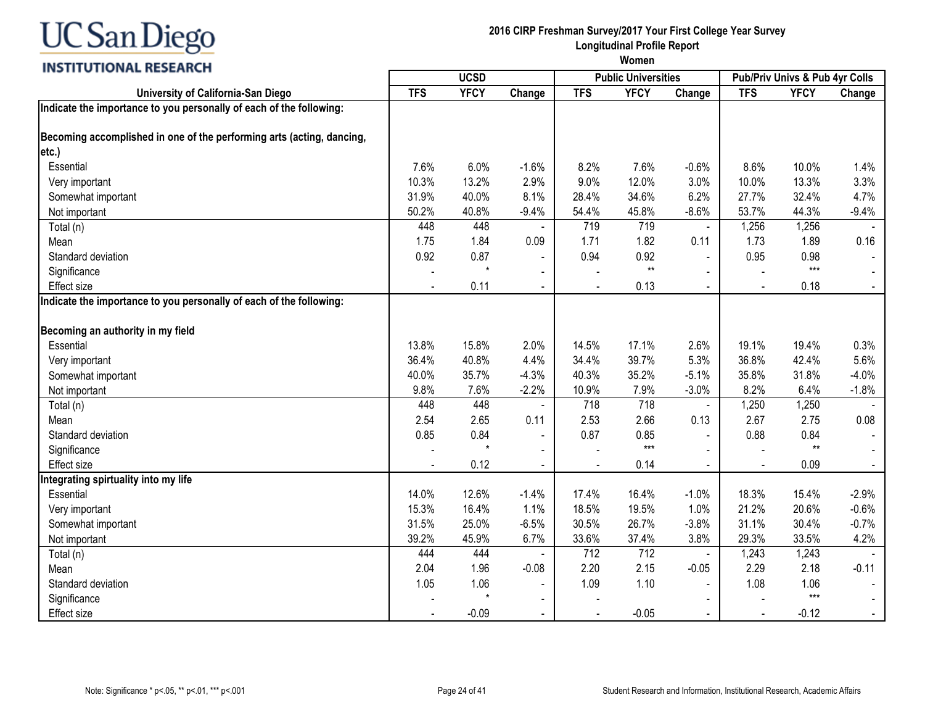

### **2016 CIRP Freshman Survey/2017 Your First College Year Survey Longitudinal Profile Report**

|                                                                       |            | <b>UCSD</b> |                |            | <b>Public Universities</b> |                |            | Pub/Priv Univs & Pub 4yr Colls |         |
|-----------------------------------------------------------------------|------------|-------------|----------------|------------|----------------------------|----------------|------------|--------------------------------|---------|
| University of California-San Diego                                    | <b>TFS</b> | <b>YFCY</b> | Change         | <b>TFS</b> | <b>YFCY</b>                | Change         | <b>TFS</b> | <b>YFCY</b>                    | Change  |
| Indicate the importance to you personally of each of the following:   |            |             |                |            |                            |                |            |                                |         |
| Becoming accomplished in one of the performing arts (acting, dancing, |            |             |                |            |                            |                |            |                                |         |
| etc.)                                                                 |            |             |                |            |                            |                |            |                                |         |
| Essential                                                             | 7.6%       | 6.0%        | $-1.6%$        | 8.2%       | 7.6%                       | $-0.6%$        | 8.6%       | 10.0%                          | 1.4%    |
| Very important                                                        | 10.3%      | 13.2%       | 2.9%           | 9.0%       | 12.0%                      | 3.0%           | 10.0%      | 13.3%                          | 3.3%    |
| Somewhat important                                                    | 31.9%      | 40.0%       | 8.1%           | 28.4%      | 34.6%                      | 6.2%           | 27.7%      | 32.4%                          | 4.7%    |
| Not important                                                         | 50.2%      | 40.8%       | $-9.4%$        | 54.4%      | 45.8%                      | $-8.6%$        | 53.7%      | 44.3%                          | $-9.4%$ |
| Total (n)                                                             | 448        | 448         |                | 719        | 719                        | $\blacksquare$ | 1,256      | 1,256                          |         |
| Mean                                                                  | 1.75       | 1.84        | 0.09           | 1.71       | 1.82                       | 0.11           | 1.73       | 1.89                           | 0.16    |
| Standard deviation                                                    | 0.92       | 0.87        |                | 0.94       | 0.92                       |                | 0.95       | 0.98                           |         |
| Significance                                                          |            | $\star$     |                |            | $**$                       |                |            | $***$                          |         |
| <b>Effect</b> size                                                    |            | 0.11        |                |            | 0.13                       |                |            | 0.18                           |         |
| Indicate the importance to you personally of each of the following:   |            |             |                |            |                            |                |            |                                |         |
| Becoming an authority in my field                                     |            |             |                |            |                            |                |            |                                |         |
| Essential                                                             | 13.8%      | 15.8%       | 2.0%           | 14.5%      | 17.1%                      | 2.6%           | 19.1%      | 19.4%                          | 0.3%    |
| Very important                                                        | 36.4%      | 40.8%       | 4.4%           | 34.4%      | 39.7%                      | 5.3%           | 36.8%      | 42.4%                          | 5.6%    |
| Somewhat important                                                    | 40.0%      | 35.7%       | $-4.3%$        | 40.3%      | 35.2%                      | $-5.1%$        | 35.8%      | 31.8%                          | $-4.0%$ |
| Not important                                                         | 9.8%       | 7.6%        | $-2.2%$        | 10.9%      | 7.9%                       | $-3.0%$        | 8.2%       | 6.4%                           | $-1.8%$ |
| Total (n)                                                             | 448        | 448         |                | 718        | 718                        | $\blacksquare$ | 1,250      | 1,250                          |         |
| Mean                                                                  | 2.54       | 2.65        | 0.11           | 2.53       | 2.66                       | 0.13           | 2.67       | 2.75                           | 0.08    |
| Standard deviation                                                    | 0.85       | 0.84        | $\blacksquare$ | 0.87       | 0.85                       | $\mathbf{r}$   | 0.88       | 0.84                           |         |
| Significance                                                          |            |             | $\blacksquare$ |            | $***$                      | $\blacksquare$ |            | $**$                           |         |
| Effect size                                                           |            | 0.12        | $\blacksquare$ |            | 0.14                       | $\blacksquare$ |            | 0.09                           |         |
| Integrating spirtuality into my life                                  |            |             |                |            |                            |                |            |                                |         |
| Essential                                                             | 14.0%      | 12.6%       | $-1.4%$        | 17.4%      | 16.4%                      | $-1.0%$        | 18.3%      | 15.4%                          | $-2.9%$ |
| Very important                                                        | 15.3%      | 16.4%       | 1.1%           | 18.5%      | 19.5%                      | 1.0%           | 21.2%      | 20.6%                          | $-0.6%$ |
| Somewhat important                                                    | 31.5%      | 25.0%       | $-6.5%$        | 30.5%      | 26.7%                      | $-3.8%$        | 31.1%      | 30.4%                          | $-0.7%$ |
| Not important                                                         | 39.2%      | 45.9%       | 6.7%           | 33.6%      | 37.4%                      | 3.8%           | 29.3%      | 33.5%                          | 4.2%    |
| Total (n)                                                             | 444        | 444         |                | 712        | 712                        |                | 1,243      | 1,243                          |         |
| Mean                                                                  | 2.04       | 1.96        | $-0.08$        | 2.20       | 2.15                       | $-0.05$        | 2.29       | 2.18                           | $-0.11$ |
| Standard deviation                                                    | 1.05       | 1.06        | $\blacksquare$ | 1.09       | 1.10                       | $\blacksquare$ | 1.08       | 1.06                           |         |
| Significance                                                          |            | $\star$     | $\blacksquare$ |            |                            |                |            | $***$                          |         |
| <b>Effect size</b>                                                    |            | $-0.09$     | $\blacksquare$ |            | $-0.05$                    |                |            | $-0.12$                        |         |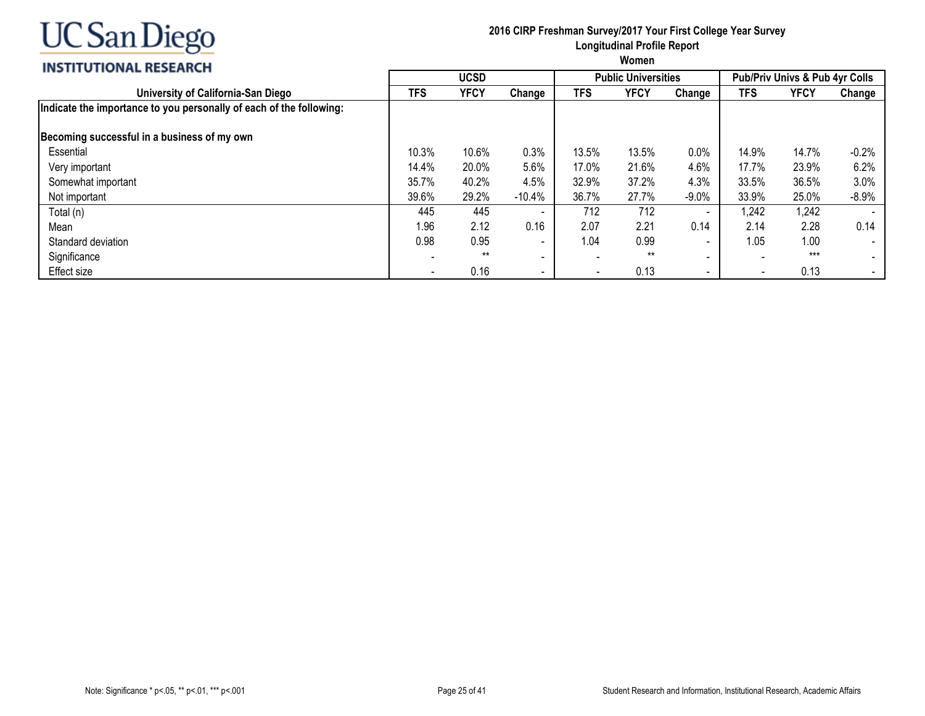

## **2016 CIRP Freshman Survey/2017 Your First College Year Survey Longitudinal Profile Report**

### **INS**

| <b>INSTITUTIONAL RESEARCH</b>                                       | Women                    |             |           |            |                            |                          |       |                                           |                          |  |  |
|---------------------------------------------------------------------|--------------------------|-------------|-----------|------------|----------------------------|--------------------------|-------|-------------------------------------------|--------------------------|--|--|
|                                                                     |                          | <b>UCSD</b> |           |            | <b>Public Universities</b> |                          |       | <b>Pub/Priv Univs &amp; Pub 4yr Colls</b> |                          |  |  |
| University of California-San Diego                                  | TFS                      | <b>YFCY</b> | Change    | <b>TFS</b> | <b>YFCY</b>                | Change                   | TFS   | YFCY                                      | Change                   |  |  |
| Indicate the importance to you personally of each of the following: |                          |             |           |            |                            |                          |       |                                           |                          |  |  |
| Becoming successful in a business of my own                         |                          |             |           |            |                            |                          |       |                                           |                          |  |  |
| Essential                                                           | 10.3%                    | 10.6%       | 0.3%      | 13.5%      | 13.5%                      | 0.0%                     | 14.9% | 14.7%                                     | $-0.2%$                  |  |  |
| Very important                                                      | 14.4%                    | 20.0%       | 5.6%      | 17.0%      | 21.6%                      | 4.6%                     | 17.7% | 23.9%                                     | 6.2%                     |  |  |
| Somewhat important                                                  | 35.7%                    | 40.2%       | 4.5%      | 32.9%      | 37.2%                      | 4.3%                     | 33.5% | 36.5%                                     | 3.0%                     |  |  |
| Not important                                                       | 39.6%                    | 29.2%       | $-10.4\%$ | 36.7%      | 27.7%                      | $-9.0\%$                 | 33.9% | 25.0%                                     | $-8.9%$                  |  |  |
| Total (n)                                                           | 445                      | 445         | $\sim$    | 712        | 712                        | $\overline{\phantom{0}}$ | ,242  | 1,242                                     |                          |  |  |
| Mean                                                                | 1.96                     | 2.12        | 0.16      | 2.07       | 2.21                       | 0.14                     | 2.14  | 2.28                                      | 0.14                     |  |  |
| Standard deviation                                                  | 0.98                     | 0.95        | ۰.        | 1.04       | 0.99                       | $\overline{\phantom{0}}$ | 1.05  | 1.00                                      |                          |  |  |
| Significance                                                        |                          | $***$       | $\sim$    |            | $***$                      | $\overline{\phantom{0}}$ |       | $***$                                     |                          |  |  |
| Effect size                                                         | $\overline{\phantom{a}}$ | 0.16        | $\sim$    |            | 0.13                       | $\overline{\phantom{0}}$ |       | 0.13                                      | $\overline{\phantom{a}}$ |  |  |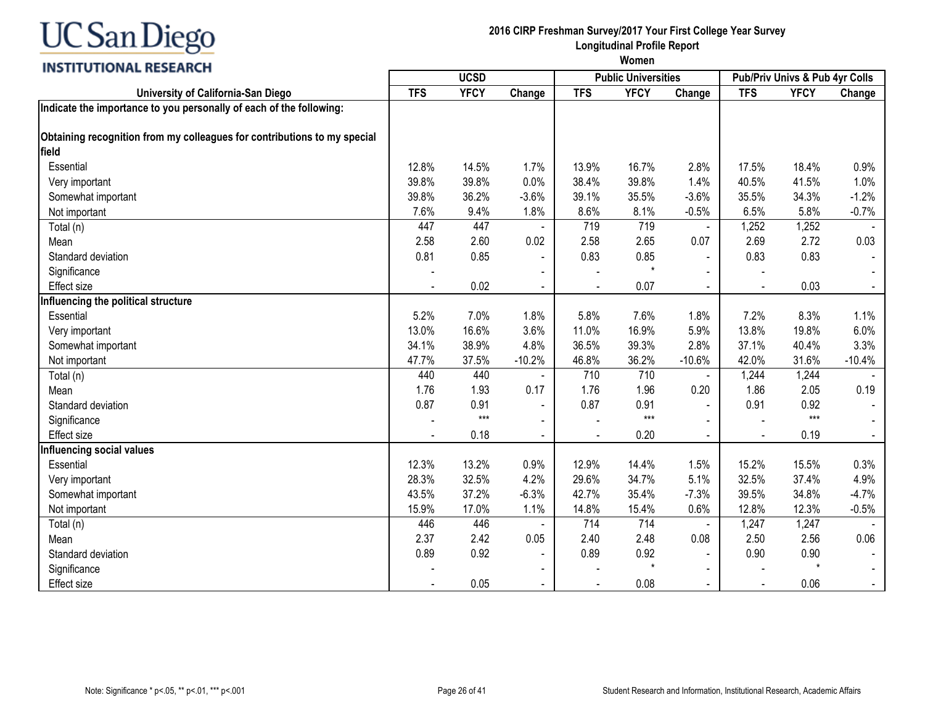

#### **2016 CIRP Freshman Survey/2017 Your First College Year Survey Longitudinal Profile Report**

| <b>VIIVITIE INSERINGII</b>                                               | <b>UCSD</b> |             |                |            | <b>Public Universities</b> |                | Pub/Priv Univs & Pub 4yr Colls |             |                |
|--------------------------------------------------------------------------|-------------|-------------|----------------|------------|----------------------------|----------------|--------------------------------|-------------|----------------|
| University of California-San Diego                                       | <b>TFS</b>  | <b>YFCY</b> | Change         | <b>TFS</b> | <b>YFCY</b>                | Change         | <b>TFS</b>                     | <b>YFCY</b> | Change         |
| Indicate the importance to you personally of each of the following:      |             |             |                |            |                            |                |                                |             |                |
| Obtaining recognition from my colleagues for contributions to my special |             |             |                |            |                            |                |                                |             |                |
| field                                                                    |             |             |                |            |                            |                |                                |             |                |
| Essential                                                                | 12.8%       | 14.5%       | 1.7%           | 13.9%      | 16.7%                      |                | 17.5%                          | 18.4%       | 0.9%           |
|                                                                          |             |             |                |            |                            | 2.8%           |                                |             |                |
| Very important                                                           | 39.8%       | 39.8%       | 0.0%           | 38.4%      | 39.8%                      | 1.4%           | 40.5%                          | 41.5%       | 1.0%           |
| Somewhat important                                                       | 39.8%       | 36.2%       | $-3.6%$        | 39.1%      | 35.5%                      | $-3.6%$        | 35.5%                          | 34.3%       | $-1.2%$        |
| Not important                                                            | 7.6%        | 9.4%        | 1.8%           | 8.6%       | 8.1%                       | $-0.5%$        | 6.5%                           | 5.8%        | $-0.7%$        |
| Total (n)                                                                | 447         | 447         |                | 719        | 719                        | $\blacksquare$ | 1,252                          | 1,252       |                |
| Mean                                                                     | 2.58        | 2.60        | 0.02           | 2.58       | 2.65                       | 0.07           | 2.69                           | 2.72        | 0.03           |
| Standard deviation                                                       | 0.81        | 0.85        | $\blacksquare$ | 0.83       | 0.85<br>$\star$            |                | 0.83                           | 0.83        |                |
| Significance                                                             |             |             |                |            |                            |                |                                |             |                |
| Effect size                                                              |             | 0.02        | $\blacksquare$ |            | 0.07                       | $\blacksquare$ |                                | 0.03        |                |
| Influencing the political structure                                      |             |             |                |            |                            |                |                                |             |                |
| Essential                                                                | 5.2%        | 7.0%        | 1.8%           | 5.8%       | 7.6%                       | 1.8%           | 7.2%                           | 8.3%        | 1.1%           |
| Very important                                                           | 13.0%       | 16.6%       | 3.6%           | 11.0%      | 16.9%                      | 5.9%           | 13.8%                          | 19.8%       | 6.0%           |
| Somewhat important                                                       | 34.1%       | 38.9%       | 4.8%           | 36.5%      | 39.3%                      | 2.8%           | 37.1%                          | 40.4%       | 3.3%           |
| Not important                                                            | 47.7%       | 37.5%       | $-10.2%$       | 46.8%      | 36.2%                      | $-10.6%$       | 42.0%                          | 31.6%       | $-10.4%$       |
| Total (n)                                                                | 440         | 440         |                | 710        | 710                        | ä,             | 1,244                          | 1,244       |                |
| Mean                                                                     | 1.76        | 1.93        | 0.17           | 1.76       | 1.96                       | 0.20           | 1.86                           | 2.05        | 0.19           |
| Standard deviation                                                       | 0.87        | 0.91        | $\blacksquare$ | 0.87       | 0.91                       | $\blacksquare$ | 0.91                           | 0.92        |                |
| Significance                                                             |             | $***$       |                |            | $***$                      |                |                                | $***$       |                |
| <b>Effect size</b>                                                       |             | 0.18        |                |            | 0.20                       |                |                                | 0.19        | $\blacksquare$ |
| Influencing social values                                                |             |             |                |            |                            |                |                                |             |                |
| Essential                                                                | 12.3%       | 13.2%       | 0.9%           | 12.9%      | 14.4%                      | 1.5%           | 15.2%                          | 15.5%       | 0.3%           |
| Very important                                                           | 28.3%       | 32.5%       | 4.2%           | 29.6%      | 34.7%                      | 5.1%           | 32.5%                          | 37.4%       | 4.9%           |
| Somewhat important                                                       | 43.5%       | 37.2%       | $-6.3%$        | 42.7%      | 35.4%                      | $-7.3%$        | 39.5%                          | 34.8%       | $-4.7%$        |
| Not important                                                            | 15.9%       | 17.0%       | 1.1%           | 14.8%      | 15.4%                      | 0.6%           | 12.8%                          | 12.3%       | $-0.5%$        |
| Total (n)                                                                | 446         | 446         |                | 714        | 714                        | $\blacksquare$ | 1,247                          | 1,247       |                |
| Mean                                                                     | 2.37        | 2.42        | 0.05           | 2.40       | 2.48                       | 0.08           | 2.50                           | 2.56        | 0.06           |
| Standard deviation                                                       | 0.89        | 0.92        |                | 0.89       | 0.92                       |                | 0.90                           | 0.90        |                |
| Significance                                                             |             |             |                |            | $\star$                    |                |                                | $\star$     |                |
| <b>Effect size</b>                                                       |             | 0.05        | $\blacksquare$ |            | 0.08                       |                |                                | 0.06        | $\sim$         |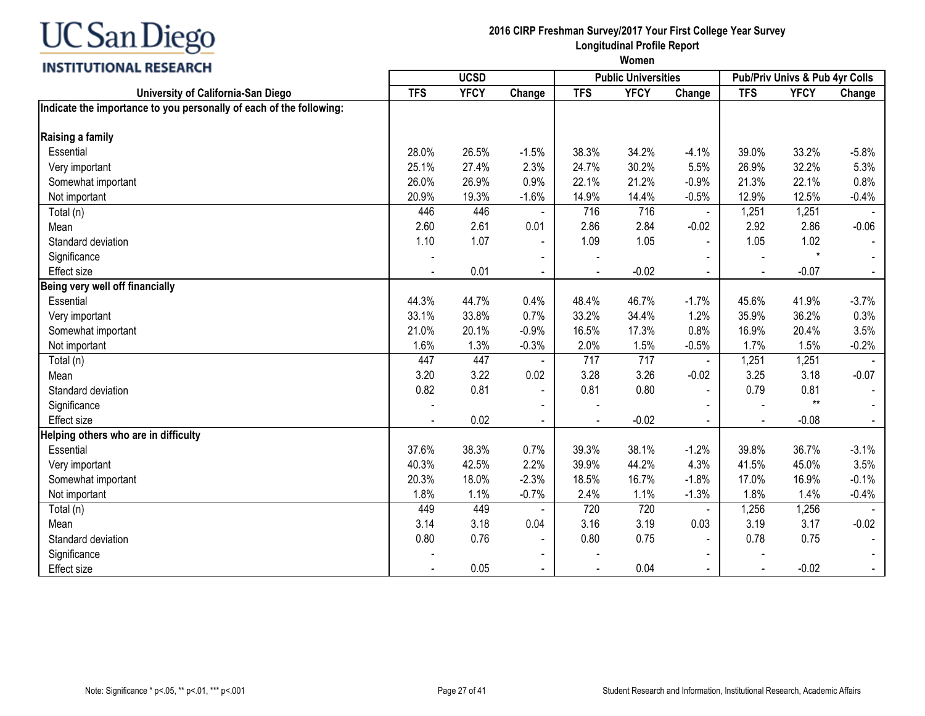

## **2016 CIRP Freshman Survey/2017 Your First College Year Survey Longitudinal Profile Report**

| <b>VIIVITIE INSERINGII</b>                                          | <b>UCSD</b> |             |                          |            | <b>Public Universities</b> |                | Pub/Priv Univs & Pub 4yr Colls |             |         |
|---------------------------------------------------------------------|-------------|-------------|--------------------------|------------|----------------------------|----------------|--------------------------------|-------------|---------|
| University of California-San Diego                                  | <b>TFS</b>  | <b>YFCY</b> | Change                   | <b>TFS</b> | <b>YFCY</b>                | Change         | <b>TFS</b>                     | <b>YFCY</b> | Change  |
| Indicate the importance to you personally of each of the following: |             |             |                          |            |                            |                |                                |             |         |
| Raising a family                                                    |             |             |                          |            |                            |                |                                |             |         |
| Essential                                                           | 28.0%       | 26.5%       | $-1.5%$                  | 38.3%      | 34.2%                      | $-4.1%$        | 39.0%                          | 33.2%       | $-5.8%$ |
| Very important                                                      | 25.1%       | 27.4%       | 2.3%                     | 24.7%      | 30.2%                      | 5.5%           | 26.9%                          | 32.2%       | 5.3%    |
| Somewhat important                                                  | 26.0%       | 26.9%       | 0.9%                     | 22.1%      | 21.2%                      | $-0.9%$        | 21.3%                          | 22.1%       | 0.8%    |
| Not important                                                       | 20.9%       | 19.3%       | $-1.6%$                  | 14.9%      | 14.4%                      | $-0.5%$        | 12.9%                          | 12.5%       | $-0.4%$ |
| Total (n)                                                           | 446         | 446         |                          | 716        | 716                        | $\blacksquare$ | 1,251                          | 1,251       |         |
| Mean                                                                | 2.60        | 2.61        | 0.01                     | 2.86       | 2.84                       | $-0.02$        | 2.92                           | 2.86        | $-0.06$ |
| Standard deviation                                                  | 1.10        | 1.07        |                          | 1.09       | 1.05                       |                | 1.05                           | 1.02        |         |
| Significance                                                        |             |             |                          |            |                            |                |                                | $\star$     |         |
| <b>Effect size</b>                                                  |             | 0.01        | $\overline{\phantom{0}}$ |            | $-0.02$                    | $\mathbf{r}$   | $\blacksquare$                 | $-0.07$     |         |
| Being very well off financially                                     |             |             |                          |            |                            |                |                                |             |         |
| Essential                                                           | 44.3%       | 44.7%       | 0.4%                     | 48.4%      | 46.7%                      | $-1.7%$        | 45.6%                          | 41.9%       | $-3.7%$ |
| Very important                                                      | 33.1%       | 33.8%       | 0.7%                     | 33.2%      | 34.4%                      | 1.2%           | 35.9%                          | 36.2%       | 0.3%    |
| Somewhat important                                                  | 21.0%       | 20.1%       | $-0.9%$                  | 16.5%      | 17.3%                      | 0.8%           | 16.9%                          | 20.4%       | 3.5%    |
| Not important                                                       | 1.6%        | 1.3%        | $-0.3%$                  | 2.0%       | 1.5%                       | $-0.5%$        | 1.7%                           | 1.5%        | $-0.2%$ |
| Total (n)                                                           | 447         | 447         |                          | 717        | 717                        | $\blacksquare$ | 1,251                          | 1,251       |         |
| Mean                                                                | 3.20        | 3.22        | 0.02                     | 3.28       | 3.26                       | $-0.02$        | 3.25                           | 3.18        | $-0.07$ |
| Standard deviation                                                  | 0.82        | 0.81        | $\blacksquare$           | 0.81       | 0.80                       |                | 0.79                           | 0.81        |         |
| Significance                                                        |             |             |                          |            |                            |                |                                | $**$        |         |
| <b>Effect size</b>                                                  |             | 0.02        | $\blacksquare$           |            | $-0.02$                    | $\sim$         | $\blacksquare$                 | $-0.08$     |         |
| Helping others who are in difficulty                                |             |             |                          |            |                            |                |                                |             |         |
| Essential                                                           | 37.6%       | 38.3%       | 0.7%                     | 39.3%      | 38.1%                      | $-1.2%$        | 39.8%                          | 36.7%       | $-3.1%$ |
| Very important                                                      | 40.3%       | 42.5%       | 2.2%                     | 39.9%      | 44.2%                      | 4.3%           | 41.5%                          | 45.0%       | 3.5%    |
| Somewhat important                                                  | 20.3%       | 18.0%       | $-2.3%$                  | 18.5%      | 16.7%                      | $-1.8%$        | 17.0%                          | 16.9%       | $-0.1%$ |
| Not important                                                       | 1.8%        | 1.1%        | $-0.7%$                  | 2.4%       | 1.1%                       | $-1.3%$        | 1.8%                           | 1.4%        | $-0.4%$ |
| Total (n)                                                           | 449         | 449         | $\blacksquare$           | 720        | 720                        | $\blacksquare$ | 1,256                          | 1,256       |         |
| Mean                                                                | 3.14        | 3.18        | 0.04                     | 3.16       | 3.19                       | 0.03           | 3.19                           | 3.17        | $-0.02$ |
| Standard deviation                                                  | 0.80        | 0.76        | $\blacksquare$           | 0.80       | 0.75                       | $\sim$         | 0.78                           | 0.75        |         |
| Significance                                                        |             |             |                          |            |                            |                |                                |             |         |
| <b>Effect size</b>                                                  |             | 0.05        |                          |            | 0.04                       |                |                                | $-0.02$     |         |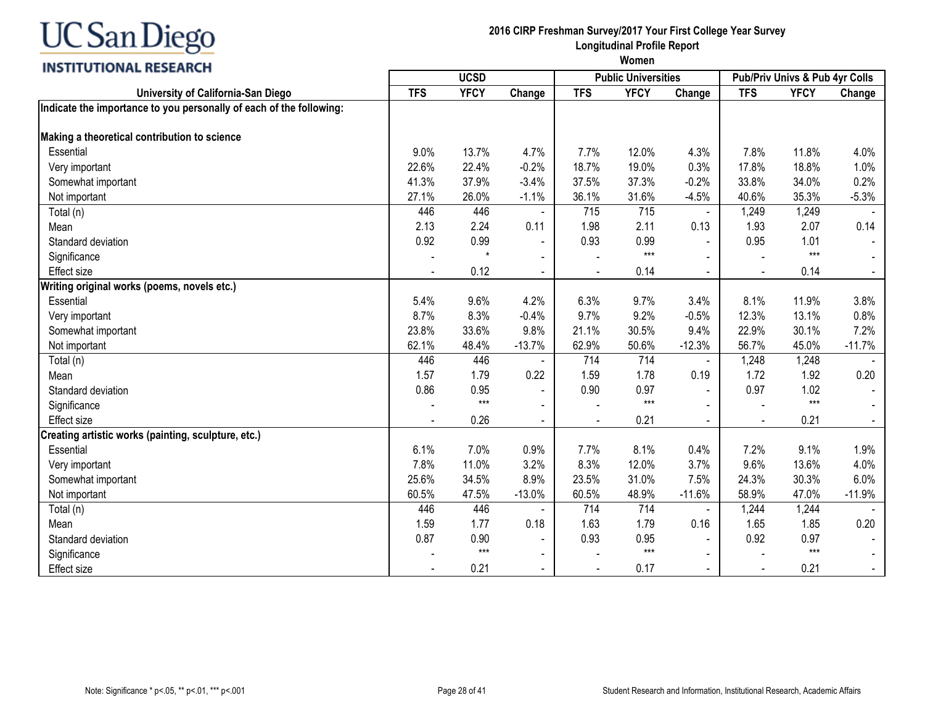## INCTITUTIONAL DECEADEL

## **2016 CIRP Freshman Survey/2017 Your First College Year Survey Longitudinal Profile Report**

| <b>INSITIVITUMAL RESEARUM</b>                                       | <b>UCSD</b> |             |                |            | <b>Public Universities</b> |                | Pub/Priv Univs & Pub 4yr Colls |             |                |
|---------------------------------------------------------------------|-------------|-------------|----------------|------------|----------------------------|----------------|--------------------------------|-------------|----------------|
| University of California-San Diego                                  | <b>TFS</b>  | <b>YFCY</b> | Change         | <b>TFS</b> | <b>YFCY</b>                | Change         | <b>TFS</b>                     | <b>YFCY</b> | Change         |
| Indicate the importance to you personally of each of the following: |             |             |                |            |                            |                |                                |             |                |
|                                                                     |             |             |                |            |                            |                |                                |             |                |
| Making a theoretical contribution to science                        |             |             |                |            |                            |                |                                |             |                |
| Essential                                                           | 9.0%        | 13.7%       | 4.7%           | 7.7%       | 12.0%                      | 4.3%           | 7.8%                           | 11.8%       | 4.0%           |
| Very important                                                      | 22.6%       | 22.4%       | $-0.2%$        | 18.7%      | 19.0%                      | 0.3%           | 17.8%                          | 18.8%       | 1.0%           |
| Somewhat important                                                  | 41.3%       | 37.9%       | $-3.4%$        | 37.5%      | 37.3%                      | $-0.2%$        | 33.8%                          | 34.0%       | 0.2%           |
| Not important                                                       | 27.1%       | 26.0%       | $-1.1%$        | 36.1%      | 31.6%                      | $-4.5%$        | 40.6%                          | 35.3%       | $-5.3%$        |
| Total (n)                                                           | 446         | 446         |                | 715        | 715                        | $\blacksquare$ | 1,249                          | 1,249       |                |
| Mean                                                                | 2.13        | 2.24        | 0.11           | 1.98       | 2.11                       | 0.13           | 1.93                           | 2.07        | 0.14           |
| Standard deviation                                                  | 0.92        | 0.99        | $\blacksquare$ | 0.93       | 0.99                       | $\blacksquare$ | 0.95                           | 1.01        |                |
| Significance                                                        |             | $\star$     | $\sim$         |            | $***$                      |                |                                | $***$       |                |
| <b>Effect size</b>                                                  |             | 0.12        |                |            | 0.14                       |                |                                | 0.14        |                |
| Writing original works (poems, novels etc.)                         |             |             |                |            |                            |                |                                |             |                |
| Essential                                                           | 5.4%        | 9.6%        | 4.2%           | 6.3%       | 9.7%                       | 3.4%           | 8.1%                           | 11.9%       | 3.8%           |
| Very important                                                      | 8.7%        | 8.3%        | $-0.4%$        | 9.7%       | 9.2%                       | $-0.5%$        | 12.3%                          | 13.1%       | 0.8%           |
| Somewhat important                                                  | 23.8%       | 33.6%       | 9.8%           | 21.1%      | 30.5%                      | 9.4%           | 22.9%                          | 30.1%       | 7.2%           |
| Not important                                                       | 62.1%       | 48.4%       | $-13.7%$       | 62.9%      | 50.6%                      | $-12.3%$       | 56.7%                          | 45.0%       | $-11.7%$       |
| Total (n)                                                           | 446         | 446         |                | 714        | 714                        | $\blacksquare$ | 1,248                          | 1,248       |                |
| Mean                                                                | 1.57        | 1.79        | 0.22           | 1.59       | 1.78                       | 0.19           | 1.72                           | 1.92        | 0.20           |
| Standard deviation                                                  | 0.86        | 0.95        |                | 0.90       | 0.97                       |                | 0.97                           | 1.02        |                |
| Significance                                                        |             | $***$       | $\blacksquare$ |            | $***$                      |                |                                | $***$       |                |
| <b>Effect size</b>                                                  |             | 0.26        | $\blacksquare$ |            | 0.21                       | $\mathbf{r}$   | $\overline{a}$                 | 0.21        | $\blacksquare$ |
| Creating artistic works (painting, sculpture, etc.)                 |             |             |                |            |                            |                |                                |             |                |
| Essential                                                           | 6.1%        | 7.0%        | 0.9%           | 7.7%       | 8.1%                       | 0.4%           | 7.2%                           | 9.1%        | 1.9%           |
| Very important                                                      | 7.8%        | 11.0%       | 3.2%           | 8.3%       | 12.0%                      | 3.7%           | 9.6%                           | 13.6%       | 4.0%           |
| Somewhat important                                                  | 25.6%       | 34.5%       | 8.9%           | 23.5%      | 31.0%                      | 7.5%           | 24.3%                          | 30.3%       | 6.0%           |
| Not important                                                       | 60.5%       | 47.5%       | $-13.0%$       | 60.5%      | 48.9%                      | $-11.6%$       | 58.9%                          | 47.0%       | $-11.9%$       |
| Total (n)                                                           | 446         | 446         | $\blacksquare$ | 714        | 714                        | $\sim$         | 1,244                          | 1,244       |                |
| Mean                                                                | 1.59        | 1.77        | 0.18           | 1.63       | 1.79                       | 0.16           | 1.65                           | 1.85        | 0.20           |
| Standard deviation                                                  | 0.87        | 0.90        | $\blacksquare$ | 0.93       | 0.95                       |                | 0.92                           | 0.97        |                |
| Significance                                                        |             | $***$       | $\blacksquare$ |            | $***$                      | $\blacksquare$ |                                | $***$       |                |
| <b>Effect size</b>                                                  |             | 0.21        |                |            | 0.17                       |                |                                | 0.21        |                |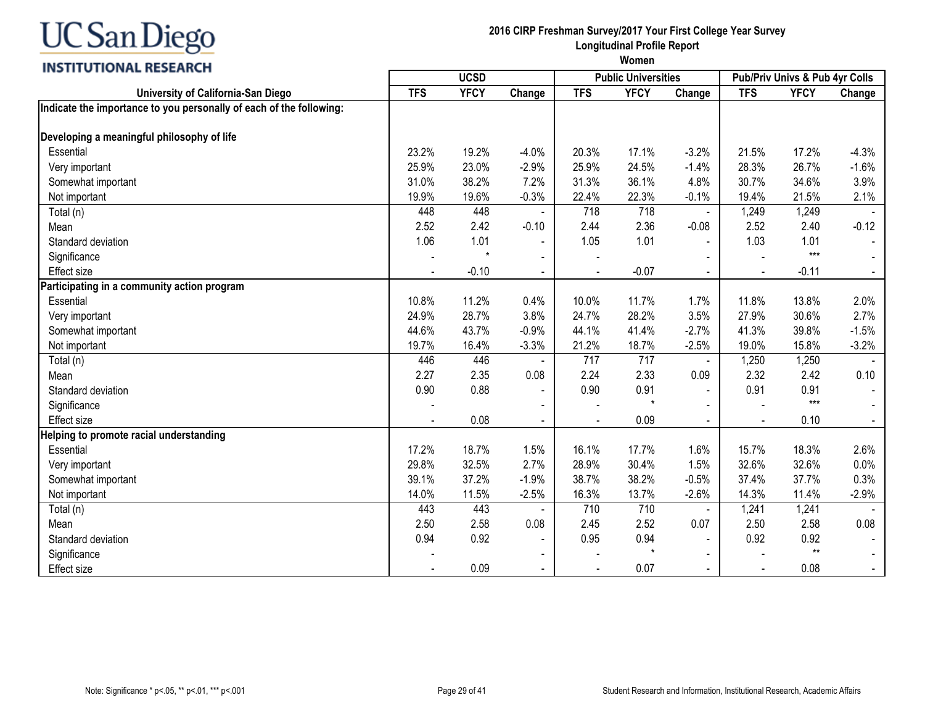#### **INSTITUTIONAL RESEARCH**

## **2016 CIRP Freshman Survey/2017 Your First College Year Survey Longitudinal Profile Report**

| <b>INSTRUCTIONAL BESEARCH</b>                                       |            | <b>UCSD</b> |                |            | <b>Public Universities</b> |                          | Pub/Priv Univs & Pub 4yr Colls |             |         |
|---------------------------------------------------------------------|------------|-------------|----------------|------------|----------------------------|--------------------------|--------------------------------|-------------|---------|
| University of California-San Diego                                  | <b>TFS</b> | <b>YFCY</b> | Change         | <b>TFS</b> | <b>YFCY</b>                | Change                   | <b>TFS</b>                     | <b>YFCY</b> | Change  |
| Indicate the importance to you personally of each of the following: |            |             |                |            |                            |                          |                                |             |         |
| Developing a meaningful philosophy of life                          |            |             |                |            |                            |                          |                                |             |         |
| Essential                                                           | 23.2%      | 19.2%       | $-4.0%$        | 20.3%      | 17.1%                      | $-3.2%$                  | 21.5%                          | 17.2%       | $-4.3%$ |
| Very important                                                      | 25.9%      | 23.0%       | $-2.9%$        | 25.9%      | 24.5%                      | $-1.4%$                  | 28.3%                          | 26.7%       | $-1.6%$ |
| Somewhat important                                                  | 31.0%      | 38.2%       | 7.2%           | 31.3%      | 36.1%                      | 4.8%                     | 30.7%                          | 34.6%       | 3.9%    |
| Not important                                                       | 19.9%      | 19.6%       | $-0.3%$        | 22.4%      | 22.3%                      | $-0.1%$                  | 19.4%                          | 21.5%       | 2.1%    |
| Total (n)                                                           | 448        | 448         |                | 718        | 718                        | $\overline{\phantom{a}}$ | 1,249                          | 1,249       |         |
| Mean                                                                | 2.52       | 2.42        | $-0.10$        | 2.44       | 2.36                       | $-0.08$                  | 2.52                           | 2.40        | $-0.12$ |
| Standard deviation                                                  | 1.06       | 1.01        |                | 1.05       | 1.01                       |                          | 1.03                           | 1.01        |         |
| Significance                                                        |            | $\star$     | $\blacksquare$ |            |                            |                          |                                | $***$       |         |
| <b>Effect size</b>                                                  |            | $-0.10$     |                |            | $-0.07$                    |                          |                                | $-0.11$     |         |
| Participating in a community action program                         |            |             |                |            |                            |                          |                                |             |         |
| Essential                                                           | 10.8%      | 11.2%       | 0.4%           | 10.0%      | 11.7%                      | 1.7%                     | 11.8%                          | 13.8%       | 2.0%    |
| Very important                                                      | 24.9%      | 28.7%       | 3.8%           | 24.7%      | 28.2%                      | 3.5%                     | 27.9%                          | 30.6%       | 2.7%    |
| Somewhat important                                                  | 44.6%      | 43.7%       | $-0.9%$        | 44.1%      | 41.4%                      | $-2.7%$                  | 41.3%                          | 39.8%       | $-1.5%$ |
| Not important                                                       | 19.7%      | 16.4%       | $-3.3%$        | 21.2%      | 18.7%                      | $-2.5%$                  | 19.0%                          | 15.8%       | $-3.2%$ |
| Total (n)                                                           | 446        | 446         |                | 717        | 717                        | $\blacksquare$           | 1,250                          | 1,250       |         |
| Mean                                                                | 2.27       | 2.35        | 0.08           | 2.24       | 2.33                       | 0.09                     | 2.32                           | 2.42        | 0.10    |
| Standard deviation                                                  | 0.90       | 0.88        |                | 0.90       | 0.91                       |                          | 0.91                           | 0.91        |         |
| Significance                                                        |            |             |                |            | $\star$                    |                          |                                | $***$       |         |
| <b>Effect size</b>                                                  |            | 0.08        | $\blacksquare$ |            | 0.09                       | $\blacksquare$           |                                | 0.10        |         |
| Helping to promote racial understanding                             |            |             |                |            |                            |                          |                                |             |         |
| Essential                                                           | 17.2%      | 18.7%       | 1.5%           | 16.1%      | 17.7%                      | 1.6%                     | 15.7%                          | 18.3%       | 2.6%    |
| Very important                                                      | 29.8%      | 32.5%       | 2.7%           | 28.9%      | 30.4%                      | 1.5%                     | 32.6%                          | 32.6%       | 0.0%    |
| Somewhat important                                                  | 39.1%      | 37.2%       | $-1.9%$        | 38.7%      | 38.2%                      | $-0.5%$                  | 37.4%                          | 37.7%       | 0.3%    |
| Not important                                                       | 14.0%      | 11.5%       | $-2.5%$        | 16.3%      | 13.7%                      | $-2.6%$                  | 14.3%                          | 11.4%       | $-2.9%$ |
| Total (n)                                                           | 443        | 443         |                | 710        | 710                        | $\blacksquare$           | 1,241                          | 1,241       |         |
| Mean                                                                | 2.50       | 2.58        | 0.08           | 2.45       | 2.52                       | 0.07                     | 2.50                           | 2.58        | 0.08    |
| Standard deviation                                                  | 0.94       | 0.92        | $\blacksquare$ | 0.95       | 0.94                       | $\sim$                   | 0.92                           | 0.92        |         |
| Significance                                                        |            |             |                |            |                            | $\blacksquare$           |                                | $**$        |         |
| <b>Effect size</b>                                                  |            | 0.09        |                |            | 0.07                       |                          |                                | 0.08        |         |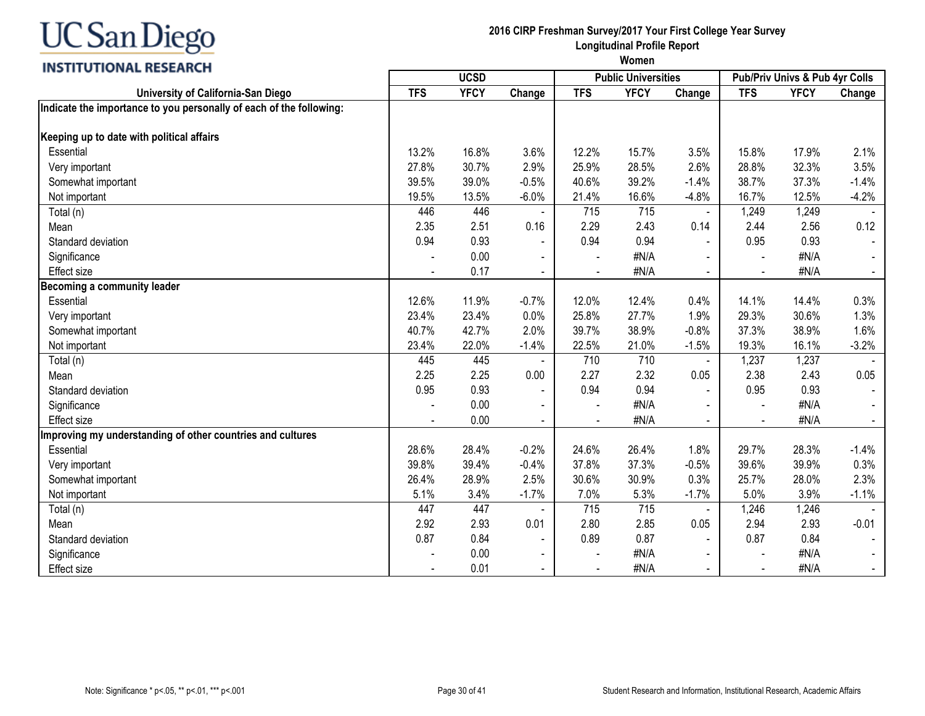

## INCTITUTIONAL DECEADEL

### **2016 CIRP Freshman Survey/2017 Your First College Year Survey Longitudinal Profile Report**

| <b>TFS</b><br><b>YFCY</b><br><b>TFS</b><br><b>YFCY</b><br>Change<br><b>TFS</b><br><b>YFCY</b><br>University of California-San Diego<br>Change<br>Change<br>Indicate the importance to you personally of each of the following:<br>Keeping up to date with political affairs<br>Essential<br>13.2%<br>16.8%<br>3.6%<br>12.2%<br>15.7%<br>3.5%<br>15.8%<br>17.9%<br>2.1%<br>27.8%<br>2.9%<br>28.5%<br>28.8%<br>32.3%<br>3.5%<br>30.7%<br>25.9%<br>2.6%<br>Very important<br>39.5%<br>39.0%<br>$-0.5%$<br>39.2%<br>38.7%<br>37.3%<br>$-1.4%$<br>Somewhat important<br>40.6%<br>$-1.4%$<br>19.5%<br>$-6.0%$<br>16.6%<br>16.7%<br>12.5%<br>$-4.2%$<br>Not important<br>13.5%<br>21.4%<br>$-4.8%$<br>446<br>446<br>715<br>1,249<br>1,249<br>715<br>Total (n)<br>$\blacksquare$<br>2.51<br>0.16<br>2.29<br>2.43<br>0.14<br>2.44<br>2.56<br>0.12<br>Mean<br>2.35<br>0.94<br>0.93<br>0.93<br>0.94<br>0.94<br>0.95<br>Standard deviation<br>$\blacksquare$<br>$\sim$<br>0.00<br>#N/A<br>#N/A<br>Significance<br>$\overline{\phantom{a}}$<br>$\blacksquare$<br>0.17<br>#N/A<br>#N/A<br><b>Effect size</b><br>Becoming a community leader<br>12.6%<br>11.9%<br>$-0.7%$<br>12.4%<br>14.1%<br>14.4%<br>0.3%<br>12.0%<br>0.4%<br>Essential<br>23.4%<br>23.4%<br>0.0%<br>27.7%<br>1.9%<br>29.3%<br>30.6%<br>1.3%<br>25.8%<br>Very important<br>2.0%<br>37.3%<br>1.6%<br>40.7%<br>42.7%<br>39.7%<br>38.9%<br>$-0.8%$<br>38.9%<br>Somewhat important<br>23.4%<br>22.0%<br>$-1.4%$<br>21.0%<br>$-1.5%$<br>19.3%<br>16.1%<br>$-3.2%$<br>22.5%<br>Not important<br>445<br>710<br>445<br>710<br>1,237<br>1,237<br>Total (n)<br>$\blacksquare$<br>2.25<br>2.25<br>0.00<br>2.27<br>2.32<br>0.05<br>2.38<br>2.43<br>0.05<br>Mean<br>0.95<br>0.93<br>0.94<br>0.93<br>0.94<br>0.95<br>Standard deviation<br>#N/A<br>0.00<br>#N/A<br>Significance<br>$\overline{\phantom{a}}$<br>0.00<br>#N/A<br>#N/A<br><b>Effect size</b><br>$\blacksquare$<br>$\blacksquare$<br>$\blacksquare$<br>$\blacksquare$<br>Improving my understanding of other countries and cultures<br>$-0.2%$<br>29.7%<br>Essential<br>28.6%<br>28.4%<br>24.6%<br>26.4%<br>1.8%<br>28.3%<br>$-1.4%$<br>$-0.4%$<br>37.3%<br>39.6%<br>39.8%<br>39.4%<br>37.8%<br>$-0.5%$<br>39.9%<br>0.3%<br>Very important<br>2.5%<br>25.7%<br>26.4%<br>28.9%<br>30.6%<br>30.9%<br>0.3%<br>28.0%<br>2.3%<br>Somewhat important<br>5.1%<br>$-1.7%$<br>5.3%<br>5.0%<br>3.9%<br>3.4%<br>7.0%<br>$-1.7%$<br>$-1.1%$<br>Not important<br>447<br>447<br>715<br>1,246<br>715<br>1,246<br>Total (n)<br>$\blacksquare$<br>2.93<br>2.85<br>2.94<br>Mean<br>2.92<br>0.01<br>2.80<br>0.05<br>2.93<br>$-0.01$<br>0.87<br>0.84<br>0.87<br>0.84<br>Standard deviation<br>0.89<br>0.87<br>$\blacksquare$<br>$\blacksquare$<br>0.00<br>#N/A<br>Significance<br>#N/A<br>$\blacksquare$<br>0.01<br>#N/A<br><b>Effect size</b><br>#N/A<br>$\overline{\phantom{a}}$ | <b>INSTERNATIONAL RESEARCH</b> |  | <b>Public Universities</b> | Pub/Priv Univs & Pub 4yr Colls |  |  |  |
|------------------------------------------------------------------------------------------------------------------------------------------------------------------------------------------------------------------------------------------------------------------------------------------------------------------------------------------------------------------------------------------------------------------------------------------------------------------------------------------------------------------------------------------------------------------------------------------------------------------------------------------------------------------------------------------------------------------------------------------------------------------------------------------------------------------------------------------------------------------------------------------------------------------------------------------------------------------------------------------------------------------------------------------------------------------------------------------------------------------------------------------------------------------------------------------------------------------------------------------------------------------------------------------------------------------------------------------------------------------------------------------------------------------------------------------------------------------------------------------------------------------------------------------------------------------------------------------------------------------------------------------------------------------------------------------------------------------------------------------------------------------------------------------------------------------------------------------------------------------------------------------------------------------------------------------------------------------------------------------------------------------------------------------------------------------------------------------------------------------------------------------------------------------------------------------------------------------------------------------------------------------------------------------------------------------------------------------------------------------------------------------------------------------------------------------------------------------------------------------------------------------------------------------------------------------------------------------------------------------------------------------------------------------------------------------------------------------------------------------------------------------------------------------------------------------------------------------------------------------|--------------------------------|--|----------------------------|--------------------------------|--|--|--|
|                                                                                                                                                                                                                                                                                                                                                                                                                                                                                                                                                                                                                                                                                                                                                                                                                                                                                                                                                                                                                                                                                                                                                                                                                                                                                                                                                                                                                                                                                                                                                                                                                                                                                                                                                                                                                                                                                                                                                                                                                                                                                                                                                                                                                                                                                                                                                                                                                                                                                                                                                                                                                                                                                                                                                                                                                                                                  |                                |  |                            |                                |  |  |  |
|                                                                                                                                                                                                                                                                                                                                                                                                                                                                                                                                                                                                                                                                                                                                                                                                                                                                                                                                                                                                                                                                                                                                                                                                                                                                                                                                                                                                                                                                                                                                                                                                                                                                                                                                                                                                                                                                                                                                                                                                                                                                                                                                                                                                                                                                                                                                                                                                                                                                                                                                                                                                                                                                                                                                                                                                                                                                  |                                |  |                            |                                |  |  |  |
|                                                                                                                                                                                                                                                                                                                                                                                                                                                                                                                                                                                                                                                                                                                                                                                                                                                                                                                                                                                                                                                                                                                                                                                                                                                                                                                                                                                                                                                                                                                                                                                                                                                                                                                                                                                                                                                                                                                                                                                                                                                                                                                                                                                                                                                                                                                                                                                                                                                                                                                                                                                                                                                                                                                                                                                                                                                                  |                                |  |                            |                                |  |  |  |
|                                                                                                                                                                                                                                                                                                                                                                                                                                                                                                                                                                                                                                                                                                                                                                                                                                                                                                                                                                                                                                                                                                                                                                                                                                                                                                                                                                                                                                                                                                                                                                                                                                                                                                                                                                                                                                                                                                                                                                                                                                                                                                                                                                                                                                                                                                                                                                                                                                                                                                                                                                                                                                                                                                                                                                                                                                                                  |                                |  |                            |                                |  |  |  |
|                                                                                                                                                                                                                                                                                                                                                                                                                                                                                                                                                                                                                                                                                                                                                                                                                                                                                                                                                                                                                                                                                                                                                                                                                                                                                                                                                                                                                                                                                                                                                                                                                                                                                                                                                                                                                                                                                                                                                                                                                                                                                                                                                                                                                                                                                                                                                                                                                                                                                                                                                                                                                                                                                                                                                                                                                                                                  |                                |  |                            |                                |  |  |  |
|                                                                                                                                                                                                                                                                                                                                                                                                                                                                                                                                                                                                                                                                                                                                                                                                                                                                                                                                                                                                                                                                                                                                                                                                                                                                                                                                                                                                                                                                                                                                                                                                                                                                                                                                                                                                                                                                                                                                                                                                                                                                                                                                                                                                                                                                                                                                                                                                                                                                                                                                                                                                                                                                                                                                                                                                                                                                  |                                |  |                            |                                |  |  |  |
|                                                                                                                                                                                                                                                                                                                                                                                                                                                                                                                                                                                                                                                                                                                                                                                                                                                                                                                                                                                                                                                                                                                                                                                                                                                                                                                                                                                                                                                                                                                                                                                                                                                                                                                                                                                                                                                                                                                                                                                                                                                                                                                                                                                                                                                                                                                                                                                                                                                                                                                                                                                                                                                                                                                                                                                                                                                                  |                                |  |                            |                                |  |  |  |
|                                                                                                                                                                                                                                                                                                                                                                                                                                                                                                                                                                                                                                                                                                                                                                                                                                                                                                                                                                                                                                                                                                                                                                                                                                                                                                                                                                                                                                                                                                                                                                                                                                                                                                                                                                                                                                                                                                                                                                                                                                                                                                                                                                                                                                                                                                                                                                                                                                                                                                                                                                                                                                                                                                                                                                                                                                                                  |                                |  |                            |                                |  |  |  |
|                                                                                                                                                                                                                                                                                                                                                                                                                                                                                                                                                                                                                                                                                                                                                                                                                                                                                                                                                                                                                                                                                                                                                                                                                                                                                                                                                                                                                                                                                                                                                                                                                                                                                                                                                                                                                                                                                                                                                                                                                                                                                                                                                                                                                                                                                                                                                                                                                                                                                                                                                                                                                                                                                                                                                                                                                                                                  |                                |  |                            |                                |  |  |  |
|                                                                                                                                                                                                                                                                                                                                                                                                                                                                                                                                                                                                                                                                                                                                                                                                                                                                                                                                                                                                                                                                                                                                                                                                                                                                                                                                                                                                                                                                                                                                                                                                                                                                                                                                                                                                                                                                                                                                                                                                                                                                                                                                                                                                                                                                                                                                                                                                                                                                                                                                                                                                                                                                                                                                                                                                                                                                  |                                |  |                            |                                |  |  |  |
|                                                                                                                                                                                                                                                                                                                                                                                                                                                                                                                                                                                                                                                                                                                                                                                                                                                                                                                                                                                                                                                                                                                                                                                                                                                                                                                                                                                                                                                                                                                                                                                                                                                                                                                                                                                                                                                                                                                                                                                                                                                                                                                                                                                                                                                                                                                                                                                                                                                                                                                                                                                                                                                                                                                                                                                                                                                                  |                                |  |                            |                                |  |  |  |
|                                                                                                                                                                                                                                                                                                                                                                                                                                                                                                                                                                                                                                                                                                                                                                                                                                                                                                                                                                                                                                                                                                                                                                                                                                                                                                                                                                                                                                                                                                                                                                                                                                                                                                                                                                                                                                                                                                                                                                                                                                                                                                                                                                                                                                                                                                                                                                                                                                                                                                                                                                                                                                                                                                                                                                                                                                                                  |                                |  |                            |                                |  |  |  |
|                                                                                                                                                                                                                                                                                                                                                                                                                                                                                                                                                                                                                                                                                                                                                                                                                                                                                                                                                                                                                                                                                                                                                                                                                                                                                                                                                                                                                                                                                                                                                                                                                                                                                                                                                                                                                                                                                                                                                                                                                                                                                                                                                                                                                                                                                                                                                                                                                                                                                                                                                                                                                                                                                                                                                                                                                                                                  |                                |  |                            |                                |  |  |  |
|                                                                                                                                                                                                                                                                                                                                                                                                                                                                                                                                                                                                                                                                                                                                                                                                                                                                                                                                                                                                                                                                                                                                                                                                                                                                                                                                                                                                                                                                                                                                                                                                                                                                                                                                                                                                                                                                                                                                                                                                                                                                                                                                                                                                                                                                                                                                                                                                                                                                                                                                                                                                                                                                                                                                                                                                                                                                  |                                |  |                            |                                |  |  |  |
|                                                                                                                                                                                                                                                                                                                                                                                                                                                                                                                                                                                                                                                                                                                                                                                                                                                                                                                                                                                                                                                                                                                                                                                                                                                                                                                                                                                                                                                                                                                                                                                                                                                                                                                                                                                                                                                                                                                                                                                                                                                                                                                                                                                                                                                                                                                                                                                                                                                                                                                                                                                                                                                                                                                                                                                                                                                                  |                                |  |                            |                                |  |  |  |
|                                                                                                                                                                                                                                                                                                                                                                                                                                                                                                                                                                                                                                                                                                                                                                                                                                                                                                                                                                                                                                                                                                                                                                                                                                                                                                                                                                                                                                                                                                                                                                                                                                                                                                                                                                                                                                                                                                                                                                                                                                                                                                                                                                                                                                                                                                                                                                                                                                                                                                                                                                                                                                                                                                                                                                                                                                                                  |                                |  |                            |                                |  |  |  |
|                                                                                                                                                                                                                                                                                                                                                                                                                                                                                                                                                                                                                                                                                                                                                                                                                                                                                                                                                                                                                                                                                                                                                                                                                                                                                                                                                                                                                                                                                                                                                                                                                                                                                                                                                                                                                                                                                                                                                                                                                                                                                                                                                                                                                                                                                                                                                                                                                                                                                                                                                                                                                                                                                                                                                                                                                                                                  |                                |  |                            |                                |  |  |  |
|                                                                                                                                                                                                                                                                                                                                                                                                                                                                                                                                                                                                                                                                                                                                                                                                                                                                                                                                                                                                                                                                                                                                                                                                                                                                                                                                                                                                                                                                                                                                                                                                                                                                                                                                                                                                                                                                                                                                                                                                                                                                                                                                                                                                                                                                                                                                                                                                                                                                                                                                                                                                                                                                                                                                                                                                                                                                  |                                |  |                            |                                |  |  |  |
|                                                                                                                                                                                                                                                                                                                                                                                                                                                                                                                                                                                                                                                                                                                                                                                                                                                                                                                                                                                                                                                                                                                                                                                                                                                                                                                                                                                                                                                                                                                                                                                                                                                                                                                                                                                                                                                                                                                                                                                                                                                                                                                                                                                                                                                                                                                                                                                                                                                                                                                                                                                                                                                                                                                                                                                                                                                                  |                                |  |                            |                                |  |  |  |
|                                                                                                                                                                                                                                                                                                                                                                                                                                                                                                                                                                                                                                                                                                                                                                                                                                                                                                                                                                                                                                                                                                                                                                                                                                                                                                                                                                                                                                                                                                                                                                                                                                                                                                                                                                                                                                                                                                                                                                                                                                                                                                                                                                                                                                                                                                                                                                                                                                                                                                                                                                                                                                                                                                                                                                                                                                                                  |                                |  |                            |                                |  |  |  |
|                                                                                                                                                                                                                                                                                                                                                                                                                                                                                                                                                                                                                                                                                                                                                                                                                                                                                                                                                                                                                                                                                                                                                                                                                                                                                                                                                                                                                                                                                                                                                                                                                                                                                                                                                                                                                                                                                                                                                                                                                                                                                                                                                                                                                                                                                                                                                                                                                                                                                                                                                                                                                                                                                                                                                                                                                                                                  |                                |  |                            |                                |  |  |  |
|                                                                                                                                                                                                                                                                                                                                                                                                                                                                                                                                                                                                                                                                                                                                                                                                                                                                                                                                                                                                                                                                                                                                                                                                                                                                                                                                                                                                                                                                                                                                                                                                                                                                                                                                                                                                                                                                                                                                                                                                                                                                                                                                                                                                                                                                                                                                                                                                                                                                                                                                                                                                                                                                                                                                                                                                                                                                  |                                |  |                            |                                |  |  |  |
|                                                                                                                                                                                                                                                                                                                                                                                                                                                                                                                                                                                                                                                                                                                                                                                                                                                                                                                                                                                                                                                                                                                                                                                                                                                                                                                                                                                                                                                                                                                                                                                                                                                                                                                                                                                                                                                                                                                                                                                                                                                                                                                                                                                                                                                                                                                                                                                                                                                                                                                                                                                                                                                                                                                                                                                                                                                                  |                                |  |                            |                                |  |  |  |
|                                                                                                                                                                                                                                                                                                                                                                                                                                                                                                                                                                                                                                                                                                                                                                                                                                                                                                                                                                                                                                                                                                                                                                                                                                                                                                                                                                                                                                                                                                                                                                                                                                                                                                                                                                                                                                                                                                                                                                                                                                                                                                                                                                                                                                                                                                                                                                                                                                                                                                                                                                                                                                                                                                                                                                                                                                                                  |                                |  |                            |                                |  |  |  |
|                                                                                                                                                                                                                                                                                                                                                                                                                                                                                                                                                                                                                                                                                                                                                                                                                                                                                                                                                                                                                                                                                                                                                                                                                                                                                                                                                                                                                                                                                                                                                                                                                                                                                                                                                                                                                                                                                                                                                                                                                                                                                                                                                                                                                                                                                                                                                                                                                                                                                                                                                                                                                                                                                                                                                                                                                                                                  |                                |  |                            |                                |  |  |  |
|                                                                                                                                                                                                                                                                                                                                                                                                                                                                                                                                                                                                                                                                                                                                                                                                                                                                                                                                                                                                                                                                                                                                                                                                                                                                                                                                                                                                                                                                                                                                                                                                                                                                                                                                                                                                                                                                                                                                                                                                                                                                                                                                                                                                                                                                                                                                                                                                                                                                                                                                                                                                                                                                                                                                                                                                                                                                  |                                |  |                            |                                |  |  |  |
|                                                                                                                                                                                                                                                                                                                                                                                                                                                                                                                                                                                                                                                                                                                                                                                                                                                                                                                                                                                                                                                                                                                                                                                                                                                                                                                                                                                                                                                                                                                                                                                                                                                                                                                                                                                                                                                                                                                                                                                                                                                                                                                                                                                                                                                                                                                                                                                                                                                                                                                                                                                                                                                                                                                                                                                                                                                                  |                                |  |                            |                                |  |  |  |
|                                                                                                                                                                                                                                                                                                                                                                                                                                                                                                                                                                                                                                                                                                                                                                                                                                                                                                                                                                                                                                                                                                                                                                                                                                                                                                                                                                                                                                                                                                                                                                                                                                                                                                                                                                                                                                                                                                                                                                                                                                                                                                                                                                                                                                                                                                                                                                                                                                                                                                                                                                                                                                                                                                                                                                                                                                                                  |                                |  |                            |                                |  |  |  |
|                                                                                                                                                                                                                                                                                                                                                                                                                                                                                                                                                                                                                                                                                                                                                                                                                                                                                                                                                                                                                                                                                                                                                                                                                                                                                                                                                                                                                                                                                                                                                                                                                                                                                                                                                                                                                                                                                                                                                                                                                                                                                                                                                                                                                                                                                                                                                                                                                                                                                                                                                                                                                                                                                                                                                                                                                                                                  |                                |  |                            |                                |  |  |  |
|                                                                                                                                                                                                                                                                                                                                                                                                                                                                                                                                                                                                                                                                                                                                                                                                                                                                                                                                                                                                                                                                                                                                                                                                                                                                                                                                                                                                                                                                                                                                                                                                                                                                                                                                                                                                                                                                                                                                                                                                                                                                                                                                                                                                                                                                                                                                                                                                                                                                                                                                                                                                                                                                                                                                                                                                                                                                  |                                |  |                            |                                |  |  |  |
|                                                                                                                                                                                                                                                                                                                                                                                                                                                                                                                                                                                                                                                                                                                                                                                                                                                                                                                                                                                                                                                                                                                                                                                                                                                                                                                                                                                                                                                                                                                                                                                                                                                                                                                                                                                                                                                                                                                                                                                                                                                                                                                                                                                                                                                                                                                                                                                                                                                                                                                                                                                                                                                                                                                                                                                                                                                                  |                                |  |                            |                                |  |  |  |
|                                                                                                                                                                                                                                                                                                                                                                                                                                                                                                                                                                                                                                                                                                                                                                                                                                                                                                                                                                                                                                                                                                                                                                                                                                                                                                                                                                                                                                                                                                                                                                                                                                                                                                                                                                                                                                                                                                                                                                                                                                                                                                                                                                                                                                                                                                                                                                                                                                                                                                                                                                                                                                                                                                                                                                                                                                                                  |                                |  |                            |                                |  |  |  |
|                                                                                                                                                                                                                                                                                                                                                                                                                                                                                                                                                                                                                                                                                                                                                                                                                                                                                                                                                                                                                                                                                                                                                                                                                                                                                                                                                                                                                                                                                                                                                                                                                                                                                                                                                                                                                                                                                                                                                                                                                                                                                                                                                                                                                                                                                                                                                                                                                                                                                                                                                                                                                                                                                                                                                                                                                                                                  |                                |  |                            |                                |  |  |  |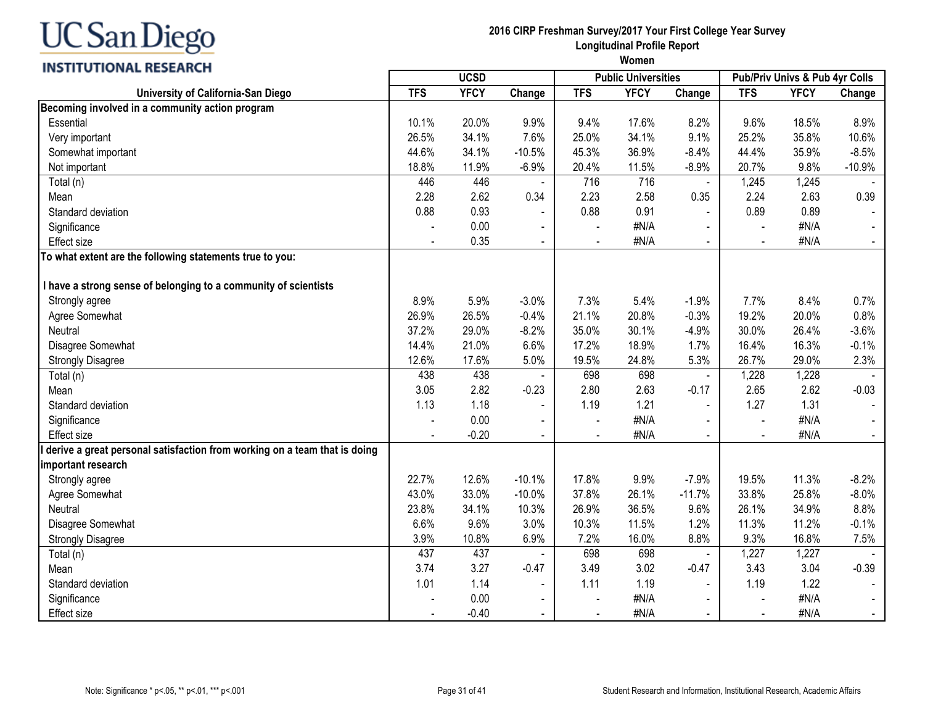| <b>INSTITUTIONAL RESEARCH</b>                                             | women          |             |                |            |                            |                |                                |             |                |
|---------------------------------------------------------------------------|----------------|-------------|----------------|------------|----------------------------|----------------|--------------------------------|-------------|----------------|
|                                                                           |                | <b>UCSD</b> |                |            | <b>Public Universities</b> |                | Pub/Priv Univs & Pub 4yr Colls |             |                |
| University of California-San Diego                                        | <b>TFS</b>     | <b>YFCY</b> | Change         | <b>TFS</b> | <b>YFCY</b>                | Change         | <b>TFS</b>                     | <b>YFCY</b> | Change         |
| Becoming involved in a community action program                           |                |             |                |            |                            |                |                                |             |                |
| Essential                                                                 | 10.1%          | 20.0%       | 9.9%           | 9.4%       | 17.6%                      | 8.2%           | 9.6%                           | 18.5%       | 8.9%           |
| Very important                                                            | 26.5%          | 34.1%       | 7.6%           | 25.0%      | 34.1%                      | 9.1%           | 25.2%                          | 35.8%       | 10.6%          |
| Somewhat important                                                        | 44.6%          | 34.1%       | $-10.5%$       | 45.3%      | 36.9%                      | $-8.4%$        | 44.4%                          | 35.9%       | $-8.5%$        |
| Not important                                                             | 18.8%          | 11.9%       | $-6.9%$        | 20.4%      | 11.5%                      | $-8.9%$        | 20.7%                          | 9.8%        | $-10.9%$       |
| Total (n)                                                                 | 446            | 446         |                | 716        | 716                        | $\blacksquare$ | 1,245                          | 1,245       |                |
| Mean                                                                      | 2.28           | 2.62        | 0.34           | 2.23       | 2.58                       | 0.35           | 2.24                           | 2.63        | 0.39           |
| Standard deviation                                                        | 0.88           | 0.93        |                | 0.88       | 0.91                       |                | 0.89                           | 0.89        |                |
| Significance                                                              |                | 0.00        |                |            | #N/A                       |                |                                | #N/A        |                |
| <b>Effect size</b>                                                        |                | 0.35        | $\blacksquare$ |            | #N/A                       | $\blacksquare$ | $\blacksquare$                 | #N/A        |                |
| To what extent are the following statements true to you:                  |                |             |                |            |                            |                |                                |             |                |
| I have a strong sense of belonging to a community of scientists           |                |             |                |            |                            |                |                                |             |                |
| Strongly agree                                                            | 8.9%           | 5.9%        | $-3.0%$        | 7.3%       | 5.4%                       | $-1.9%$        | 7.7%                           | 8.4%        | 0.7%           |
| Agree Somewhat                                                            | 26.9%          | 26.5%       | $-0.4%$        | 21.1%      | 20.8%                      | $-0.3%$        | 19.2%                          | 20.0%       | 0.8%           |
| Neutral                                                                   | 37.2%          | 29.0%       | $-8.2%$        | 35.0%      | 30.1%                      | $-4.9%$        | 30.0%                          | 26.4%       | $-3.6%$        |
| Disagree Somewhat                                                         | 14.4%          | 21.0%       | 6.6%           | 17.2%      | 18.9%                      | 1.7%           | 16.4%                          | 16.3%       | $-0.1%$        |
| <b>Strongly Disagree</b>                                                  | 12.6%          | 17.6%       | 5.0%           | 19.5%      | 24.8%                      | 5.3%           | 26.7%                          | 29.0%       | 2.3%           |
| Total (n)                                                                 | 438            | 438         |                | 698        | 698                        | $\blacksquare$ | 1,228                          | 1,228       |                |
| Mean                                                                      | 3.05           | 2.82        | $-0.23$        | 2.80       | 2.63                       | $-0.17$        | 2.65                           | 2.62        | $-0.03$        |
| Standard deviation                                                        | 1.13           | 1.18        | $\blacksquare$ | 1.19       | 1.21                       | $\blacksquare$ | 1.27                           | 1.31        |                |
| Significance                                                              |                | 0.00        |                |            | #N/A                       |                |                                | #N/A        |                |
| <b>Effect size</b>                                                        |                | $-0.20$     |                |            | #N/A                       |                |                                | #N/A        |                |
| derive a great personal satisfaction from working on a team that is doing |                |             |                |            |                            |                |                                |             |                |
| important research                                                        |                |             |                |            |                            |                |                                |             |                |
| Strongly agree                                                            | 22.7%          | 12.6%       | $-10.1%$       | 17.8%      | 9.9%                       | $-7.9%$        | 19.5%                          | 11.3%       | $-8.2%$        |
| Agree Somewhat                                                            | 43.0%          | 33.0%       | $-10.0%$       | 37.8%      | 26.1%                      | $-11.7%$       | 33.8%                          | 25.8%       | $-8.0%$        |
| Neutral                                                                   | 23.8%          | 34.1%       | 10.3%          | 26.9%      | 36.5%                      | 9.6%           | 26.1%                          | 34.9%       | 8.8%           |
| Disagree Somewhat                                                         | 6.6%           | 9.6%        | 3.0%           | 10.3%      | 11.5%                      | 1.2%           | 11.3%                          | 11.2%       | $-0.1%$        |
| <b>Strongly Disagree</b>                                                  | 3.9%           | 10.8%       | 6.9%           | 7.2%       | 16.0%                      | 8.8%           | 9.3%                           | 16.8%       | 7.5%           |
| Total (n)                                                                 | 437            | 437         |                | 698        | 698                        |                | 1,227                          | 1,227       |                |
| Mean                                                                      | 3.74           | 3.27        | $-0.47$        | 3.49       | 3.02                       | $-0.47$        | 3.43                           | 3.04        | $-0.39$        |
| Standard deviation                                                        | 1.01           | 1.14        | $\blacksquare$ | 1.11       | 1.19                       | $\mathbf{r}$   | 1.19                           | 1.22        |                |
| Significance                                                              |                | 0.00        | $\blacksquare$ |            | #N/A                       | $\blacksquare$ |                                | #N/A        |                |
| <b>Effect size</b>                                                        | $\blacksquare$ | $-0.40$     | $\blacksquare$ | $\sim$     | #N/A                       | $\mathbf{r}$   | $\sim$                         | #N/A        | $\blacksquare$ |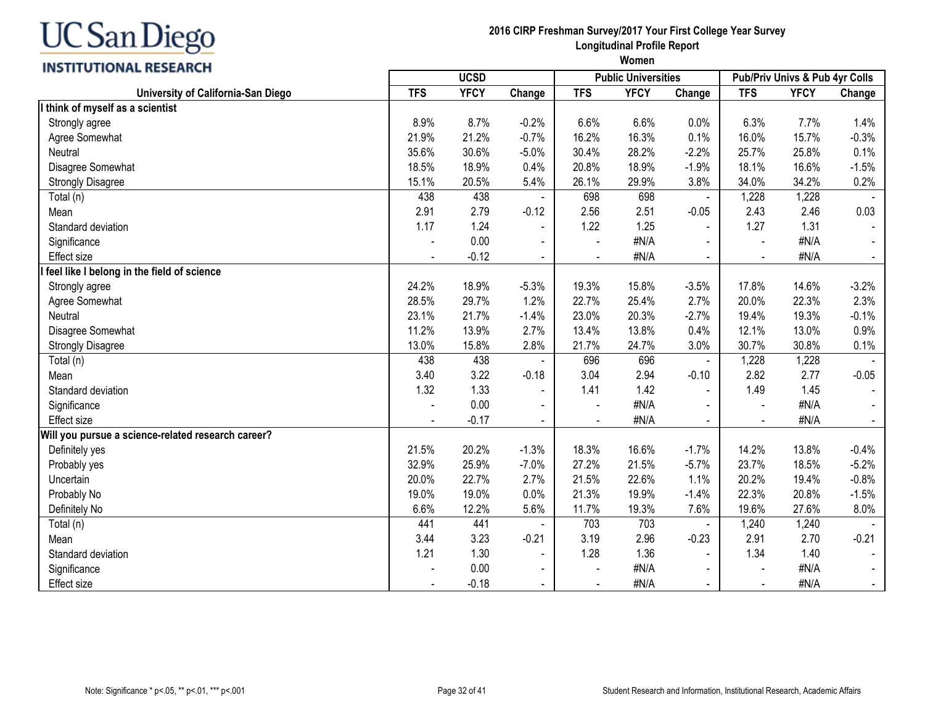## INCTITUTIONAL DECEADEL

| INSHI VIIVNAL RESEARCH                             | <b>UCSD</b>              |             |                          |                          | <b>Public Universities</b> |                | Pub/Priv Univs & Pub 4yr Colls |             |         |
|----------------------------------------------------|--------------------------|-------------|--------------------------|--------------------------|----------------------------|----------------|--------------------------------|-------------|---------|
| University of California-San Diego                 | <b>TFS</b>               | <b>YFCY</b> | Change                   | <b>TFS</b>               | <b>YFCY</b>                | Change         | <b>TFS</b>                     | <b>YFCY</b> | Change  |
| I think of myself as a scientist                   |                          |             |                          |                          |                            |                |                                |             |         |
| Strongly agree                                     | 8.9%                     | 8.7%        | $-0.2%$                  | 6.6%                     | 6.6%                       | 0.0%           | 6.3%                           | 7.7%        | 1.4%    |
| Agree Somewhat                                     | 21.9%                    | 21.2%       | $-0.7%$                  | 16.2%                    | 16.3%                      | 0.1%           | 16.0%                          | 15.7%       | $-0.3%$ |
| Neutral                                            | 35.6%                    | 30.6%       | $-5.0%$                  | 30.4%                    | 28.2%                      | $-2.2%$        | 25.7%                          | 25.8%       | 0.1%    |
| Disagree Somewhat                                  | 18.5%                    | 18.9%       | 0.4%                     | 20.8%                    | 18.9%                      | $-1.9%$        | 18.1%                          | 16.6%       | $-1.5%$ |
| <b>Strongly Disagree</b>                           | 15.1%                    | 20.5%       | 5.4%                     | 26.1%                    | 29.9%                      | 3.8%           | 34.0%                          | 34.2%       | 0.2%    |
| Total (n)                                          | 438                      | 438         | $\blacksquare$           | 698                      | 698                        | $\blacksquare$ | 1,228                          | 1,228       |         |
| Mean                                               | 2.91                     | 2.79        | $-0.12$                  | 2.56                     | 2.51                       | $-0.05$        | 2.43                           | 2.46        | 0.03    |
| Standard deviation                                 | 1.17                     | 1.24        | $\blacksquare$           | 1.22                     | 1.25                       |                | 1.27                           | 1.31        |         |
| Significance                                       | $\overline{\phantom{a}}$ | 0.00        | $\blacksquare$           | $\overline{\phantom{a}}$ | #N/A                       | $\blacksquare$ | $\blacksquare$                 | #N/A        |         |
| Effect size                                        |                          | $-0.12$     | $\sim$                   |                          | #N/A                       | $\blacksquare$ | $\blacksquare$                 | #N/A        |         |
| I feel like I belong in the field of science       |                          |             |                          |                          |                            |                |                                |             |         |
| Strongly agree                                     | 24.2%                    | 18.9%       | $-5.3%$                  | 19.3%                    | 15.8%                      | $-3.5%$        | 17.8%                          | 14.6%       | $-3.2%$ |
| Agree Somewhat                                     | 28.5%                    | 29.7%       | 1.2%                     | 22.7%                    | 25.4%                      | 2.7%           | 20.0%                          | 22.3%       | 2.3%    |
| Neutral                                            | 23.1%                    | 21.7%       | $-1.4%$                  | 23.0%                    | 20.3%                      | $-2.7%$        | 19.4%                          | 19.3%       | $-0.1%$ |
| Disagree Somewhat                                  | 11.2%                    | 13.9%       | 2.7%                     | 13.4%                    | 13.8%                      | 0.4%           | 12.1%                          | 13.0%       | 0.9%    |
| <b>Strongly Disagree</b>                           | 13.0%                    | 15.8%       | 2.8%                     | 21.7%                    | 24.7%                      | 3.0%           | 30.7%                          | 30.8%       | 0.1%    |
| Total (n)                                          | 438                      | 438         |                          | 696                      | 696                        | $\blacksquare$ | 1,228                          | 1,228       |         |
| Mean                                               | 3.40                     | 3.22        | $-0.18$                  | 3.04                     | 2.94                       | $-0.10$        | 2.82                           | 2.77        | $-0.05$ |
| Standard deviation                                 | 1.32                     | 1.33        | $\blacksquare$           | 1.41                     | 1.42                       |                | 1.49                           | 1.45        |         |
| Significance                                       |                          | 0.00        | $\overline{\phantom{a}}$ |                          | #N/A                       |                |                                | #N/A        |         |
| Effect size                                        | $\blacksquare$           | $-0.17$     | $\blacksquare$           | $\blacksquare$           | #N/A                       | $\blacksquare$ | $\blacksquare$                 | #N/A        |         |
| Will you pursue a science-related research career? |                          |             |                          |                          |                            |                |                                |             |         |
| Definitely yes                                     | 21.5%                    | 20.2%       | $-1.3%$                  | 18.3%                    | 16.6%                      | $-1.7%$        | 14.2%                          | 13.8%       | $-0.4%$ |
| Probably yes                                       | 32.9%                    | 25.9%       | $-7.0%$                  | 27.2%                    | 21.5%                      | $-5.7%$        | 23.7%                          | 18.5%       | $-5.2%$ |
| Uncertain                                          | 20.0%                    | 22.7%       | 2.7%                     | 21.5%                    | 22.6%                      | 1.1%           | 20.2%                          | 19.4%       | $-0.8%$ |
| Probably No                                        | 19.0%                    | 19.0%       | 0.0%                     | 21.3%                    | 19.9%                      | $-1.4%$        | 22.3%                          | 20.8%       | $-1.5%$ |
| Definitely No                                      | 6.6%                     | 12.2%       | 5.6%                     | 11.7%                    | 19.3%                      | 7.6%           | 19.6%                          | 27.6%       | 8.0%    |
| Total (n)                                          | 441                      | 441         |                          | 703                      | 703                        |                | 1,240                          | 1,240       |         |
| Mean                                               | 3.44                     | 3.23        | $-0.21$                  | 3.19                     | 2.96                       | $-0.23$        | 2.91                           | 2.70        | $-0.21$ |
| Standard deviation                                 | 1.21                     | 1.30        | $\blacksquare$           | 1.28                     | 1.36                       |                | 1.34                           | 1.40        |         |
| Significance                                       |                          | 0.00        | $\blacksquare$           | $\blacksquare$           | #N/A                       | $\blacksquare$ |                                | #N/A        |         |
| Effect size                                        |                          | $-0.18$     | $\blacksquare$           |                          | #N/A                       |                |                                | #N/A        |         |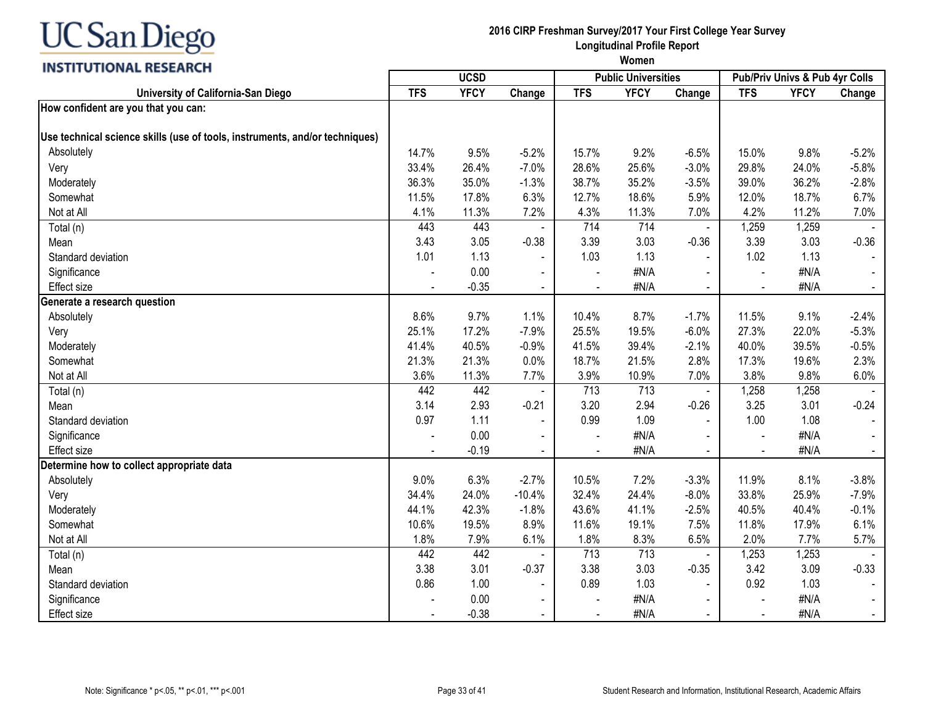## INCTITUTIONAL DECEADEL

#### **2016 CIRP Freshman Survey/2017 Your First College Year Survey Longitudinal Profile Report**

| <b>INSTITUTIONAL RESEARCH</b>                                               |            | <b>UCSD</b> |                |            | <b>Public Universities</b> |                |                          | Pub/Priv Univs & Pub 4yr Colls |         |
|-----------------------------------------------------------------------------|------------|-------------|----------------|------------|----------------------------|----------------|--------------------------|--------------------------------|---------|
| University of California-San Diego                                          | <b>TFS</b> | <b>YFCY</b> | Change         | <b>TFS</b> | <b>YFCY</b>                | Change         | <b>TFS</b>               | <b>YFCY</b>                    | Change  |
| How confident are you that you can:                                         |            |             |                |            |                            |                |                          |                                |         |
| Use technical science skills (use of tools, instruments, and/or techniques) |            |             |                |            |                            |                |                          |                                |         |
| Absolutely                                                                  | 14.7%      | 9.5%        | $-5.2%$        | 15.7%      | 9.2%                       | $-6.5%$        | 15.0%                    | 9.8%                           | $-5.2%$ |
| Very                                                                        | 33.4%      | 26.4%       | $-7.0%$        | 28.6%      | 25.6%                      | $-3.0%$        | 29.8%                    | 24.0%                          | $-5.8%$ |
| Moderately                                                                  | 36.3%      | 35.0%       | $-1.3%$        | 38.7%      | 35.2%                      | $-3.5%$        | 39.0%                    | 36.2%                          | $-2.8%$ |
| Somewhat                                                                    | 11.5%      | 17.8%       | 6.3%           | 12.7%      | 18.6%                      | 5.9%           | 12.0%                    | 18.7%                          | 6.7%    |
| Not at All                                                                  | 4.1%       | 11.3%       | 7.2%           | 4.3%       | 11.3%                      | 7.0%           | 4.2%                     | 11.2%                          | 7.0%    |
| Total (n)                                                                   | 443        | 443         |                | 714        | 714                        |                | 1,259                    | 1,259                          |         |
| Mean                                                                        | 3.43       | 3.05        | $-0.38$        | 3.39       | 3.03                       | $-0.36$        | 3.39                     | 3.03                           | $-0.36$ |
| Standard deviation                                                          | 1.01       | 1.13        | $\blacksquare$ | 1.03       | 1.13                       | $\blacksquare$ | 1.02                     | 1.13                           |         |
| Significance                                                                |            | 0.00        | $\blacksquare$ | $\sim$     | #N/A                       |                | $\overline{a}$           | #N/A                           |         |
| <b>Effect size</b>                                                          |            | $-0.35$     | $\blacksquare$ |            | #N/A                       | $\blacksquare$ | $\overline{\phantom{a}}$ | #N/A                           |         |
| Generate a research question                                                |            |             |                |            |                            |                |                          |                                |         |
| Absolutely                                                                  | 8.6%       | 9.7%        | 1.1%           | 10.4%      | 8.7%                       | $-1.7%$        | 11.5%                    | 9.1%                           | $-2.4%$ |
| Very                                                                        | 25.1%      | 17.2%       | $-7.9%$        | 25.5%      | 19.5%                      | $-6.0%$        | 27.3%                    | 22.0%                          | $-5.3%$ |
| Moderately                                                                  | 41.4%      | 40.5%       | $-0.9%$        | 41.5%      | 39.4%                      | $-2.1%$        | 40.0%                    | 39.5%                          | $-0.5%$ |
| Somewhat                                                                    | 21.3%      | 21.3%       | 0.0%           | 18.7%      | 21.5%                      | 2.8%           | 17.3%                    | 19.6%                          | 2.3%    |
| Not at All                                                                  | 3.6%       | 11.3%       | 7.7%           | 3.9%       | 10.9%                      | 7.0%           | 3.8%                     | 9.8%                           | 6.0%    |
| Total (n)                                                                   | 442        | 442         |                | 713        | 713                        |                | 1,258                    | 1,258                          |         |
| Mean                                                                        | 3.14       | 2.93        | $-0.21$        | 3.20       | 2.94                       | $-0.26$        | 3.25                     | 3.01                           | $-0.24$ |
| Standard deviation                                                          | 0.97       | 1.11        | $\blacksquare$ | 0.99       | 1.09                       | $\blacksquare$ | 1.00                     | 1.08                           |         |
| Significance                                                                |            | 0.00        | $\blacksquare$ | $\sim$     | #N/A                       |                | $\blacksquare$           | #N/A                           |         |
| <b>Effect size</b>                                                          |            | $-0.19$     | $\blacksquare$ |            | #N/A                       | $\blacksquare$ | $\blacksquare$           | #N/A                           |         |
| Determine how to collect appropriate data                                   |            |             |                |            |                            |                |                          |                                |         |
| Absolutely                                                                  | 9.0%       | 6.3%        | $-2.7%$        | 10.5%      | 7.2%                       | $-3.3%$        | 11.9%                    | 8.1%                           | $-3.8%$ |
| Very                                                                        | 34.4%      | 24.0%       | $-10.4%$       | 32.4%      | 24.4%                      | $-8.0%$        | 33.8%                    | 25.9%                          | $-7.9%$ |
| Moderately                                                                  | 44.1%      | 42.3%       | $-1.8%$        | 43.6%      | 41.1%                      | $-2.5%$        | 40.5%                    | 40.4%                          | $-0.1%$ |
| Somewhat                                                                    | 10.6%      | 19.5%       | 8.9%           | 11.6%      | 19.1%                      | 7.5%           | 11.8%                    | 17.9%                          | 6.1%    |
| Not at All                                                                  | 1.8%       | 7.9%        | 6.1%           | 1.8%       | 8.3%                       | 6.5%           | 2.0%                     | 7.7%                           | 5.7%    |
| Total (n)                                                                   | 442        | 442         |                | 713        | 713                        |                | 1,253                    | 1,253                          |         |
| Mean                                                                        | 3.38       | 3.01        | $-0.37$        | 3.38       | 3.03                       | $-0.35$        | 3.42                     | 3.09                           | $-0.33$ |
| Standard deviation                                                          | 0.86       | 1.00        | $\blacksquare$ | 0.89       | 1.03                       | $\sim$         | 0.92                     | 1.03                           |         |
| Significance                                                                |            | 0.00        | $\blacksquare$ |            | #N/A                       | $\sim$         | $\blacksquare$           | #N/A                           |         |
| Effect size                                                                 |            | $-0.38$     | $\blacksquare$ |            | #N/A                       | $\blacksquare$ | $\blacksquare$           | #N/A                           |         |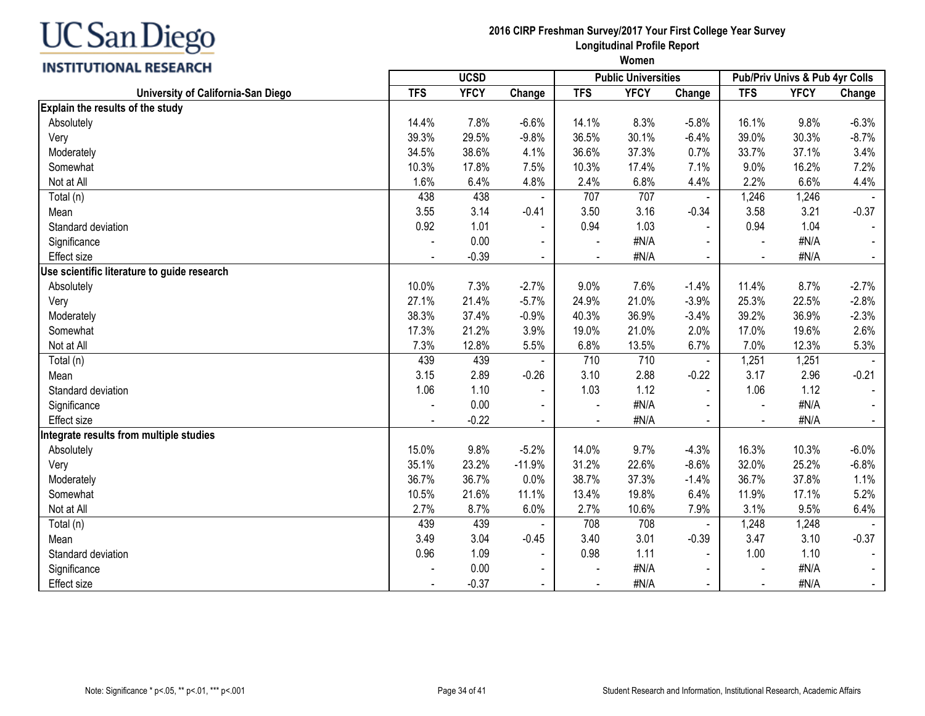

|                                             | <b>UCSD</b> |             |                |            | <b>Public Universities</b> |                | Pub/Priv Univs & Pub 4yr Colls |             |         |
|---------------------------------------------|-------------|-------------|----------------|------------|----------------------------|----------------|--------------------------------|-------------|---------|
| University of California-San Diego          | <b>TFS</b>  | <b>YFCY</b> | Change         | <b>TFS</b> | <b>YFCY</b>                | Change         | <b>TFS</b>                     | <b>YFCY</b> | Change  |
| Explain the results of the study            |             |             |                |            |                            |                |                                |             |         |
| Absolutely                                  | 14.4%       | 7.8%        | $-6.6%$        | 14.1%      | 8.3%                       | $-5.8%$        | 16.1%                          | 9.8%        | $-6.3%$ |
| Very                                        | 39.3%       | 29.5%       | $-9.8%$        | 36.5%      | 30.1%                      | $-6.4%$        | 39.0%                          | 30.3%       | $-8.7%$ |
| Moderately                                  | 34.5%       | 38.6%       | 4.1%           | 36.6%      | 37.3%                      | 0.7%           | 33.7%                          | 37.1%       | 3.4%    |
| Somewhat                                    | 10.3%       | 17.8%       | 7.5%           | 10.3%      | 17.4%                      | 7.1%           | 9.0%                           | 16.2%       | 7.2%    |
| Not at All                                  | 1.6%        | 6.4%        | 4.8%           | 2.4%       | 6.8%                       | 4.4%           | 2.2%                           | 6.6%        | 4.4%    |
| Total (n)                                   | 438         | 438         |                | 707        | 707                        |                | 1,246                          | 1,246       |         |
| Mean                                        | 3.55        | 3.14        | $-0.41$        | 3.50       | 3.16                       | $-0.34$        | 3.58                           | 3.21        | $-0.37$ |
| Standard deviation                          | 0.92        | 1.01        | $\blacksquare$ | 0.94       | 1.03                       |                | 0.94                           | 1.04        |         |
| Significance                                |             | 0.00        |                |            | #N/A                       |                |                                | #N/A        |         |
| <b>Effect size</b>                          |             | $-0.39$     | $\blacksquare$ |            | #N/A                       | $\sim$         | $\overline{\phantom{a}}$       | #N/A        |         |
| Use scientific literature to guide research |             |             |                |            |                            |                |                                |             |         |
| Absolutely                                  | 10.0%       | 7.3%        | $-2.7%$        | 9.0%       | 7.6%                       | $-1.4%$        | 11.4%                          | 8.7%        | $-2.7%$ |
| Very                                        | 27.1%       | 21.4%       | $-5.7%$        | 24.9%      | 21.0%                      | $-3.9%$        | 25.3%                          | 22.5%       | $-2.8%$ |
| Moderately                                  | 38.3%       | 37.4%       | $-0.9%$        | 40.3%      | 36.9%                      | $-3.4%$        | 39.2%                          | 36.9%       | $-2.3%$ |
| Somewhat                                    | 17.3%       | 21.2%       | 3.9%           | 19.0%      | 21.0%                      | 2.0%           | 17.0%                          | 19.6%       | 2.6%    |
| Not at All                                  | 7.3%        | 12.8%       | 5.5%           | 6.8%       | 13.5%                      | 6.7%           | 7.0%                           | 12.3%       | 5.3%    |
| Total (n)                                   | 439         | 439         |                | 710        | 710                        |                | 1,251                          | 1,251       |         |
| Mean                                        | 3.15        | 2.89        | $-0.26$        | 3.10       | 2.88                       | $-0.22$        | 3.17                           | 2.96        | $-0.21$ |
| Standard deviation                          | 1.06        | 1.10        |                | 1.03       | 1.12                       | $\blacksquare$ | 1.06                           | 1.12        |         |
| Significance                                |             | 0.00        |                |            | #N/A                       |                |                                | #N/A        |         |
| Effect size                                 |             | $-0.22$     | $\blacksquare$ |            | #N/A                       | $\blacksquare$ | $\overline{\phantom{a}}$       | #N/A        |         |
| ntegrate results from multiple studies      |             |             |                |            |                            |                |                                |             |         |
| Absolutely                                  | 15.0%       | 9.8%        | $-5.2%$        | 14.0%      | 9.7%                       | $-4.3%$        | 16.3%                          | 10.3%       | $-6.0%$ |
| Very                                        | 35.1%       | 23.2%       | $-11.9%$       | 31.2%      | 22.6%                      | $-8.6%$        | 32.0%                          | 25.2%       | $-6.8%$ |
| Moderately                                  | 36.7%       | 36.7%       | 0.0%           | 38.7%      | 37.3%                      | $-1.4%$        | 36.7%                          | 37.8%       | 1.1%    |
| Somewhat                                    | 10.5%       | 21.6%       | 11.1%          | 13.4%      | 19.8%                      | 6.4%           | 11.9%                          | 17.1%       | 5.2%    |
| Not at All                                  | 2.7%        | 8.7%        | 6.0%           | 2.7%       | 10.6%                      | 7.9%           | 3.1%                           | 9.5%        | 6.4%    |
| Total (n)                                   | 439         | 439         |                | 708        | 708                        |                | 1,248                          | 1,248       |         |
| Mean                                        | 3.49        | 3.04        | $-0.45$        | 3.40       | 3.01                       | $-0.39$        | 3.47                           | 3.10        | $-0.37$ |
| Standard deviation                          | 0.96        | 1.09        | $\blacksquare$ | 0.98       | 1.11                       | $\mathbf{r}$   | 1.00                           | 1.10        |         |
| Significance                                |             | 0.00        | $\blacksquare$ |            | #N/A                       |                | $\blacksquare$                 | #N/A        |         |
| <b>Effect size</b>                          |             | $-0.37$     | $\blacksquare$ |            | #N/A                       | $\sim$         | $\overline{\phantom{a}}$       | #N/A        |         |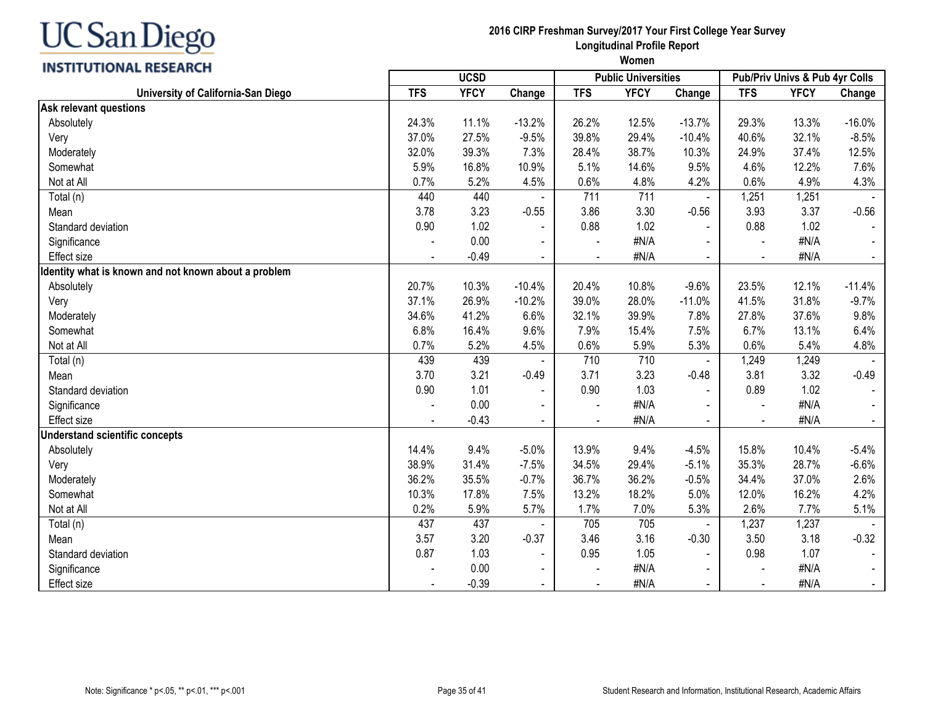**INSTITUTIONAL RESEARCH** 

| <b>UCSD</b>                                          |            |             |                | <b>Public Universities</b> |             | Pub/Priv Univs & Pub 4yr Colls |                |             |                |
|------------------------------------------------------|------------|-------------|----------------|----------------------------|-------------|--------------------------------|----------------|-------------|----------------|
| University of California-San Diego                   | <b>TFS</b> | <b>YFCY</b> | Change         | <b>TFS</b>                 | <b>YFCY</b> | Change                         | <b>TFS</b>     | <b>YFCY</b> | Change         |
| <b>Ask relevant questions</b>                        |            |             |                |                            |             |                                |                |             |                |
| Absolutely                                           | 24.3%      | 11.1%       | $-13.2%$       | 26.2%                      | 12.5%       | $-13.7%$                       | 29.3%          | 13.3%       | $-16.0%$       |
| Very                                                 | 37.0%      | 27.5%       | $-9.5%$        | 39.8%                      | 29.4%       | $-10.4%$                       | 40.6%          | 32.1%       | $-8.5%$        |
| Moderately                                           | 32.0%      | 39.3%       | 7.3%           | 28.4%                      | 38.7%       | 10.3%                          | 24.9%          | 37.4%       | 12.5%          |
| Somewhat                                             | 5.9%       | 16.8%       | 10.9%          | 5.1%                       | 14.6%       | 9.5%                           | 4.6%           | 12.2%       | 7.6%           |
| Not at All                                           | 0.7%       | 5.2%        | 4.5%           | 0.6%                       | 4.8%        | 4.2%                           | 0.6%           | 4.9%        | 4.3%           |
| Total (n)                                            | 440        | 440         |                | 711                        | 711         |                                | 1,251          | 1,251       |                |
| Mean                                                 | 3.78       | 3.23        | $-0.55$        | 3.86                       | 3.30        | $-0.56$                        | 3.93           | 3.37        | $-0.56$        |
| Standard deviation                                   | 0.90       | 1.02        | $\blacksquare$ | 0.88                       | 1.02        | $\blacksquare$                 | 0.88           | 1.02        |                |
| Significance                                         |            | 0.00        |                | $\blacksquare$             | #N/A        |                                |                | #N/A        | $\sim$         |
| Effect size                                          |            | $-0.49$     |                |                            | #N/A        | $\blacksquare$                 |                | #N/A        |                |
| Identity what is known and not known about a problem |            |             |                |                            |             |                                |                |             |                |
| Absolutely                                           | 20.7%      | 10.3%       | $-10.4%$       | 20.4%                      | 10.8%       | $-9.6%$                        | 23.5%          | 12.1%       | $-11.4%$       |
| Very                                                 | 37.1%      | 26.9%       | $-10.2%$       | 39.0%                      | 28.0%       | $-11.0%$                       | 41.5%          | 31.8%       | $-9.7%$        |
| Moderately                                           | 34.6%      | 41.2%       | 6.6%           | 32.1%                      | 39.9%       | 7.8%                           | 27.8%          | 37.6%       | 9.8%           |
| Somewhat                                             | 6.8%       | 16.4%       | 9.6%           | 7.9%                       | 15.4%       | 7.5%                           | 6.7%           | 13.1%       | 6.4%           |
| Not at All                                           | 0.7%       | 5.2%        | 4.5%           | 0.6%                       | 5.9%        | 5.3%                           | 0.6%           | 5.4%        | 4.8%           |
| Total (n)                                            | 439        | 439         |                | 710                        | 710         | $\blacksquare$                 | 1,249          | 1,249       |                |
| Mean                                                 | 3.70       | 3.21        | $-0.49$        | 3.71                       | 3.23        | $-0.48$                        | 3.81           | 3.32        | $-0.49$        |
| Standard deviation                                   | 0.90       | 1.01        |                | 0.90                       | 1.03        | $\blacksquare$                 | 0.89           | 1.02        | $\blacksquare$ |
| Significance                                         |            | 0.00        |                |                            | #N/A        |                                |                | #N/A        |                |
| <b>Effect size</b>                                   |            | $-0.43$     | $\blacksquare$ |                            | #N/A        | $\blacksquare$                 | $\blacksquare$ | #N/A        | $\sim$         |
| <b>Understand scientific concepts</b>                |            |             |                |                            |             |                                |                |             |                |
| Absolutely                                           | 14.4%      | 9.4%        | $-5.0%$        | 13.9%                      | 9.4%        | $-4.5%$                        | 15.8%          | 10.4%       | $-5.4%$        |
| Very                                                 | 38.9%      | 31.4%       | $-7.5%$        | 34.5%                      | 29.4%       | $-5.1%$                        | 35.3%          | 28.7%       | $-6.6%$        |
| Moderately                                           | 36.2%      | 35.5%       | $-0.7%$        | 36.7%                      | 36.2%       | $-0.5%$                        | 34.4%          | 37.0%       | 2.6%           |
| Somewhat                                             | 10.3%      | 17.8%       | 7.5%           | 13.2%                      | 18.2%       | 5.0%                           | 12.0%          | 16.2%       | 4.2%           |
| Not at All                                           | 0.2%       | 5.9%        | 5.7%           | 1.7%                       | 7.0%        | 5.3%                           | 2.6%           | 7.7%        | 5.1%           |
| Total (n)                                            | 437        | 437         |                | 705                        | 705         |                                | 1,237          | 1,237       |                |
| Mean                                                 | 3.57       | 3.20        | $-0.37$        | 3.46                       | 3.16        | $-0.30$                        | 3.50           | 3.18        | $-0.32$        |
| Standard deviation                                   | 0.87       | 1.03        |                | 0.95                       | 1.05        | $\blacksquare$                 | 0.98           | 1.07        |                |
| Significance                                         |            | 0.00        | $\blacksquare$ |                            | #N/A        |                                |                | #N/A        | $\sim$         |
| Effect size                                          |            | $-0.39$     | $\blacksquare$ |                            | #N/A        | $\blacksquare$                 |                | #N/A        | $\sim$         |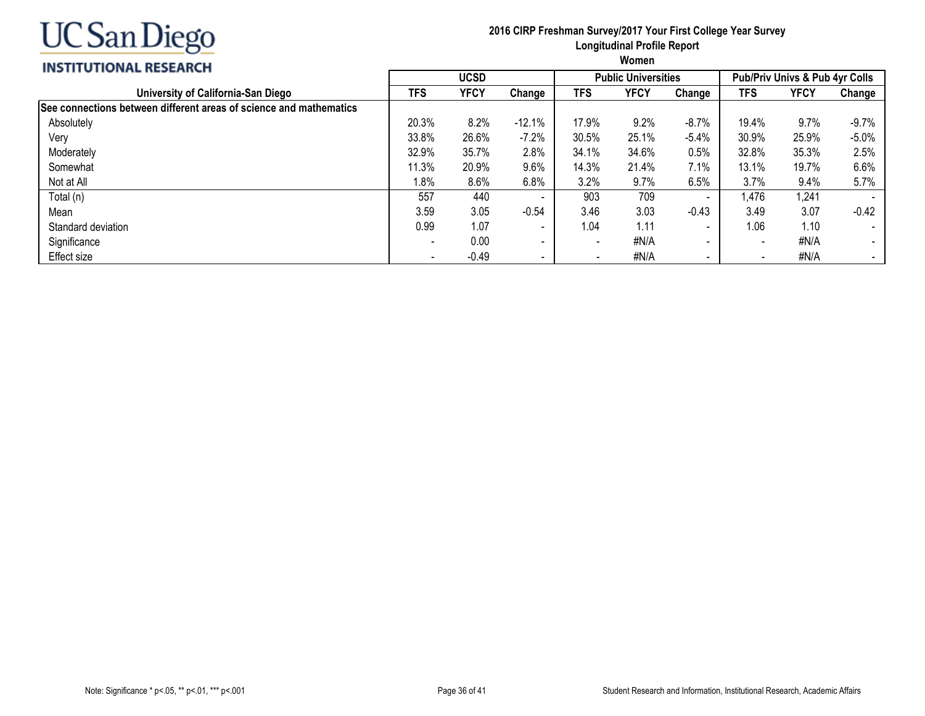

#### **2016 CIRP Freshman Survey/2017 Your First College Year Survey Longitudinal Profile Report Women**

#### **INSTITUTIONAL RESEARCH**

|                                                                    |            | <b>UCSD</b><br><b>Public Universities</b> |                          |                          |       |         | <b>Pub/Priv Univs &amp; Pub 4yr Colls</b> |       |         |  |  |
|--------------------------------------------------------------------|------------|-------------------------------------------|--------------------------|--------------------------|-------|---------|-------------------------------------------|-------|---------|--|--|
| University of California-San Diego                                 | <b>TFS</b> | YFCY                                      | Change                   | <b>TFS</b>               | YFCY  | Change  | <b>TFS</b>                                | YFCY  | Change  |  |  |
| See connections between different areas of science and mathematics |            |                                           |                          |                          |       |         |                                           |       |         |  |  |
| Absolutely                                                         | 20.3%      | 8.2%                                      | $-12.1%$                 | 17.9%                    | 9.2%  | $-8.7%$ | 19.4%                                     | 9.7%  | $-9.7%$ |  |  |
| Very                                                               | 33.8%      | 26.6%                                     | $-7.2%$                  | 30.5%                    | 25.1% | $-5.4%$ | 30.9%                                     | 25.9% | $-5.0%$ |  |  |
| Moderately                                                         | 32.9%      | 35.7%                                     | 2.8%                     | 34.1%                    | 34.6% | 0.5%    | 32.8%                                     | 35.3% | 2.5%    |  |  |
| Somewhat                                                           | 11.3%      | 20.9%                                     | 9.6%                     | 14.3%                    | 21.4% | 7.1%    | 13.1%                                     | 19.7% | 6.6%    |  |  |
| Not at All                                                         | 1.8%       | 8.6%                                      | 6.8%                     | 3.2%                     | 9.7%  | 6.5%    | 3.7%                                      | 9.4%  | 5.7%    |  |  |
| Total (n)                                                          | 557        | 440                                       | $\overline{\phantom{a}}$ | 903                      | 709   |         | .476                                      | 1,241 |         |  |  |
| Mean                                                               | 3.59       | 3.05                                      | $-0.54$                  | 3.46                     | 3.03  | $-0.43$ | 3.49                                      | 3.07  | $-0.42$ |  |  |
| Standard deviation                                                 | 0.99       | 1.07                                      | $\overline{\phantom{a}}$ | 1.04                     | 1.11  |         | 1.06                                      | 1.10  |         |  |  |
| Significance                                                       |            | 0.00                                      | $\overline{\phantom{a}}$ | $\overline{\phantom{0}}$ | #N/A  | $\sim$  |                                           | #N/A  |         |  |  |
| Effect size                                                        |            | $-0.49$                                   | $\,$                     |                          | #N/A  |         |                                           | #N/A  |         |  |  |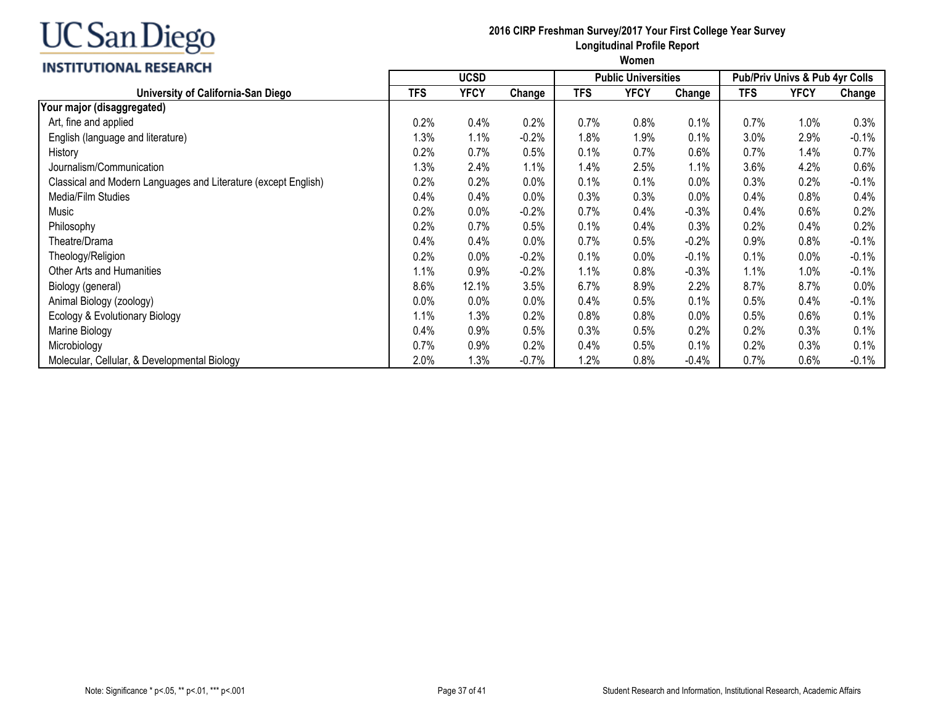#### **INSTITUTIONAL RESEARCH**

#### **2016 CIRP Freshman Survey/2017 Your First College Year Survey Longitudinal Profile Report**

|                                                                | <b>UCSD</b> |             |          |            | <b>Public Universities</b> |         | <b>Pub/Priv Univs &amp; Pub 4yr Colls</b> |             |          |  |
|----------------------------------------------------------------|-------------|-------------|----------|------------|----------------------------|---------|-------------------------------------------|-------------|----------|--|
| University of California-San Diego                             | <b>TFS</b>  | <b>YFCY</b> | Change   | <b>TFS</b> | <b>YFCY</b>                | Change  | <b>TFS</b>                                | <b>YFCY</b> | Change   |  |
| Your major (disaggregated)                                     |             |             |          |            |                            |         |                                           |             |          |  |
| Art, fine and applied                                          | 0.2%        | 0.4%        | 0.2%     | 0.7%       | 0.8%                       | 0.1%    | 0.7%                                      | 1.0%        | 0.3%     |  |
| English (language and literature)                              | 1.3%        | 1.1%        | $-0.2%$  | 1.8%       | 1.9%                       | 0.1%    | 3.0%                                      | 2.9%        | $-0.1%$  |  |
| History                                                        | 0.2%        | 0.7%        | 0.5%     | 0.1%       | 0.7%                       | 0.6%    | 0.7%                                      | 1.4%        | 0.7%     |  |
| Journalism/Communication                                       | 1.3%        | 2.4%        | 1.1%     | 1.4%       | 2.5%                       | 1.1%    | 3.6%                                      | 4.2%        | 0.6%     |  |
| Classical and Modern Languages and Literature (except English) | 0.2%        | 0.2%        | 0.0%     | 0.1%       | 0.1%                       | 0.0%    | 0.3%                                      | 0.2%        | $-0.1%$  |  |
| Media/Film Studies                                             | 0.4%        | 0.4%        | 0.0%     | 0.3%       | 0.3%                       | 0.0%    | $0.4\%$                                   | 0.8%        | 0.4%     |  |
| Music                                                          | 0.2%        | 0.0%        | $-0.2%$  | 0.7%       | 0.4%                       | $-0.3%$ | 0.4%                                      | 0.6%        | 0.2%     |  |
| Philosophy                                                     | 0.2%        | 0.7%        | 0.5%     | 0.1%       | 0.4%                       | 0.3%    | 0.2%                                      | 0.4%        | 0.2%     |  |
| Theatre/Drama                                                  | 0.4%        | 0.4%        | 0.0%     | 0.7%       | 0.5%                       | $-0.2%$ | 0.9%                                      | 0.8%        | $-0.1%$  |  |
| Theology/Religion                                              | 0.2%        | 0.0%        | $-0.2%$  | 0.1%       | 0.0%                       | $-0.1%$ | 0.1%                                      | 0.0%        | $-0.1\%$ |  |
| Other Arts and Humanities                                      | 1.1%        | 0.9%        | $-0.2%$  | 1.1%       | 0.8%                       | $-0.3%$ | 1.1%                                      | 1.0%        | $-0.1\%$ |  |
| Biology (general)                                              | 8.6%        | 12.1%       | 3.5%     | 6.7%       | 8.9%                       | 2.2%    | 8.7%                                      | 8.7%        | $0.0\%$  |  |
| Animal Biology (zoology)                                       | 0.0%        | 0.0%        | $0.0\%$  | 0.4%       | 0.5%                       | 0.1%    | 0.5%                                      | 0.4%        | $-0.1%$  |  |
| Ecology & Evolutionary Biology                                 | 1.1%        | 1.3%        | 0.2%     | 0.8%       | 0.8%                       | 0.0%    | 0.5%                                      | 0.6%        | 0.1%     |  |
| Marine Biology                                                 | 0.4%        | 0.9%        | 0.5%     | 0.3%       | 0.5%                       | 0.2%    | 0.2%                                      | 0.3%        | 0.1%     |  |
| Microbiology                                                   | 0.7%        | 0.9%        | 0.2%     | 0.4%       | 0.5%                       | 0.1%    | 0.2%                                      | 0.3%        | 0.1%     |  |
| Molecular, Cellular, & Developmental Biology                   | 2.0%        | 1.3%        | $-0.7\%$ | 1.2%       | 0.8%                       | $-0.4%$ | $0.7\%$                                   | 0.6%        | $-0.1%$  |  |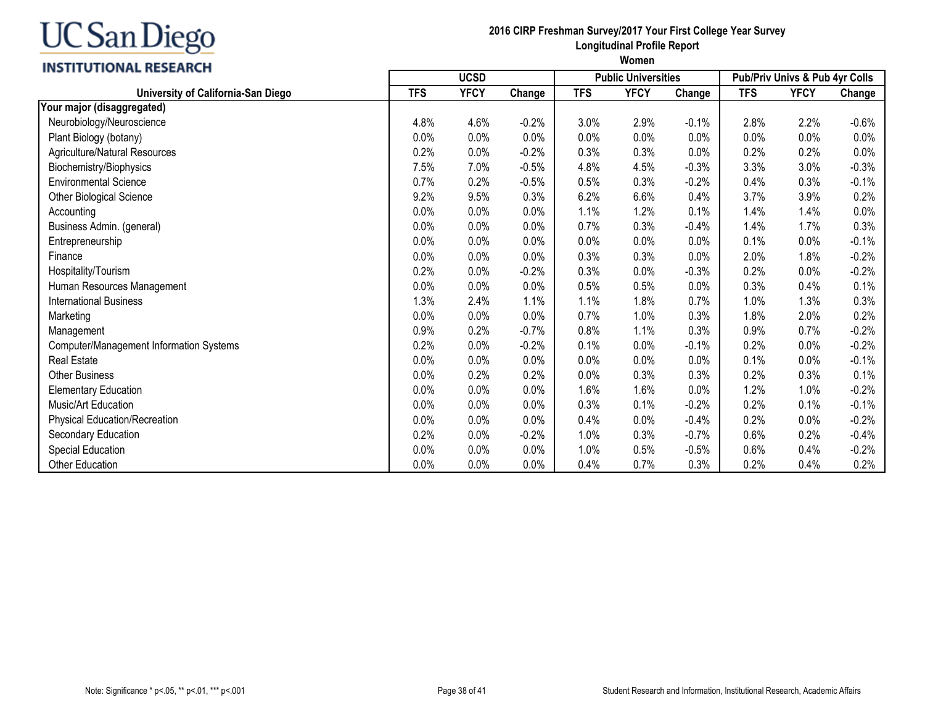## **INSTITUTIONAL RESEARCH**

#### **2016 CIRP Freshman Survey/2017 Your First College Year Survey Longitudinal Profile Report**

|                                         |            | <b>UCSD</b> |         | <b>Public Universities</b> |             |         | Pub/Priv Univs & Pub 4yr Colls |             |         |  |
|-----------------------------------------|------------|-------------|---------|----------------------------|-------------|---------|--------------------------------|-------------|---------|--|
| University of California-San Diego      | <b>TFS</b> | <b>YFCY</b> | Change  | <b>TFS</b>                 | <b>YFCY</b> | Change  | <b>TFS</b>                     | <b>YFCY</b> | Change  |  |
| Your major (disaggregated)              |            |             |         |                            |             |         |                                |             |         |  |
| Neurobiology/Neuroscience               | 4.8%       | 4.6%        | $-0.2%$ | 3.0%                       | 2.9%        | $-0.1%$ | 2.8%                           | 2.2%        | $-0.6%$ |  |
| Plant Biology (botany)                  | 0.0%       | 0.0%        | 0.0%    | 0.0%                       | 0.0%        | 0.0%    | 0.0%                           | 0.0%        | $0.0\%$ |  |
| Agriculture/Natural Resources           | 0.2%       | 0.0%        | $-0.2%$ | 0.3%                       | 0.3%        | $0.0\%$ | 0.2%                           | 0.2%        | 0.0%    |  |
| Biochemistry/Biophysics                 | 7.5%       | 7.0%        | $-0.5%$ | 4.8%                       | 4.5%        | $-0.3%$ | 3.3%                           | 3.0%        | $-0.3%$ |  |
| <b>Environmental Science</b>            | 0.7%       | 0.2%        | $-0.5%$ | 0.5%                       | 0.3%        | $-0.2%$ | 0.4%                           | 0.3%        | $-0.1%$ |  |
| Other Biological Science                | 9.2%       | 9.5%        | 0.3%    | 6.2%                       | 6.6%        | 0.4%    | 3.7%                           | 3.9%        | 0.2%    |  |
| Accounting                              | 0.0%       | 0.0%        | 0.0%    | 1.1%                       | 1.2%        | 0.1%    | 1.4%                           | 1.4%        | 0.0%    |  |
| Business Admin. (general)               | 0.0%       | 0.0%        | 0.0%    | 0.7%                       | 0.3%        | $-0.4%$ | 1.4%                           | 1.7%        | 0.3%    |  |
| Entrepreneurship                        | 0.0%       | 0.0%        | 0.0%    | 0.0%                       | 0.0%        | 0.0%    | 0.1%                           | 0.0%        | $-0.1%$ |  |
| Finance                                 | 0.0%       | 0.0%        | 0.0%    | 0.3%                       | 0.3%        | 0.0%    | 2.0%                           | 1.8%        | $-0.2%$ |  |
| Hospitality/Tourism                     | 0.2%       | 0.0%        | $-0.2%$ | 0.3%                       | 0.0%        | $-0.3%$ | 0.2%                           | 0.0%        | $-0.2%$ |  |
| Human Resources Management              | 0.0%       | 0.0%        | 0.0%    | 0.5%                       | 0.5%        | 0.0%    | 0.3%                           | 0.4%        | 0.1%    |  |
| <b>International Business</b>           | 1.3%       | 2.4%        | 1.1%    | 1.1%                       | 1.8%        | 0.7%    | 1.0%                           | 1.3%        | 0.3%    |  |
| Marketing                               | 0.0%       | 0.0%        | 0.0%    | 0.7%                       | 1.0%        | 0.3%    | 1.8%                           | 2.0%        | 0.2%    |  |
| Management                              | 0.9%       | 0.2%        | $-0.7%$ | 0.8%                       | 1.1%        | 0.3%    | 0.9%                           | 0.7%        | $-0.2%$ |  |
| Computer/Management Information Systems | 0.2%       | 0.0%        | $-0.2%$ | 0.1%                       | 0.0%        | $-0.1%$ | 0.2%                           | 0.0%        | $-0.2%$ |  |
| Real Estate                             | 0.0%       | 0.0%        | 0.0%    | 0.0%                       | 0.0%        | 0.0%    | 0.1%                           | 0.0%        | $-0.1%$ |  |
| <b>Other Business</b>                   | 0.0%       | 0.2%        | 0.2%    | 0.0%                       | 0.3%        | 0.3%    | 0.2%                           | 0.3%        | 0.1%    |  |
| <b>Elementary Education</b>             | 0.0%       | 0.0%        | 0.0%    | 1.6%                       | 1.6%        | 0.0%    | 1.2%                           | 1.0%        | $-0.2%$ |  |
| Music/Art Education                     | 0.0%       | 0.0%        | 0.0%    | 0.3%                       | 0.1%        | $-0.2%$ | 0.2%                           | 0.1%        | $-0.1%$ |  |
| Physical Education/Recreation           | 0.0%       | 0.0%        | 0.0%    | 0.4%                       | 0.0%        | $-0.4%$ | 0.2%                           | 0.0%        | $-0.2%$ |  |
| Secondary Education                     | 0.2%       | 0.0%        | $-0.2%$ | 1.0%                       | 0.3%        | $-0.7%$ | 0.6%                           | 0.2%        | $-0.4%$ |  |
| Special Education                       | 0.0%       | 0.0%        | 0.0%    | 1.0%                       | 0.5%        | $-0.5%$ | 0.6%                           | 0.4%        | $-0.2%$ |  |
| <b>Other Education</b>                  | 0.0%       | 0.0%        | 0.0%    | 0.4%                       | 0.7%        | 0.3%    | 0.2%                           | 0.4%        | 0.2%    |  |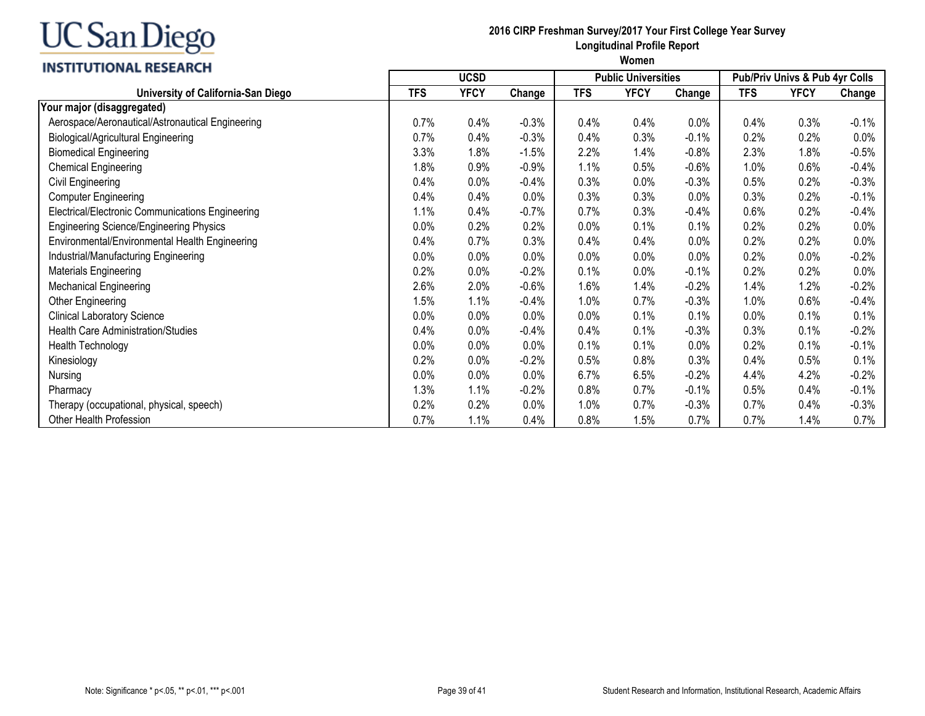#### **INSTITUTIONAL RESEARCH**

#### **2016 CIRP Freshman Survey/2017 Your First College Year Survey Longitudinal Profile Report**

|                                                  |            | <b>UCSD</b> |         | <b>Public Universities</b> |             |         | <b>Pub/Priv Univs &amp; Pub 4yr Colls</b> |             |          |  |
|--------------------------------------------------|------------|-------------|---------|----------------------------|-------------|---------|-------------------------------------------|-------------|----------|--|
| University of California-San Diego               | <b>TFS</b> | <b>YFCY</b> | Change  | <b>TFS</b>                 | <b>YFCY</b> | Change  | <b>TFS</b>                                | <b>YFCY</b> | Change   |  |
| Your major (disaggregated)                       |            |             |         |                            |             |         |                                           |             |          |  |
| Aerospace/Aeronautical/Astronautical Engineering | 0.7%       | 0.4%        | $-0.3%$ | 0.4%                       | 0.4%        | 0.0%    | 0.4%                                      | 0.3%        | $-0.1%$  |  |
| <b>Biological/Agricultural Engineering</b>       | 0.7%       | 0.4%        | $-0.3%$ | 0.4%                       | 0.3%        | $-0.1%$ | 0.2%                                      | 0.2%        | 0.0%     |  |
| <b>Biomedical Engineering</b>                    | 3.3%       | 1.8%        | $-1.5%$ | 2.2%                       | 1.4%        | $-0.8%$ | 2.3%                                      | 1.8%        | $-0.5%$  |  |
| <b>Chemical Engineering</b>                      | 1.8%       | 0.9%        | $-0.9%$ | 1.1%                       | 0.5%        | $-0.6%$ | 1.0%                                      | 0.6%        | $-0.4%$  |  |
| Civil Engineering                                | 0.4%       | 0.0%        | $-0.4%$ | 0.3%                       | 0.0%        | $-0.3%$ | 0.5%                                      | 0.2%        | $-0.3%$  |  |
| <b>Computer Engineering</b>                      | 0.4%       | 0.4%        | 0.0%    | 0.3%                       | 0.3%        | 0.0%    | 0.3%                                      | 0.2%        | $-0.1%$  |  |
| Electrical/Electronic Communications Engineering | 1.1%       | 0.4%        | $-0.7%$ | 0.7%                       | 0.3%        | $-0.4%$ | 0.6%                                      | 0.2%        | $-0.4\%$ |  |
| <b>Engineering Science/Engineering Physics</b>   | 0.0%       | 0.2%        | 0.2%    | 0.0%                       | 0.1%        | 0.1%    | 0.2%                                      | 0.2%        | 0.0%     |  |
| Environmental/Environmental Health Engineering   | 0.4%       | 0.7%        | 0.3%    | 0.4%                       | 0.4%        | 0.0%    | 0.2%                                      | 0.2%        | 0.0%     |  |
| Industrial/Manufacturing Engineering             | 0.0%       | 0.0%        | 0.0%    | 0.0%                       | 0.0%        | 0.0%    | 0.2%                                      | 0.0%        | $-0.2%$  |  |
| Materials Engineering                            | 0.2%       | 0.0%        | $-0.2%$ | 0.1%                       | 0.0%        | $-0.1%$ | 0.2%                                      | 0.2%        | 0.0%     |  |
| <b>Mechanical Engineering</b>                    | 2.6%       | 2.0%        | $-0.6%$ | 1.6%                       | 1.4%        | $-0.2%$ | 1.4%                                      | 1.2%        | $-0.2%$  |  |
| Other Engineering                                | 1.5%       | 1.1%        | $-0.4%$ | 1.0%                       | 0.7%        | $-0.3%$ | 1.0%                                      | 0.6%        | $-0.4%$  |  |
| <b>Clinical Laboratory Science</b>               | 0.0%       | 0.0%        | $0.0\%$ | 0.0%                       | 0.1%        | 0.1%    | $0.0\%$                                   | 0.1%        | 0.1%     |  |
| <b>Health Care Administration/Studies</b>        | 0.4%       | 0.0%        | $-0.4%$ | 0.4%                       | 0.1%        | $-0.3%$ | 0.3%                                      | 0.1%        | $-0.2%$  |  |
| Health Technology                                | 0.0%       | 0.0%        | 0.0%    | 0.1%                       | 0.1%        | 0.0%    | 0.2%                                      | 0.1%        | $-0.1%$  |  |
| Kinesiology                                      | 0.2%       | 0.0%        | $-0.2%$ | 0.5%                       | 0.8%        | 0.3%    | 0.4%                                      | 0.5%        | 0.1%     |  |
| Nursing                                          | 0.0%       | 0.0%        | $0.0\%$ | 6.7%                       | 6.5%        | $-0.2%$ | 4.4%                                      | 4.2%        | $-0.2%$  |  |
| Pharmacy                                         | 1.3%       | 1.1%        | $-0.2%$ | 0.8%                       | 0.7%        | $-0.1%$ | 0.5%                                      | 0.4%        | $-0.1%$  |  |
| Therapy (occupational, physical, speech)         | 0.2%       | 0.2%        | $0.0\%$ | 1.0%                       | 0.7%        | $-0.3%$ | 0.7%                                      | 0.4%        | $-0.3%$  |  |
| Other Health Profession                          | 0.7%       | 1.1%        | 0.4%    | 0.8%                       | 1.5%        | 0.7%    | 0.7%                                      | 1.4%        | 0.7%     |  |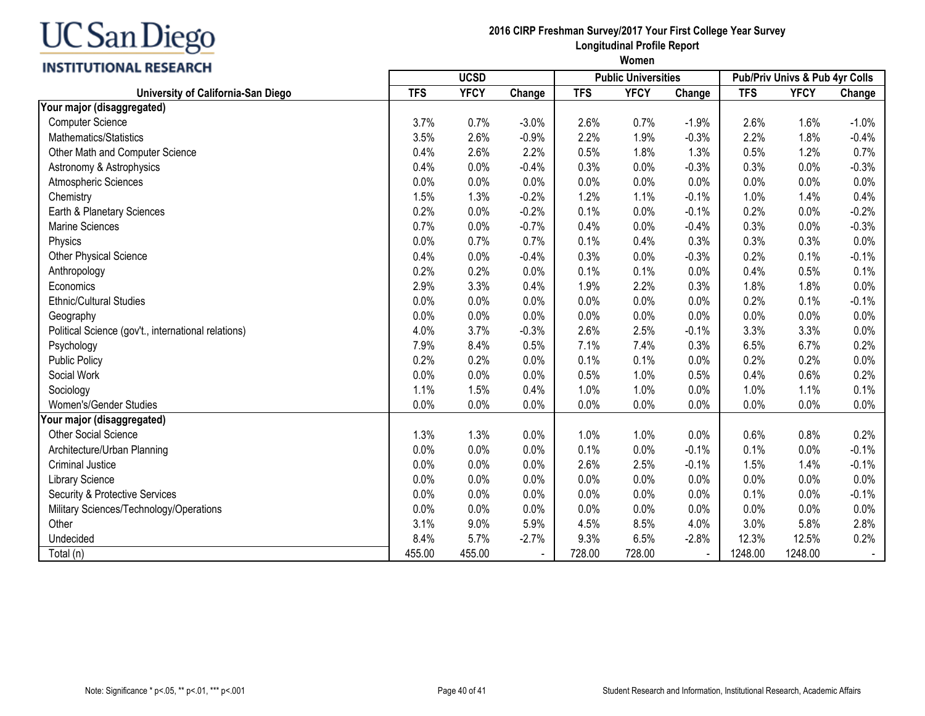#### **INSTITUTIONAL RESEARCH**

#### **2016 CIRP Freshman Survey/2017 Your First College Year Survey Longitudinal Profile Report**

|                                                     |            | <b>UCSD</b><br><b>Public Universities</b> |                          |            |             |         |            | Pub/Priv Univs & Pub 4yr Colls |         |  |
|-----------------------------------------------------|------------|-------------------------------------------|--------------------------|------------|-------------|---------|------------|--------------------------------|---------|--|
| University of California-San Diego                  | <b>TFS</b> | <b>YFCY</b>                               | Change                   | <b>TFS</b> | <b>YFCY</b> | Change  | <b>TFS</b> | <b>YFCY</b>                    | Change  |  |
| Your major (disaggregated)                          |            |                                           |                          |            |             |         |            |                                |         |  |
| <b>Computer Science</b>                             | 3.7%       | 0.7%                                      | $-3.0%$                  | 2.6%       | 0.7%        | $-1.9%$ | 2.6%       | 1.6%                           | $-1.0%$ |  |
| Mathematics/Statistics                              | 3.5%       | 2.6%                                      | $-0.9%$                  | 2.2%       | 1.9%        | $-0.3%$ | 2.2%       | 1.8%                           | $-0.4%$ |  |
| Other Math and Computer Science                     | 0.4%       | 2.6%                                      | 2.2%                     | 0.5%       | 1.8%        | 1.3%    | 0.5%       | 1.2%                           | 0.7%    |  |
| Astronomy & Astrophysics                            | 0.4%       | 0.0%                                      | $-0.4%$                  | 0.3%       | 0.0%        | $-0.3%$ | 0.3%       | 0.0%                           | $-0.3%$ |  |
| Atmospheric Sciences                                | 0.0%       | 0.0%                                      | 0.0%                     | 0.0%       | 0.0%        | 0.0%    | 0.0%       | 0.0%                           | 0.0%    |  |
| Chemistry                                           | 1.5%       | 1.3%                                      | $-0.2%$                  | 1.2%       | 1.1%        | $-0.1%$ | 1.0%       | 1.4%                           | 0.4%    |  |
| Earth & Planetary Sciences                          | 0.2%       | 0.0%                                      | $-0.2%$                  | 0.1%       | 0.0%        | $-0.1%$ | 0.2%       | 0.0%                           | $-0.2%$ |  |
| Marine Sciences                                     | 0.7%       | 0.0%                                      | $-0.7%$                  | 0.4%       | 0.0%        | $-0.4%$ | 0.3%       | 0.0%                           | $-0.3%$ |  |
| Physics                                             | 0.0%       | 0.7%                                      | 0.7%                     | 0.1%       | 0.4%        | 0.3%    | 0.3%       | 0.3%                           | 0.0%    |  |
| Other Physical Science                              | 0.4%       | 0.0%                                      | $-0.4%$                  | 0.3%       | 0.0%        | $-0.3%$ | 0.2%       | 0.1%                           | $-0.1%$ |  |
| Anthropology                                        | 0.2%       | 0.2%                                      | 0.0%                     | 0.1%       | 0.1%        | 0.0%    | 0.4%       | 0.5%                           | 0.1%    |  |
| Economics                                           | 2.9%       | 3.3%                                      | 0.4%                     | 1.9%       | 2.2%        | 0.3%    | 1.8%       | 1.8%                           | 0.0%    |  |
| <b>Ethnic/Cultural Studies</b>                      | 0.0%       | 0.0%                                      | 0.0%                     | 0.0%       | 0.0%        | 0.0%    | 0.2%       | 0.1%                           | $-0.1%$ |  |
| Geography                                           | 0.0%       | 0.0%                                      | 0.0%                     | 0.0%       | 0.0%        | 0.0%    | 0.0%       | 0.0%                           | 0.0%    |  |
| Political Science (gov't., international relations) | 4.0%       | 3.7%                                      | $-0.3%$                  | 2.6%       | 2.5%        | $-0.1%$ | 3.3%       | 3.3%                           | 0.0%    |  |
| Psychology                                          | 7.9%       | 8.4%                                      | 0.5%                     | 7.1%       | 7.4%        | 0.3%    | 6.5%       | 6.7%                           | 0.2%    |  |
| Public Policy                                       | 0.2%       | 0.2%                                      | 0.0%                     | 0.1%       | 0.1%        | 0.0%    | 0.2%       | 0.2%                           | 0.0%    |  |
| Social Work                                         | 0.0%       | 0.0%                                      | 0.0%                     | 0.5%       | 1.0%        | 0.5%    | 0.4%       | 0.6%                           | 0.2%    |  |
| Sociology                                           | 1.1%       | 1.5%                                      | 0.4%                     | 1.0%       | 1.0%        | 0.0%    | 1.0%       | 1.1%                           | 0.1%    |  |
| Women's/Gender Studies                              | 0.0%       | 0.0%                                      | 0.0%                     | 0.0%       | 0.0%        | 0.0%    | 0.0%       | 0.0%                           | 0.0%    |  |
| Your major (disaggregated)                          |            |                                           |                          |            |             |         |            |                                |         |  |
| <b>Other Social Science</b>                         | 1.3%       | 1.3%                                      | 0.0%                     | 1.0%       | 1.0%        | 0.0%    | 0.6%       | 0.8%                           | 0.2%    |  |
| Architecture/Urban Planning                         | 0.0%       | 0.0%                                      | 0.0%                     | 0.1%       | 0.0%        | $-0.1%$ | 0.1%       | 0.0%                           | $-0.1%$ |  |
| <b>Criminal Justice</b>                             | 0.0%       | 0.0%                                      | 0.0%                     | 2.6%       | 2.5%        | $-0.1%$ | 1.5%       | 1.4%                           | $-0.1%$ |  |
| <b>Library Science</b>                              | 0.0%       | 0.0%                                      | 0.0%                     | 0.0%       | 0.0%        | 0.0%    | 0.0%       | 0.0%                           | 0.0%    |  |
| Security & Protective Services                      | 0.0%       | 0.0%                                      | 0.0%                     | 0.0%       | 0.0%        | 0.0%    | 0.1%       | 0.0%                           | $-0.1%$ |  |
| Military Sciences/Technology/Operations             | 0.0%       | 0.0%                                      | 0.0%                     | 0.0%       | 0.0%        | 0.0%    | 0.0%       | 0.0%                           | 0.0%    |  |
| Other                                               | 3.1%       | 9.0%                                      | 5.9%                     | 4.5%       | 8.5%        | 4.0%    | 3.0%       | 5.8%                           | 2.8%    |  |
| Undecided                                           | 8.4%       | 5.7%                                      | $-2.7%$                  | 9.3%       | 6.5%        | $-2.8%$ | 12.3%      | 12.5%                          | 0.2%    |  |
| Total (n)                                           | 455.00     | 455.00                                    | $\overline{\phantom{a}}$ | 728.00     | 728.00      |         | 1248.00    | 1248.00                        |         |  |